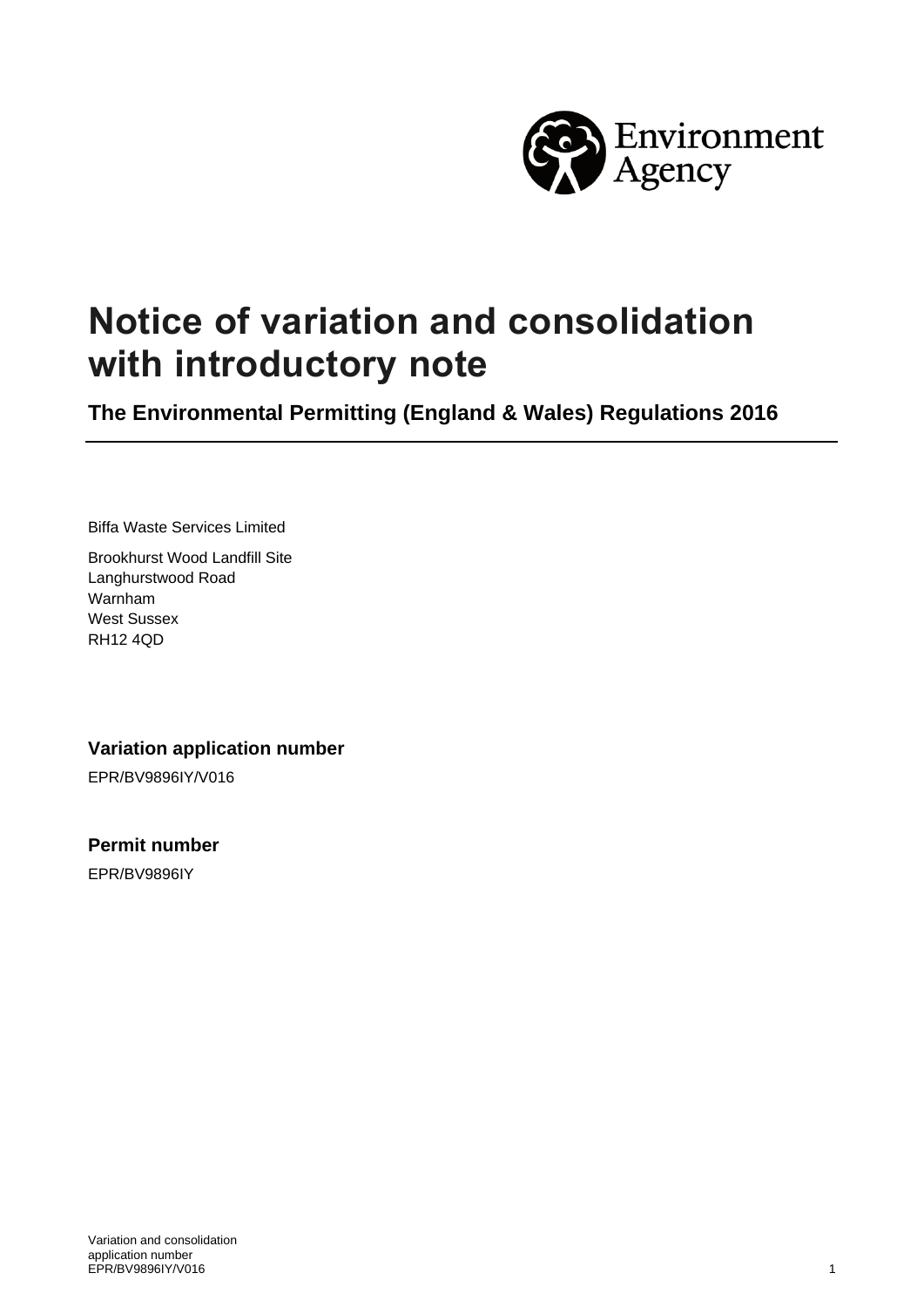

# **Notice of variation and consolidation with introductory note**

**The Environmental Permitting (England & Wales) Regulations 2016**

Biffa Waste Services Limited

Brookhurst Wood Landfill Site Langhurstwood Road Warnham West Sussex RH12 4QD

**Variation application number**

EPR/BV9896IY/V016

**Permit number** EPR/BV9896IY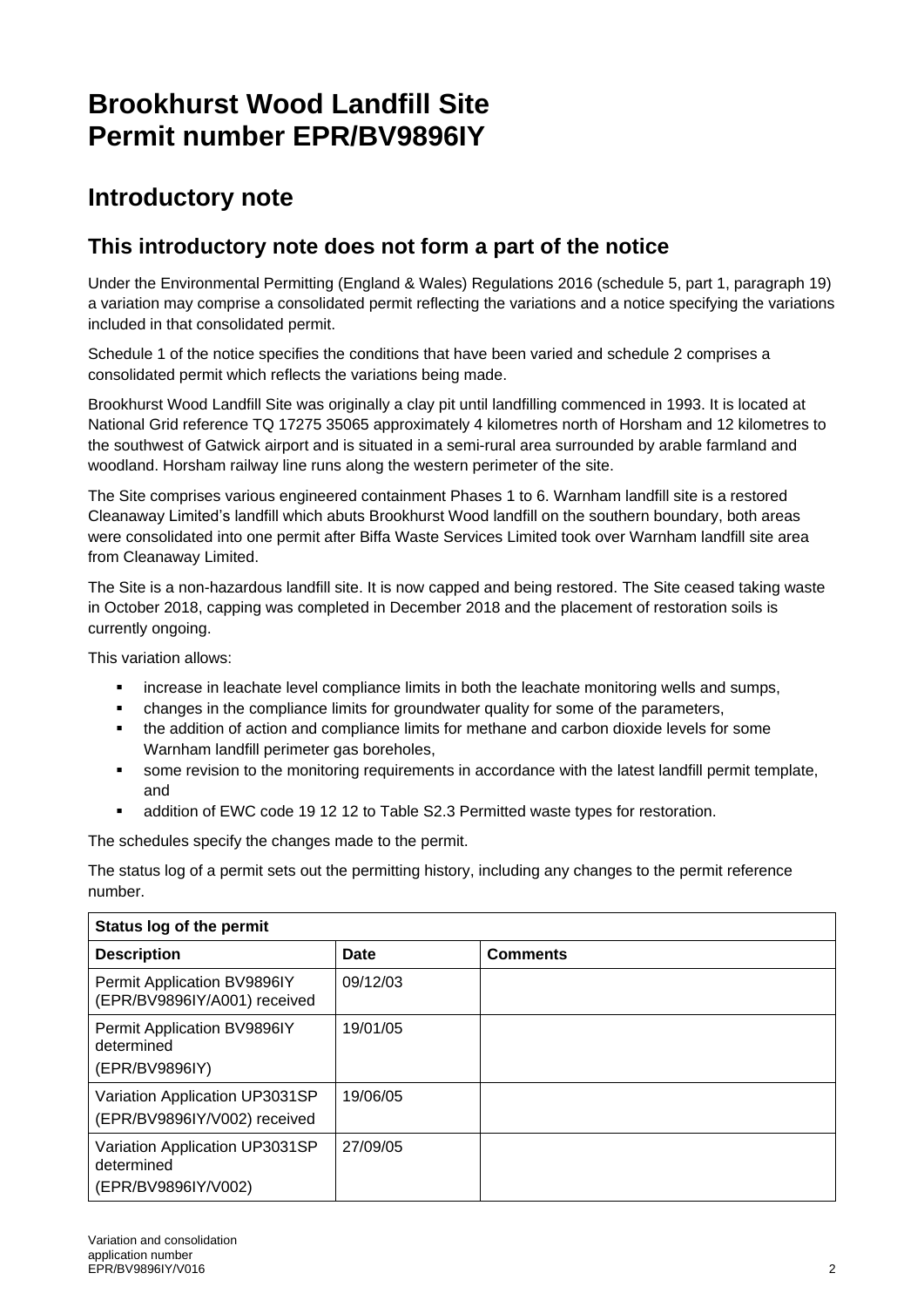# **Brookhurst Wood Landfill Site Permit number EPR/BV9896IY**

## **Introductory note**

### **This introductory note does not form a part of the notice**

Under the Environmental Permitting (England & Wales) Regulations 2016 (schedule 5, part 1, paragraph 19) a variation may comprise a consolidated permit reflecting the variations and a notice specifying the variations included in that consolidated permit.

Schedule 1 of the notice specifies the conditions that have been varied and schedule 2 comprises a consolidated permit which reflects the variations being made.

Brookhurst Wood Landfill Site was originally a clay pit until landfilling commenced in 1993. It is located at National Grid reference TQ 17275 35065 approximately 4 kilometres north of Horsham and 12 kilometres to the southwest of Gatwick airport and is situated in a semi-rural area surrounded by arable farmland and woodland. Horsham railway line runs along the western perimeter of the site.

The Site comprises various engineered containment Phases 1 to 6. Warnham landfill site is a restored Cleanaway Limited's landfill which abuts Brookhurst Wood landfill on the southern boundary, both areas were consolidated into one permit after Biffa Waste Services Limited took over Warnham landfill site area from Cleanaway Limited.

The Site is a non-hazardous landfill site. It is now capped and being restored. The Site ceased taking waste in October 2018, capping was completed in December 2018 and the placement of restoration soils is currently ongoing.

This variation allows:

- increase in leachate level compliance limits in both the leachate monitoring wells and sumps,
- changes in the compliance limits for groundwater quality for some of the parameters,
- the addition of action and compliance limits for methane and carbon dioxide levels for some Warnham landfill perimeter gas boreholes,
- some revision to the monitoring requirements in accordance with the latest landfill permit template, and
- addition of EWC code 19 12 12 to Table S2.3 Permitted waste types for restoration.

The schedules specify the changes made to the permit.

The status log of a permit sets out the permitting history, including any changes to the permit reference number.

| Status log of the permit                                            |          |                 |  |
|---------------------------------------------------------------------|----------|-----------------|--|
| <b>Description</b>                                                  | Date     | <b>Comments</b> |  |
| Permit Application BV9896IY<br>(EPR/BV9896IY/A001) received         | 09/12/03 |                 |  |
| Permit Application BV9896IY<br>determined<br>(EPR/BV9896IY)         | 19/01/05 |                 |  |
| Variation Application UP3031SP<br>(EPR/BV9896IY/V002) received      | 19/06/05 |                 |  |
| Variation Application UP3031SP<br>determined<br>(EPR/BV9896IY/V002) | 27/09/05 |                 |  |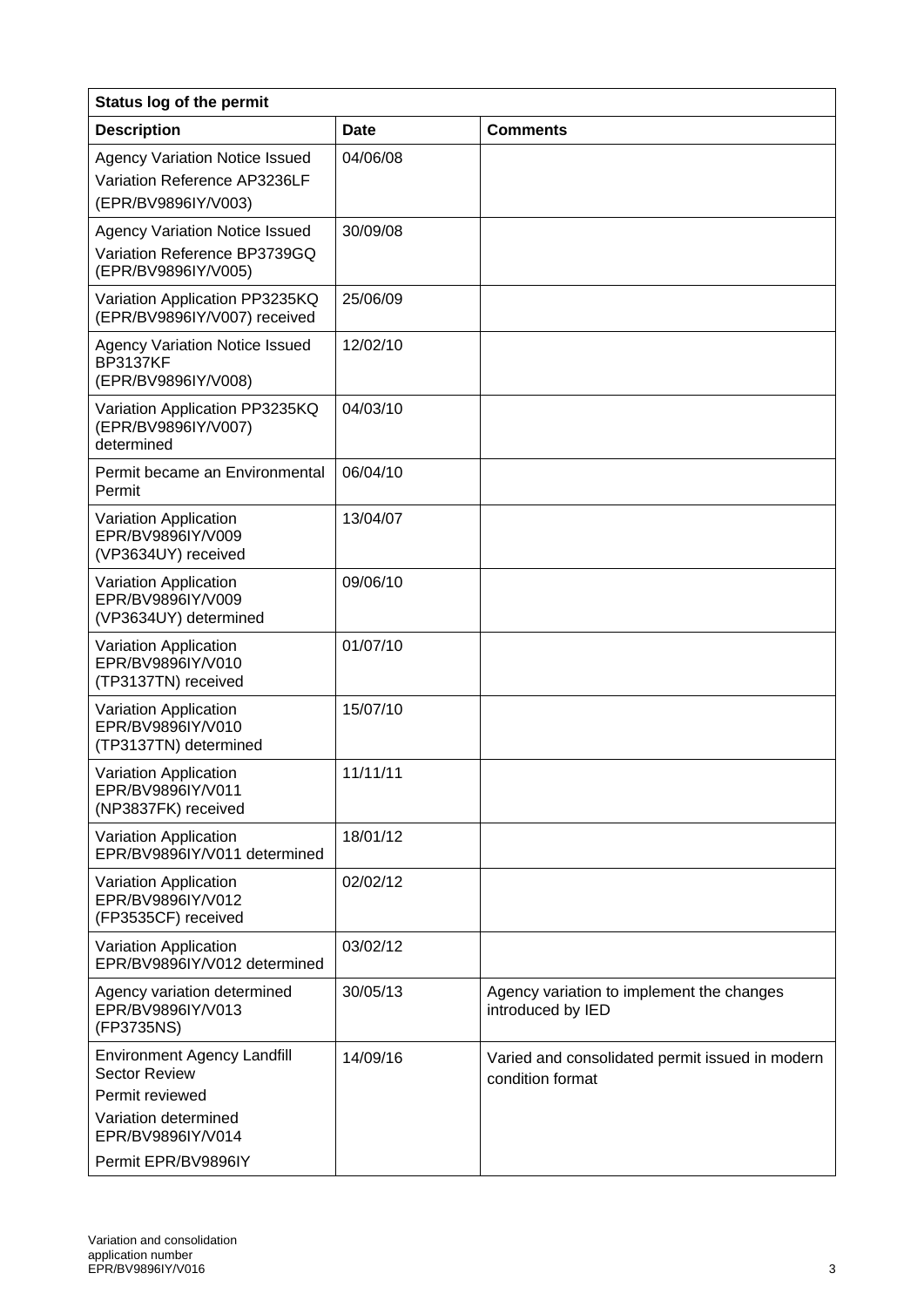| <b>Status log of the permit</b>                                                                                                                   |          |                                                                     |  |
|---------------------------------------------------------------------------------------------------------------------------------------------------|----------|---------------------------------------------------------------------|--|
| <b>Description</b>                                                                                                                                | Date     | <b>Comments</b>                                                     |  |
| <b>Agency Variation Notice Issued</b><br>Variation Reference AP3236LF<br>(EPR/BV9896IY/V003)                                                      | 04/06/08 |                                                                     |  |
| <b>Agency Variation Notice Issued</b><br>Variation Reference BP3739GQ<br>(EPR/BV9896IY/V005)                                                      | 30/09/08 |                                                                     |  |
| Variation Application PP3235KQ<br>(EPR/BV9896IY/V007) received                                                                                    | 25/06/09 |                                                                     |  |
| <b>Agency Variation Notice Issued</b><br><b>BP3137KF</b><br>(EPR/BV9896IY/V008)                                                                   | 12/02/10 |                                                                     |  |
| Variation Application PP3235KQ<br>(EPR/BV9896IY/V007)<br>determined                                                                               | 04/03/10 |                                                                     |  |
| Permit became an Environmental<br>Permit                                                                                                          | 06/04/10 |                                                                     |  |
| Variation Application<br>EPR/BV9896IY/V009<br>(VP3634UY) received                                                                                 | 13/04/07 |                                                                     |  |
| Variation Application<br>EPR/BV9896IY/V009<br>(VP3634UY) determined                                                                               | 09/06/10 |                                                                     |  |
| Variation Application<br>EPR/BV9896IY/V010<br>(TP3137TN) received                                                                                 | 01/07/10 |                                                                     |  |
| Variation Application<br>EPR/BV9896IY/V010<br>(TP3137TN) determined                                                                               | 15/07/10 |                                                                     |  |
| Variation Application<br>EPR/BV9896IY/V011<br>(NP3837FK) received                                                                                 | 11/11/11 |                                                                     |  |
| Variation Application<br>EPR/BV9896IY/V011 determined                                                                                             | 18/01/12 |                                                                     |  |
| Variation Application<br>EPR/BV9896IY/V012<br>(FP3535CF) received                                                                                 | 02/02/12 |                                                                     |  |
| Variation Application<br>EPR/BV9896IY/V012 determined                                                                                             | 03/02/12 |                                                                     |  |
| Agency variation determined<br>EPR/BV9896IY/V013<br>(FP3735NS)                                                                                    | 30/05/13 | Agency variation to implement the changes<br>introduced by IED      |  |
| <b>Environment Agency Landfill</b><br><b>Sector Review</b><br>Permit reviewed<br>Variation determined<br>EPR/BV9896IY/V014<br>Permit EPR/BV9896IY | 14/09/16 | Varied and consolidated permit issued in modern<br>condition format |  |
|                                                                                                                                                   |          |                                                                     |  |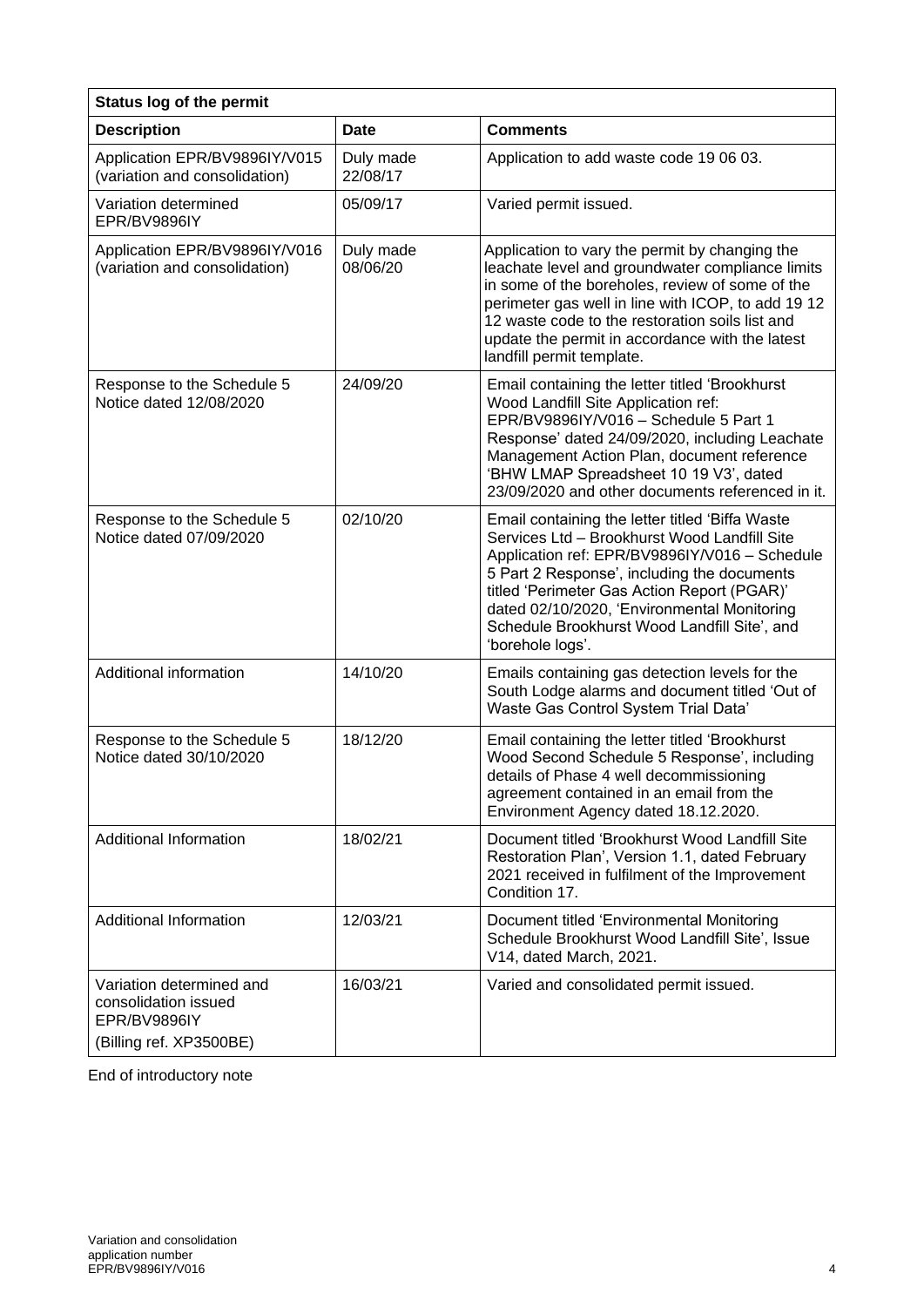| <b>Status log of the permit</b>                                                             |                       |                                                                                                                                                                                                                                                                                                                                                                   |  |
|---------------------------------------------------------------------------------------------|-----------------------|-------------------------------------------------------------------------------------------------------------------------------------------------------------------------------------------------------------------------------------------------------------------------------------------------------------------------------------------------------------------|--|
| <b>Description</b>                                                                          | <b>Date</b>           | <b>Comments</b>                                                                                                                                                                                                                                                                                                                                                   |  |
| Application EPR/BV9896IY/V015<br>(variation and consolidation)                              | Duly made<br>22/08/17 | Application to add waste code 19 06 03.                                                                                                                                                                                                                                                                                                                           |  |
| Variation determined<br>EPR/BV9896IY                                                        | 05/09/17              | Varied permit issued.                                                                                                                                                                                                                                                                                                                                             |  |
| Application EPR/BV9896IY/V016<br>(variation and consolidation)                              | Duly made<br>08/06/20 | Application to vary the permit by changing the<br>leachate level and groundwater compliance limits<br>in some of the boreholes, review of some of the<br>perimeter gas well in line with ICOP, to add 19 12<br>12 waste code to the restoration soils list and<br>update the permit in accordance with the latest<br>landfill permit template.                    |  |
| Response to the Schedule 5<br>Notice dated 12/08/2020                                       | 24/09/20              | Email containing the letter titled 'Brookhurst<br>Wood Landfill Site Application ref:<br>EPR/BV9896IY/V016 - Schedule 5 Part 1<br>Response' dated 24/09/2020, including Leachate<br>Management Action Plan, document reference<br>'BHW LMAP Spreadsheet 10 19 V3', dated<br>23/09/2020 and other documents referenced in it.                                      |  |
| Response to the Schedule 5<br>Notice dated 07/09/2020                                       | 02/10/20              | Email containing the letter titled 'Biffa Waste<br>Services Ltd - Brookhurst Wood Landfill Site<br>Application ref: EPR/BV9896IY/V016 - Schedule<br>5 Part 2 Response', including the documents<br>titled 'Perimeter Gas Action Report (PGAR)'<br>dated 02/10/2020, 'Environmental Monitoring<br>Schedule Brookhurst Wood Landfill Site', and<br>'borehole logs'. |  |
| Additional information                                                                      | 14/10/20              | Emails containing gas detection levels for the<br>South Lodge alarms and document titled 'Out of<br>Waste Gas Control System Trial Data'                                                                                                                                                                                                                          |  |
| Response to the Schedule 5<br>Notice dated 30/10/2020                                       | 18/12/20              | Email containing the letter titled 'Brookhurst<br>Wood Second Schedule 5 Response', including<br>details of Phase 4 well decommissioning<br>agreement contained in an email from the<br>Environment Agency dated 18.12.2020.                                                                                                                                      |  |
| Additional Information                                                                      | 18/02/21              | Document titled 'Brookhurst Wood Landfill Site<br>Restoration Plan', Version 1.1, dated February<br>2021 received in fulfilment of the Improvement<br>Condition 17.                                                                                                                                                                                               |  |
| Additional Information                                                                      | 12/03/21              | Document titled 'Environmental Monitoring<br>Schedule Brookhurst Wood Landfill Site', Issue<br>V14, dated March, 2021.                                                                                                                                                                                                                                            |  |
| Variation determined and<br>consolidation issued<br>EPR/BV9896IY<br>(Billing ref. XP3500BE) | 16/03/21              | Varied and consolidated permit issued.                                                                                                                                                                                                                                                                                                                            |  |

End of introductory note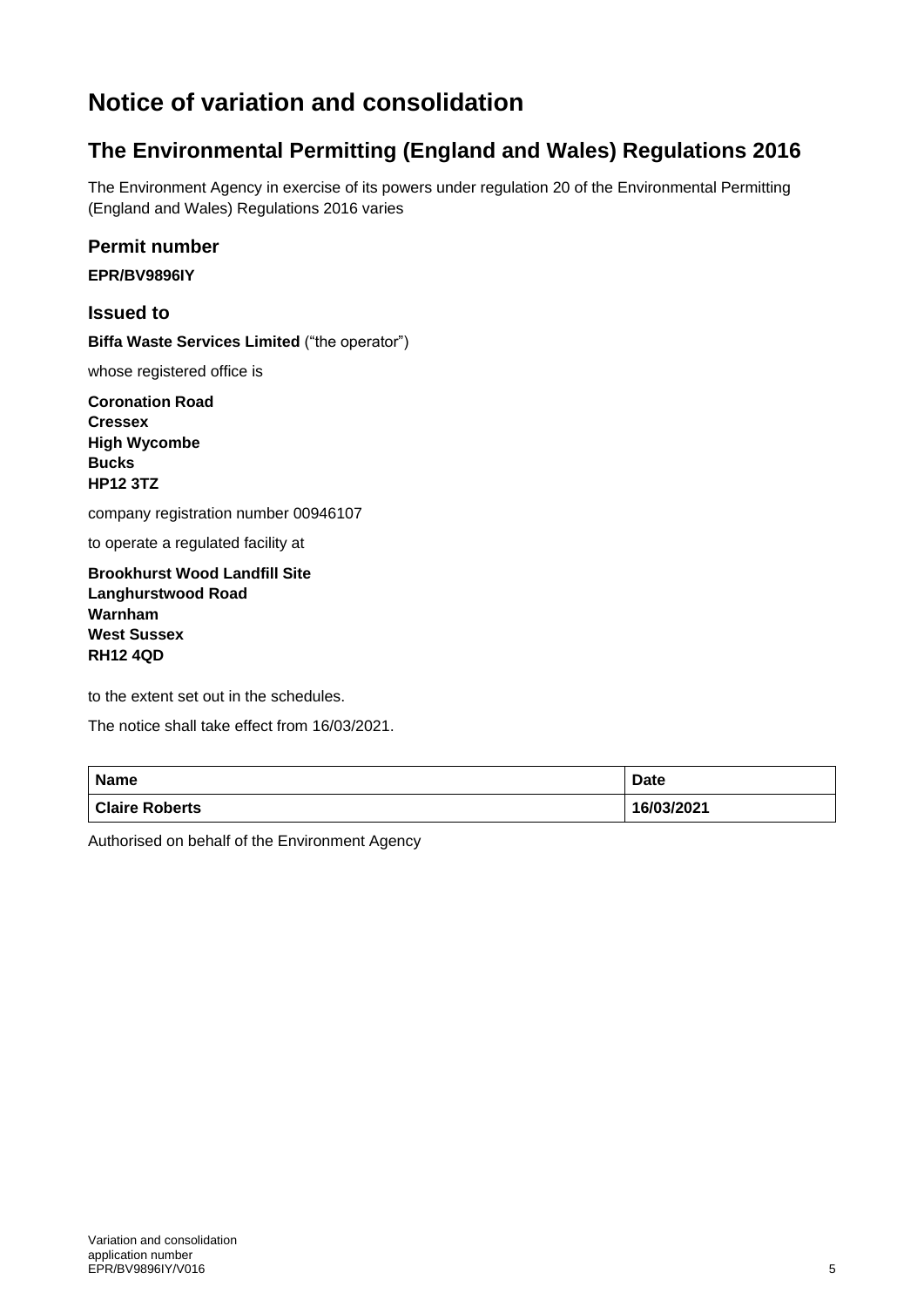## **Notice of variation and consolidation**

## **The Environmental Permitting (England and Wales) Regulations 2016**

The Environment Agency in exercise of its powers under regulation 20 of the Environmental Permitting (England and Wales) Regulations 2016 varies

#### **Permit number**

**EPR/BV9896IY**

#### **Issued to**

**Biffa Waste Services Limited** ("the operator")

whose registered office is

**Coronation Road Cressex High Wycombe Bucks HP12 3TZ**

company registration number 00946107

to operate a regulated facility at

**Brookhurst Wood Landfill Site Langhurstwood Road Warnham West Sussex RH12 4QD**

to the extent set out in the schedules.

The notice shall take effect from 16/03/2021.

| Name                  | Date       |
|-----------------------|------------|
| <b>Claire Roberts</b> | 16/03/2021 |

Authorised on behalf of the Environment Agency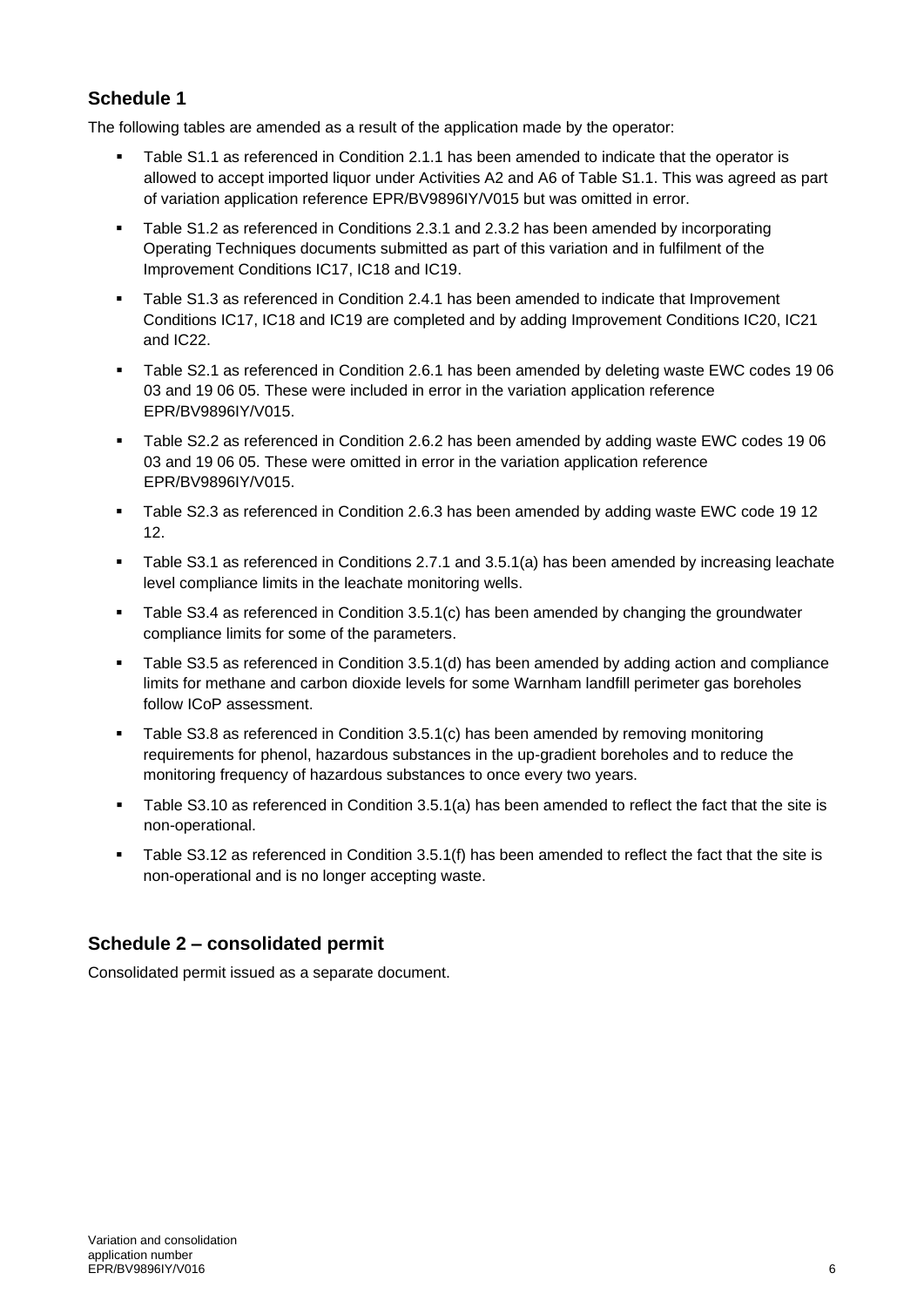#### **Schedule 1**

The following tables are amended as a result of the application made by the operator:

- Table S1.1 as referenced in Condition 2.1.1 has been amended to indicate that the operator is allowed to accept imported liquor under Activities A2 and A6 of Table S1.1. This was agreed as part of variation application reference EPR/BV9896IY/V015 but was omitted in error.
- Table S1.2 as referenced in Conditions 2.3.1 and 2.3.2 has been amended by incorporating Operating Techniques documents submitted as part of this variation and in fulfilment of the Improvement Conditions IC17, IC18 and IC19.
- Table S1.3 as referenced in Condition 2.4.1 has been amended to indicate that Improvement Conditions IC17, IC18 and IC19 are completed and by adding Improvement Conditions IC20, IC21 and IC22.
- Table S2.1 as referenced in Condition 2.6.1 has been amended by deleting waste EWC codes 19 06 03 and 19 06 05. These were included in error in the variation application reference EPR/BV9896IY/V015.
- Table S2.2 as referenced in Condition 2.6.2 has been amended by adding waste EWC codes 19 06 03 and 19 06 05. These were omitted in error in the variation application reference EPR/BV9896IY/V015.
- Table S2.3 as referenced in Condition 2.6.3 has been amended by adding waste EWC code 19 12 12.
- Table S3.1 as referenced in Conditions 2.7.1 and 3.5.1(a) has been amended by increasing leachate level compliance limits in the leachate monitoring wells.
- Table S3.4 as referenced in Condition 3.5.1(c) has been amended by changing the groundwater compliance limits for some of the parameters.
- Table S3.5 as referenced in Condition 3.5.1(d) has been amended by adding action and compliance limits for methane and carbon dioxide levels for some Warnham landfill perimeter gas boreholes follow ICoP assessment.
- Table S3.8 as referenced in Condition 3.5.1(c) has been amended by removing monitoring requirements for phenol, hazardous substances in the up-gradient boreholes and to reduce the monitoring frequency of hazardous substances to once every two years.
- Table S3.10 as referenced in Condition 3.5.1(a) has been amended to reflect the fact that the site is non-operational.
- Table S3.12 as referenced in Condition 3.5.1(f) has been amended to reflect the fact that the site is non-operational and is no longer accepting waste.

#### **Schedule 2 – consolidated permit**

Consolidated permit issued as a separate document.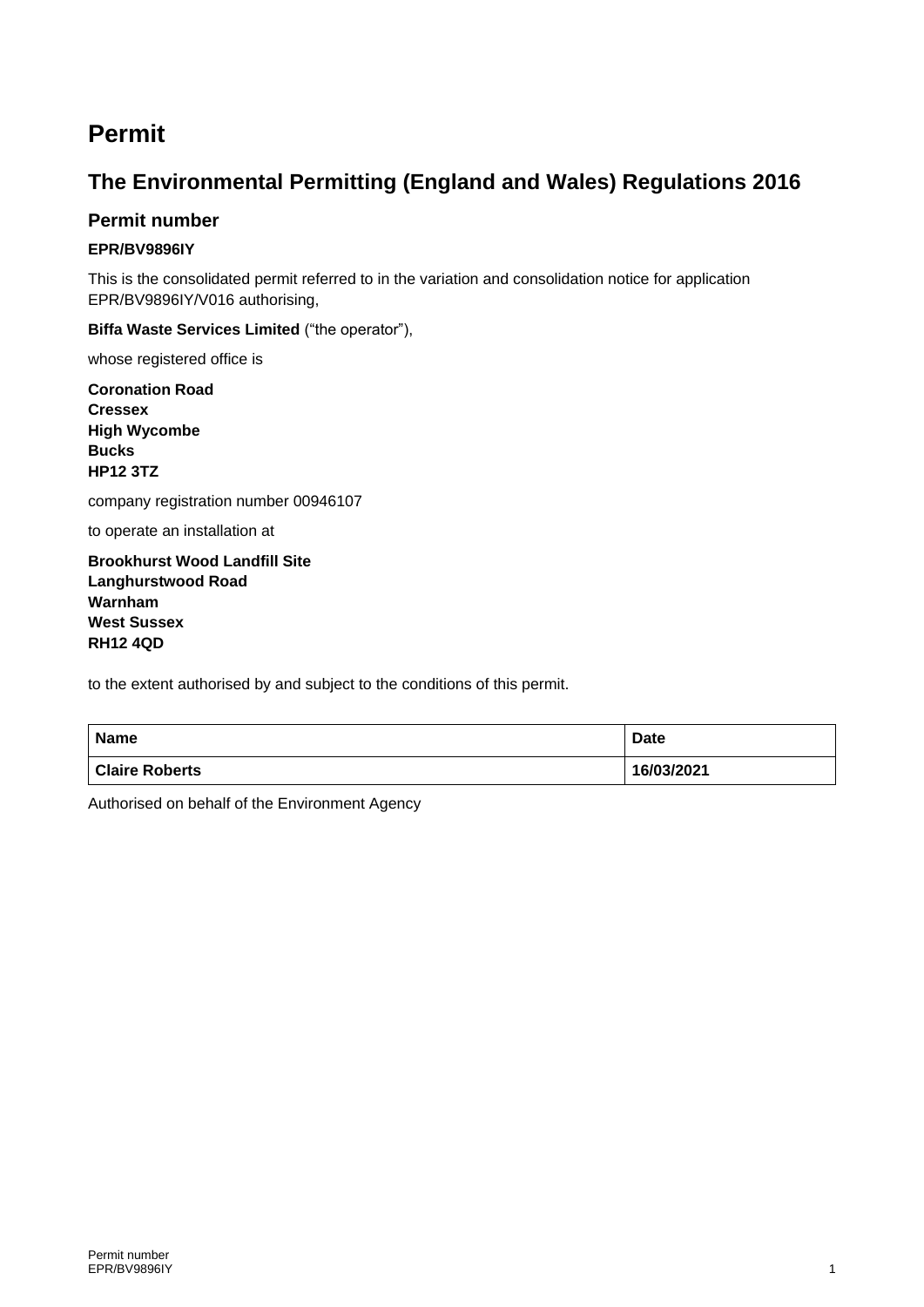## **Permit**

## **The Environmental Permitting (England and Wales) Regulations 2016**

#### **Permit number**

#### **EPR/BV9896IY**

This is the consolidated permit referred to in the variation and consolidation notice for application EPR/BV9896IY/V016 authorising,

#### **Biffa Waste Services Limited** ("the operator"),

whose registered office is

**Coronation Road Cressex High Wycombe Bucks HP12 3TZ**

company registration number 00946107

to operate an installation at

**Brookhurst Wood Landfill Site Langhurstwood Road Warnham West Sussex RH12 4QD**

to the extent authorised by and subject to the conditions of this permit.

| <b>Name</b>           | <b>Date</b> |
|-----------------------|-------------|
| <b>Claire Roberts</b> | 16/03/2021  |

Authorised on behalf of the Environment Agency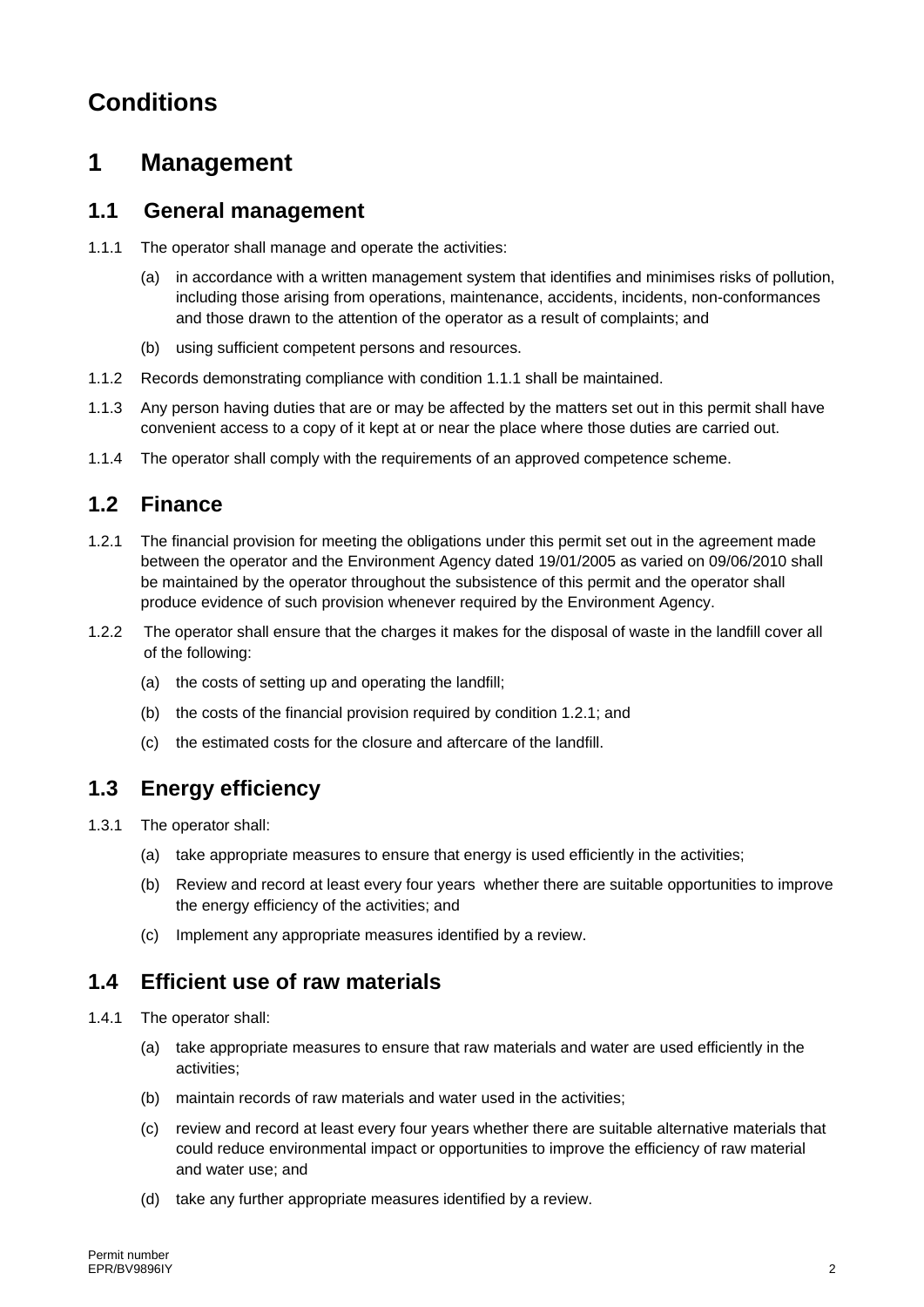## **Conditions**

## **1 Management**

#### **1.1 General management**

- 1.1.1 The operator shall manage and operate the activities:
	- (a) in accordance with a written management system that identifies and minimises risks of pollution, including those arising from operations, maintenance, accidents, incidents, non-conformances and those drawn to the attention of the operator as a result of complaints; and
	- (b) using sufficient competent persons and resources.
- 1.1.2 Records demonstrating compliance with condition 1.1.1 shall be maintained.
- 1.1.3 Any person having duties that are or may be affected by the matters set out in this permit shall have convenient access to a copy of it kept at or near the place where those duties are carried out.
- 1.1.4 The operator shall comply with the requirements of an approved competence scheme.

#### **1.2 Finance**

- 1.2.1 The financial provision for meeting the obligations under this permit set out in the agreement made between the operator and the Environment Agency dated 19/01/2005 as varied on 09/06/2010 shall be maintained by the operator throughout the subsistence of this permit and the operator shall produce evidence of such provision whenever required by the Environment Agency.
- 1.2.2 The operator shall ensure that the charges it makes for the disposal of waste in the landfill cover all of the following:
	- (a) the costs of setting up and operating the landfill;
	- (b) the costs of the financial provision required by condition 1.2.1; and
	- (c) the estimated costs for the closure and aftercare of the landfill.

#### **1.3 Energy efficiency**

- 1.3.1 The operator shall:
	- (a) take appropriate measures to ensure that energy is used efficiently in the activities;
	- (b) Review and record at least every four years whether there are suitable opportunities to improve the energy efficiency of the activities; and
	- (c) Implement any appropriate measures identified by a review.

#### **1.4 Efficient use of raw materials**

- 1.4.1 The operator shall:
	- (a) take appropriate measures to ensure that raw materials and water are used efficiently in the activities;
	- (b) maintain records of raw materials and water used in the activities;
	- (c) review and record at least every four years whether there are suitable alternative materials that could reduce environmental impact or opportunities to improve the efficiency of raw material and water use; and
	- (d) take any further appropriate measures identified by a review.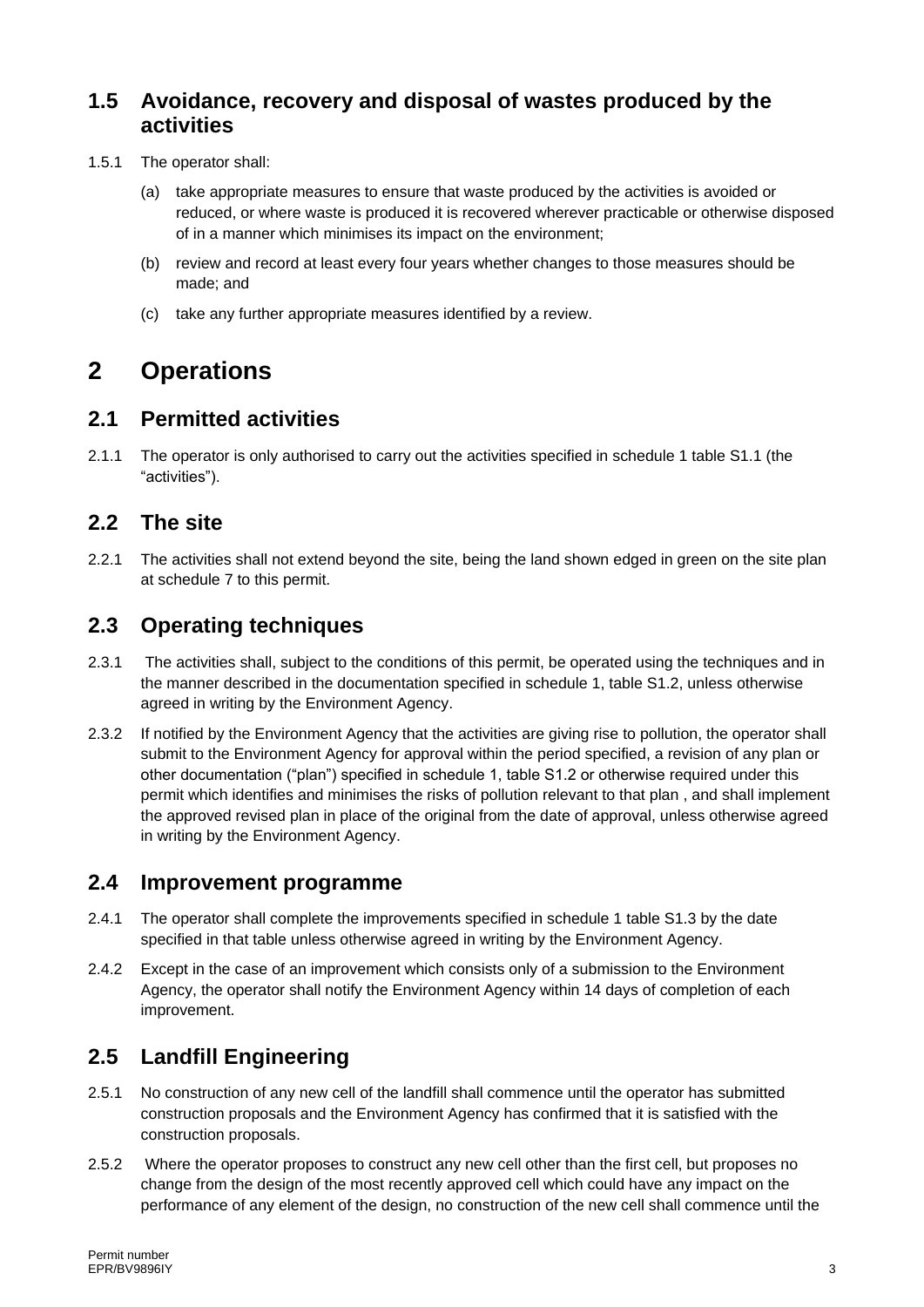#### **1.5 Avoidance, recovery and disposal of wastes produced by the activities**

- 1.5.1 The operator shall:
	- (a) take appropriate measures to ensure that waste produced by the activities is avoided or reduced, or where waste is produced it is recovered wherever practicable or otherwise disposed of in a manner which minimises its impact on the environment;
	- (b) review and record at least every four years whether changes to those measures should be made; and
	- (c) take any further appropriate measures identified by a review.

## **2 Operations**

### **2.1 Permitted activities**

2.1.1 The operator is only authorised to carry out the activities specified in schedule 1 table S1.1 (the "activities").

### **2.2 The site**

2.2.1 The activities shall not extend beyond the site, being the land shown edged in green on the site plan at schedule 7 to this permit.

### **2.3 Operating techniques**

- 2.3.1 The activities shall, subject to the conditions of this permit, be operated using the techniques and in the manner described in the documentation specified in schedule 1, table S1.2, unless otherwise agreed in writing by the Environment Agency.
- 2.3.2 If notified by the Environment Agency that the activities are giving rise to pollution, the operator shall submit to the Environment Agency for approval within the period specified, a revision of any plan or other documentation ("plan") specified in schedule 1, table S1.2 or otherwise required under this permit which identifies and minimises the risks of pollution relevant to that plan , and shall implement the approved revised plan in place of the original from the date of approval, unless otherwise agreed in writing by the Environment Agency.

#### **2.4 Improvement programme**

- 2.4.1 The operator shall complete the improvements specified in schedule 1 table S1.3 by the date specified in that table unless otherwise agreed in writing by the Environment Agency.
- 2.4.2 Except in the case of an improvement which consists only of a submission to the Environment Agency, the operator shall notify the Environment Agency within 14 days of completion of each improvement.

### **2.5 Landfill Engineering**

- 2.5.1 No construction of any new cell of the landfill shall commence until the operator has submitted construction proposals and the Environment Agency has confirmed that it is satisfied with the construction proposals.
- 2.5.2 Where the operator proposes to construct any new cell other than the first cell, but proposes no change from the design of the most recently approved cell which could have any impact on the performance of any element of the design, no construction of the new cell shall commence until the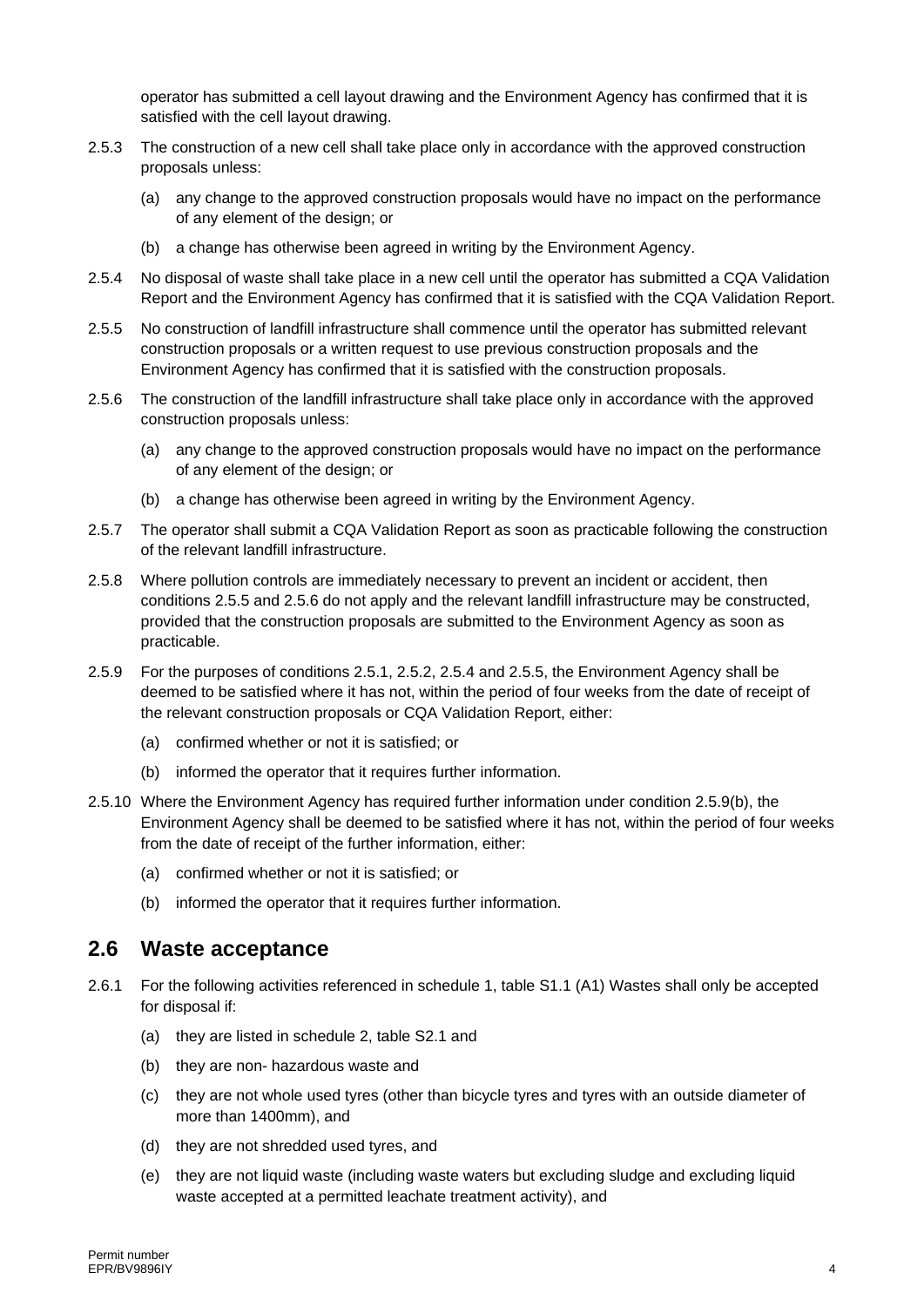operator has submitted a cell layout drawing and the Environment Agency has confirmed that it is satisfied with the cell layout drawing.

- 2.5.3 The construction of a new cell shall take place only in accordance with the approved construction proposals unless:
	- (a) any change to the approved construction proposals would have no impact on the performance of any element of the design; or
	- (b) a change has otherwise been agreed in writing by the Environment Agency.
- 2.5.4 No disposal of waste shall take place in a new cell until the operator has submitted a CQA Validation Report and the Environment Agency has confirmed that it is satisfied with the CQA Validation Report.
- 2.5.5 No construction of landfill infrastructure shall commence until the operator has submitted relevant construction proposals or a written request to use previous construction proposals and the Environment Agency has confirmed that it is satisfied with the construction proposals.
- 2.5.6 The construction of the landfill infrastructure shall take place only in accordance with the approved construction proposals unless:
	- (a) any change to the approved construction proposals would have no impact on the performance of any element of the design; or
	- (b) a change has otherwise been agreed in writing by the Environment Agency.
- 2.5.7 The operator shall submit a CQA Validation Report as soon as practicable following the construction of the relevant landfill infrastructure.
- 2.5.8 Where pollution controls are immediately necessary to prevent an incident or accident, then conditions 2.5.5 and 2.5.6 do not apply and the relevant landfill infrastructure may be constructed, provided that the construction proposals are submitted to the Environment Agency as soon as practicable.
- 2.5.9 For the purposes of conditions 2.5.1, 2.5.2, 2.5.4 and 2.5.5, the Environment Agency shall be deemed to be satisfied where it has not, within the period of four weeks from the date of receipt of the relevant construction proposals or CQA Validation Report, either:
	- (a) confirmed whether or not it is satisfied; or
	- (b) informed the operator that it requires further information.
- 2.5.10 Where the Environment Agency has required further information under condition 2.5.9(b), the Environment Agency shall be deemed to be satisfied where it has not, within the period of four weeks from the date of receipt of the further information, either:
	- (a) confirmed whether or not it is satisfied; or
	- (b) informed the operator that it requires further information.

#### **2.6 Waste acceptance**

- 2.6.1 For the following activities referenced in schedule 1, table S1.1 (A1) Wastes shall only be accepted for disposal if:
	- (a) they are listed in schedule 2, table S2.1 and
	- (b) they are non- hazardous waste and
	- (c) they are not whole used tyres (other than bicycle tyres and tyres with an outside diameter of more than 1400mm), and
	- (d) they are not shredded used tyres, and
	- (e) they are not liquid waste (including waste waters but excluding sludge and excluding liquid waste accepted at a permitted leachate treatment activity), and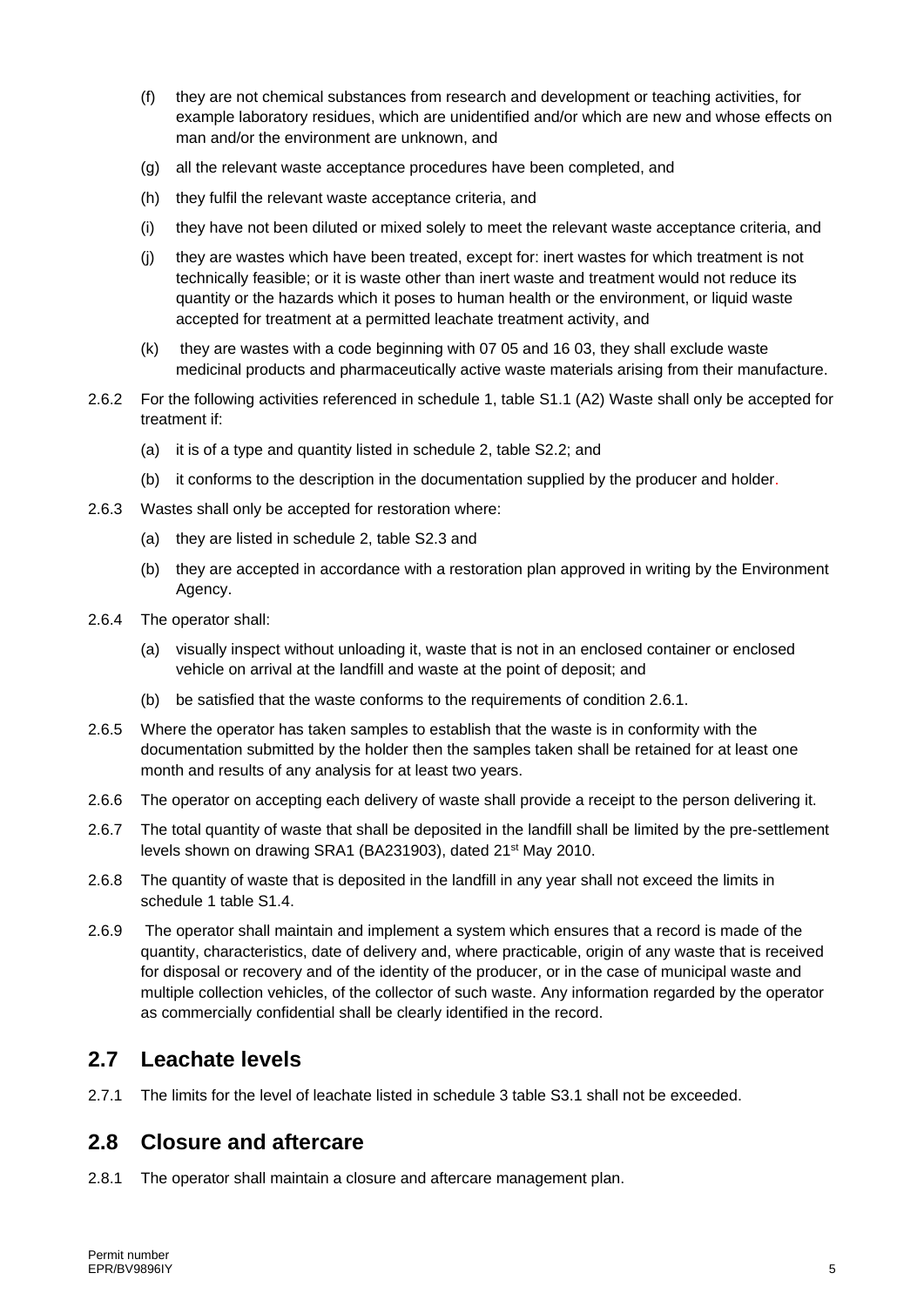- (f) they are not chemical substances from research and development or teaching activities, for example laboratory residues, which are unidentified and/or which are new and whose effects on man and/or the environment are unknown, and
- (g) all the relevant waste acceptance procedures have been completed, and
- (h) they fulfil the relevant waste acceptance criteria, and
- (i) they have not been diluted or mixed solely to meet the relevant waste acceptance criteria, and
- (j) they are wastes which have been treated, except for: inert wastes for which treatment is not technically feasible; or it is waste other than inert waste and treatment would not reduce its quantity or the hazards which it poses to human health or the environment, or liquid waste accepted for treatment at a permitted leachate treatment activity, and
- (k) they are wastes with a code beginning with 07 05 and 16 03, they shall exclude waste medicinal products and pharmaceutically active waste materials arising from their manufacture.
- 2.6.2 For the following activities referenced in schedule 1, table S1.1 (A2) Waste shall only be accepted for treatment if:
	- (a) it is of a type and quantity listed in schedule 2, table S2.2; and
	- (b) it conforms to the description in the documentation supplied by the producer and holder.
- 2.6.3 Wastes shall only be accepted for restoration where:
	- (a) they are listed in schedule 2, table S2.3 and
	- (b) they are accepted in accordance with a restoration plan approved in writing by the Environment Agency.
- 2.6.4 The operator shall:
	- (a) visually inspect without unloading it, waste that is not in an enclosed container or enclosed vehicle on arrival at the landfill and waste at the point of deposit; and
	- (b) be satisfied that the waste conforms to the requirements of condition 2.6.1.
- 2.6.5 Where the operator has taken samples to establish that the waste is in conformity with the documentation submitted by the holder then the samples taken shall be retained for at least one month and results of any analysis for at least two years.
- 2.6.6 The operator on accepting each delivery of waste shall provide a receipt to the person delivering it.
- 2.6.7 The total quantity of waste that shall be deposited in the landfill shall be limited by the pre-settlement levels shown on drawing SRA1 (BA231903), dated 21<sup>st</sup> May 2010.
- 2.6.8 The quantity of waste that is deposited in the landfill in any year shall not exceed the limits in schedule 1 table S1.4.
- 2.6.9 The operator shall maintain and implement a system which ensures that a record is made of the quantity, characteristics, date of delivery and, where practicable, origin of any waste that is received for disposal or recovery and of the identity of the producer, or in the case of municipal waste and multiple collection vehicles, of the collector of such waste. Any information regarded by the operator as commercially confidential shall be clearly identified in the record.

#### **2.7 Leachate levels**

2.7.1 The limits for the level of leachate listed in schedule 3 table S3.1 shall not be exceeded.

### **2.8 Closure and aftercare**

2.8.1 The operator shall maintain a closure and aftercare management plan.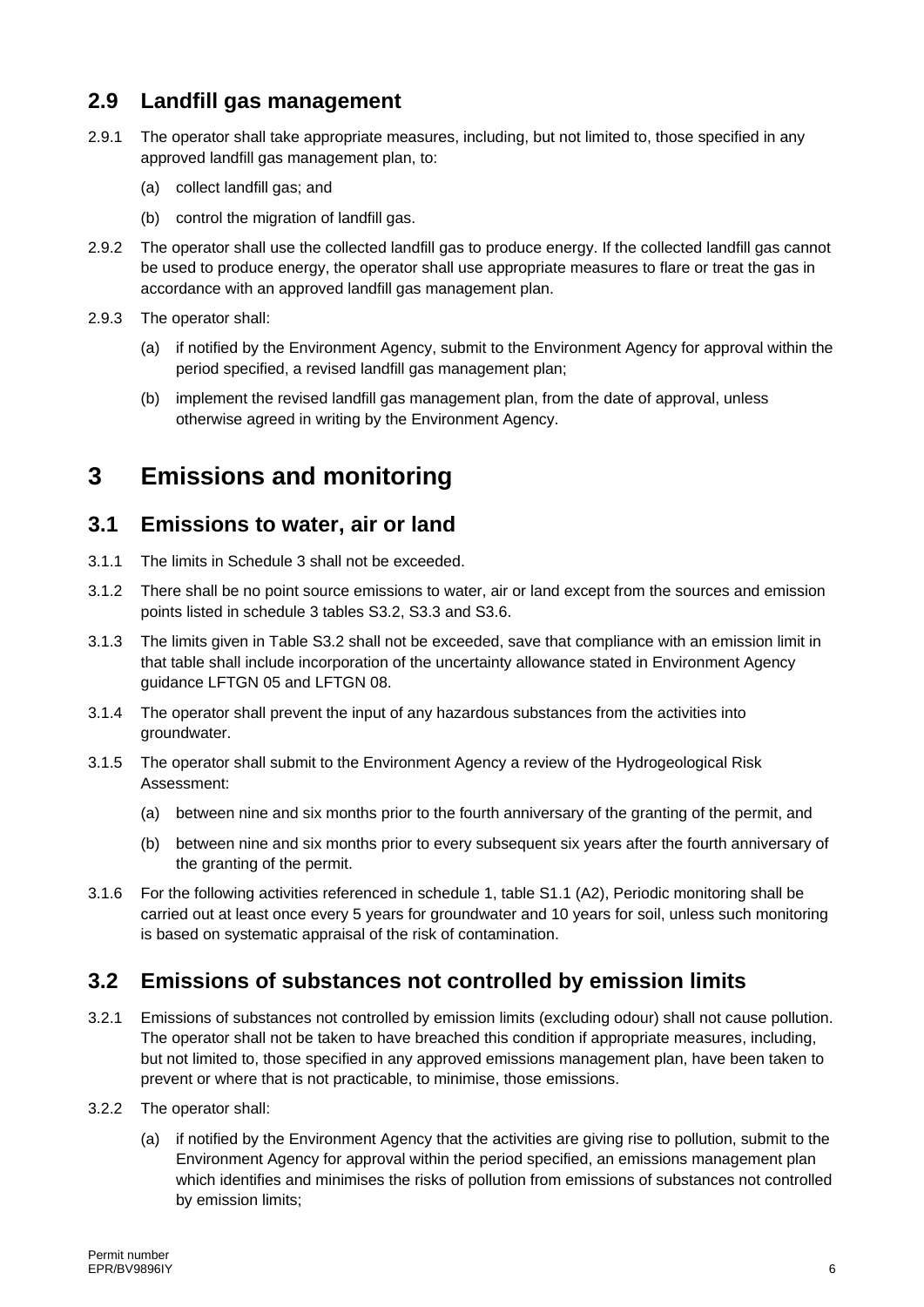### **2.9 Landfill gas management**

- 2.9.1 The operator shall take appropriate measures, including, but not limited to, those specified in any approved landfill gas management plan, to:
	- (a) collect landfill gas; and
	- (b) control the migration of landfill gas.
- 2.9.2 The operator shall use the collected landfill gas to produce energy. If the collected landfill gas cannot be used to produce energy, the operator shall use appropriate measures to flare or treat the gas in accordance with an approved landfill gas management plan.
- 2.9.3 The operator shall:
	- (a) if notified by the Environment Agency, submit to the Environment Agency for approval within the period specified, a revised landfill gas management plan;
	- (b) implement the revised landfill gas management plan, from the date of approval, unless otherwise agreed in writing by the Environment Agency.

## **3 Emissions and monitoring**

#### **3.1 Emissions to water, air or land**

- 3.1.1 The limits in Schedule 3 shall not be exceeded.
- 3.1.2 There shall be no point source emissions to water, air or land except from the sources and emission points listed in schedule 3 tables S3.2, S3.3 and S3.6.
- 3.1.3 The limits given in Table S3.2 shall not be exceeded, save that compliance with an emission limit in that table shall include incorporation of the uncertainty allowance stated in Environment Agency guidance LFTGN 05 and LFTGN 08.
- 3.1.4 The operator shall prevent the input of any hazardous substances from the activities into groundwater.
- 3.1.5 The operator shall submit to the Environment Agency a review of the Hydrogeological Risk Assessment:
	- (a) between nine and six months prior to the fourth anniversary of the granting of the permit, and
	- (b) between nine and six months prior to every subsequent six years after the fourth anniversary of the granting of the permit.
- 3.1.6 For the following activities referenced in schedule 1, table S1.1 (A2), Periodic monitoring shall be carried out at least once every 5 years for groundwater and 10 years for soil, unless such monitoring is based on systematic appraisal of the risk of contamination.

### **3.2 Emissions of substances not controlled by emission limits**

- 3.2.1 Emissions of substances not controlled by emission limits (excluding odour) shall not cause pollution. The operator shall not be taken to have breached this condition if appropriate measures, including, but not limited to, those specified in any approved emissions management plan, have been taken to prevent or where that is not practicable, to minimise, those emissions.
- 3.2.2 The operator shall:
	- (a) if notified by the Environment Agency that the activities are giving rise to pollution, submit to the Environment Agency for approval within the period specified, an emissions management plan which identifies and minimises the risks of pollution from emissions of substances not controlled by emission limits;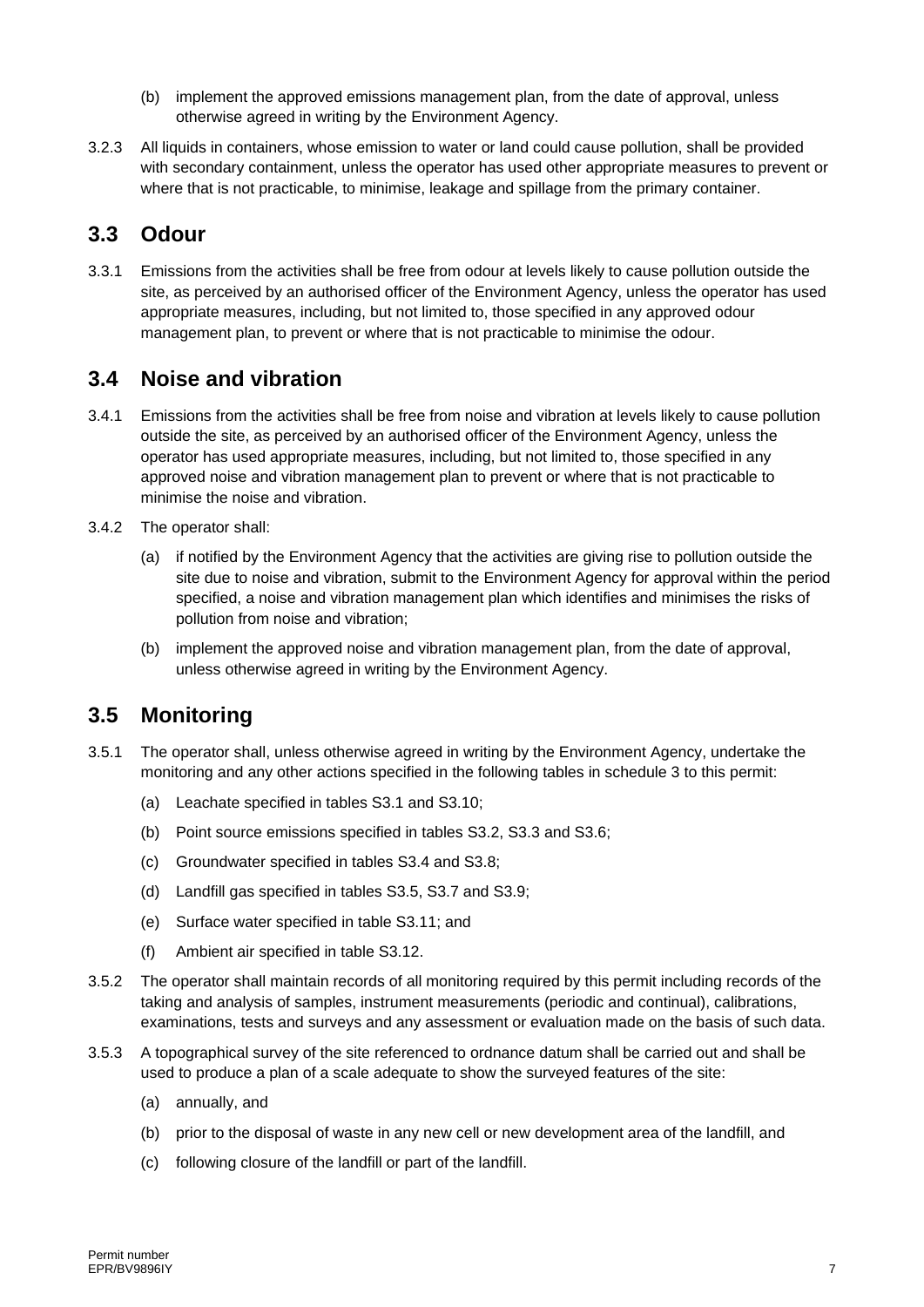- (b) implement the approved emissions management plan, from the date of approval, unless otherwise agreed in writing by the Environment Agency.
- 3.2.3 All liquids in containers, whose emission to water or land could cause pollution, shall be provided with secondary containment, unless the operator has used other appropriate measures to prevent or where that is not practicable, to minimise, leakage and spillage from the primary container.

#### **3.3 Odour**

3.3.1 Emissions from the activities shall be free from odour at levels likely to cause pollution outside the site, as perceived by an authorised officer of the Environment Agency, unless the operator has used appropriate measures, including, but not limited to, those specified in any approved odour management plan, to prevent or where that is not practicable to minimise the odour.

### **3.4 Noise and vibration**

- 3.4.1 Emissions from the activities shall be free from noise and vibration at levels likely to cause pollution outside the site, as perceived by an authorised officer of the Environment Agency, unless the operator has used appropriate measures, including, but not limited to, those specified in any approved noise and vibration management plan to prevent or where that is not practicable to minimise the noise and vibration.
- 3.4.2 The operator shall:
	- (a) if notified by the Environment Agency that the activities are giving rise to pollution outside the site due to noise and vibration, submit to the Environment Agency for approval within the period specified, a noise and vibration management plan which identifies and minimises the risks of pollution from noise and vibration;
	- (b) implement the approved noise and vibration management plan, from the date of approval, unless otherwise agreed in writing by the Environment Agency.

### **3.5 Monitoring**

- 3.5.1 The operator shall, unless otherwise agreed in writing by the Environment Agency, undertake the monitoring and any other actions specified in the following tables in schedule 3 to this permit:
	- (a) Leachate specified in tables S3.1 and S3.10;
	- (b) Point source emissions specified in tables S3.2, S3.3 and S3.6;
	- (c) Groundwater specified in tables S3.4 and S3.8;
	- (d) Landfill gas specified in tables S3.5, S3.7 and S3.9;
	- (e) Surface water specified in table S3.11; and
	- (f) Ambient air specified in table S3.12.
- 3.5.2 The operator shall maintain records of all monitoring required by this permit including records of the taking and analysis of samples, instrument measurements (periodic and continual), calibrations, examinations, tests and surveys and any assessment or evaluation made on the basis of such data.
- 3.5.3 A topographical survey of the site referenced to ordnance datum shall be carried out and shall be used to produce a plan of a scale adequate to show the surveyed features of the site:
	- (a) annually, and
	- (b) prior to the disposal of waste in any new cell or new development area of the landfill, and
	- (c) following closure of the landfill or part of the landfill.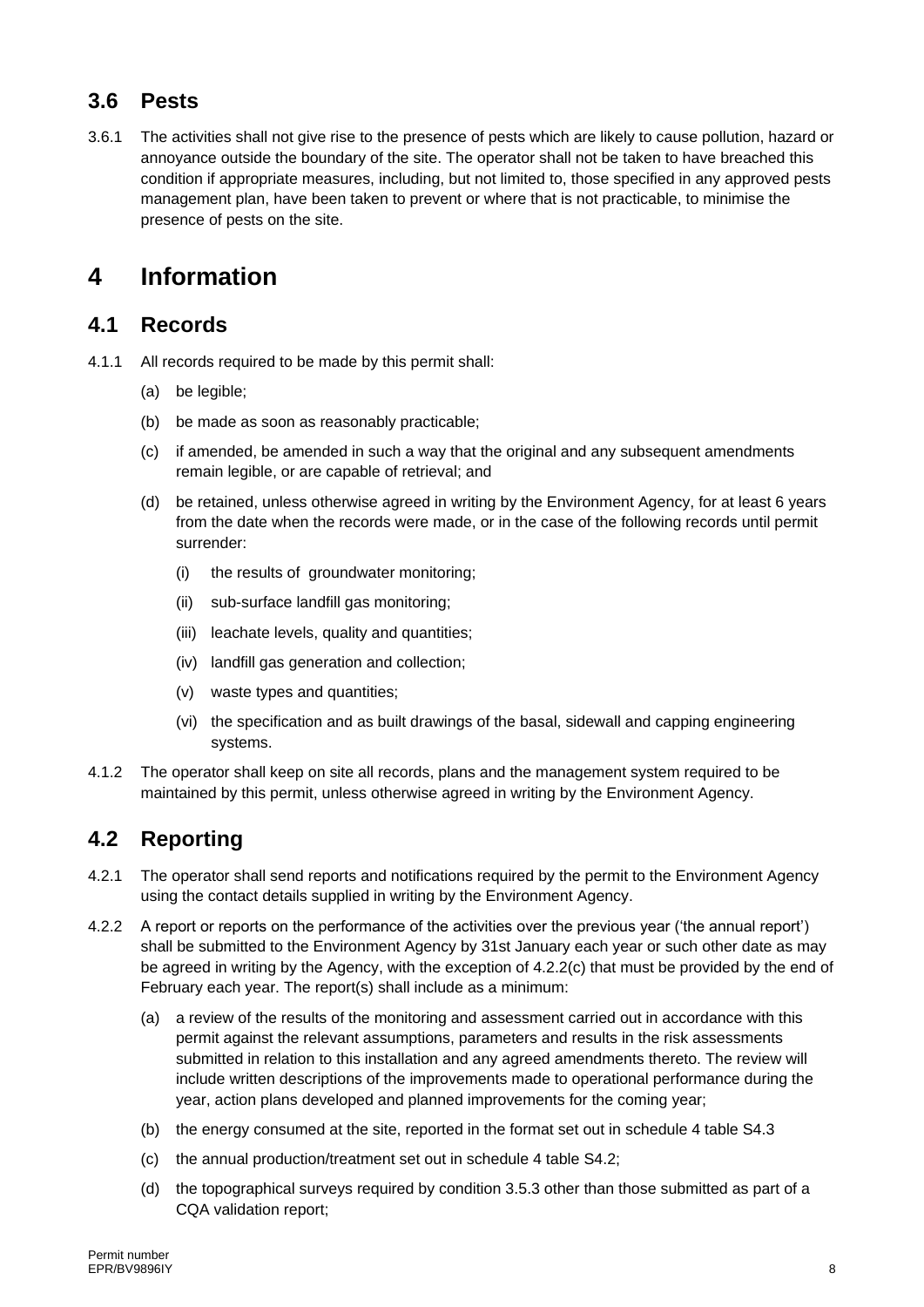### **3.6 Pests**

3.6.1 The activities shall not give rise to the presence of pests which are likely to cause pollution, hazard or annoyance outside the boundary of the site. The operator shall not be taken to have breached this condition if appropriate measures, including, but not limited to, those specified in any approved pests management plan, have been taken to prevent or where that is not practicable, to minimise the presence of pests on the site.

## **4 Information**

#### **4.1 Records**

- 4.1.1 All records required to be made by this permit shall:
	- (a) be legible;
	- (b) be made as soon as reasonably practicable;
	- (c) if amended, be amended in such a way that the original and any subsequent amendments remain legible, or are capable of retrieval; and
	- (d) be retained, unless otherwise agreed in writing by the Environment Agency, for at least 6 years from the date when the records were made, or in the case of the following records until permit surrender:
		- (i) the results of groundwater monitoring;
		- (ii) sub-surface landfill gas monitoring;
		- (iii) leachate levels, quality and quantities;
		- (iv) landfill gas generation and collection;
		- (v) waste types and quantities;
		- (vi) the specification and as built drawings of the basal, sidewall and capping engineering systems.
- 4.1.2 The operator shall keep on site all records, plans and the management system required to be maintained by this permit, unless otherwise agreed in writing by the Environment Agency.

### **4.2 Reporting**

- 4.2.1 The operator shall send reports and notifications required by the permit to the Environment Agency using the contact details supplied in writing by the Environment Agency.
- 4.2.2 A report or reports on the performance of the activities over the previous year ('the annual report') shall be submitted to the Environment Agency by 31st January each year or such other date as may be agreed in writing by the Agency, with the exception of 4.2.2(c) that must be provided by the end of February each year. The report(s) shall include as a minimum:
	- (a) a review of the results of the monitoring and assessment carried out in accordance with this permit against the relevant assumptions, parameters and results in the risk assessments submitted in relation to this installation and any agreed amendments thereto. The review will include written descriptions of the improvements made to operational performance during the year, action plans developed and planned improvements for the coming year;
	- (b) the energy consumed at the site, reported in the format set out in schedule 4 table S4.3
	- (c) the annual production/treatment set out in schedule 4 table S4.2;
	- (d) the topographical surveys required by condition 3.5.3 other than those submitted as part of a CQA validation report;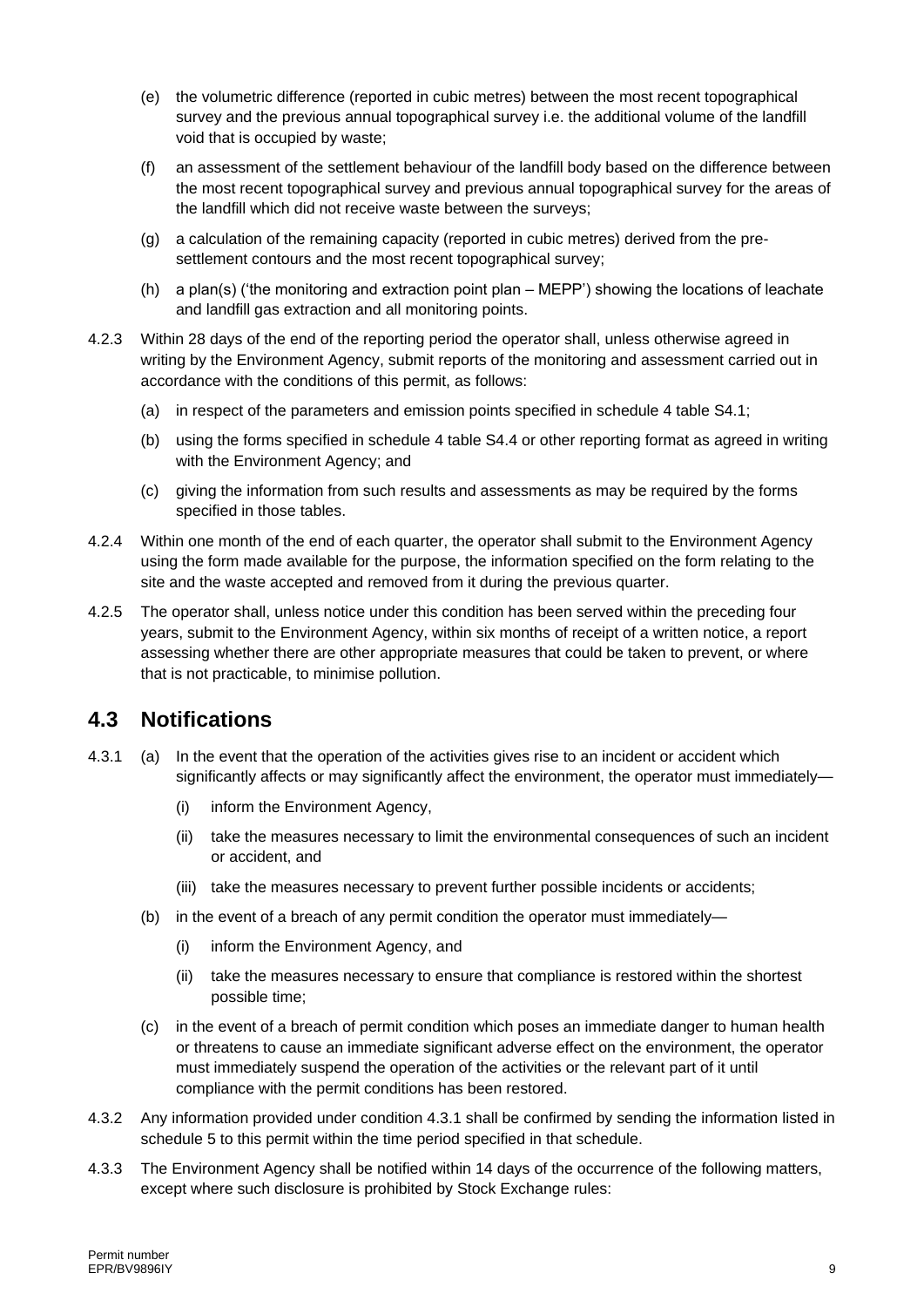- (e) the volumetric difference (reported in cubic metres) between the most recent topographical survey and the previous annual topographical survey i.e. the additional volume of the landfill void that is occupied by waste;
- (f) an assessment of the settlement behaviour of the landfill body based on the difference between the most recent topographical survey and previous annual topographical survey for the areas of the landfill which did not receive waste between the surveys;
- (g) a calculation of the remaining capacity (reported in cubic metres) derived from the presettlement contours and the most recent topographical survey;
- (h) a plan(s) ('the monitoring and extraction point plan MEPP') showing the locations of leachate and landfill gas extraction and all monitoring points.
- 4.2.3 Within 28 days of the end of the reporting period the operator shall, unless otherwise agreed in writing by the Environment Agency, submit reports of the monitoring and assessment carried out in accordance with the conditions of this permit, as follows:
	- (a) in respect of the parameters and emission points specified in schedule 4 table S4.1;
	- (b) using the forms specified in schedule 4 table S4.4 or other reporting format as agreed in writing with the Environment Agency; and
	- (c) giving the information from such results and assessments as may be required by the forms specified in those tables.
- 4.2.4 Within one month of the end of each quarter, the operator shall submit to the Environment Agency using the form made available for the purpose, the information specified on the form relating to the site and the waste accepted and removed from it during the previous quarter.
- 4.2.5 The operator shall, unless notice under this condition has been served within the preceding four years, submit to the Environment Agency, within six months of receipt of a written notice, a report assessing whether there are other appropriate measures that could be taken to prevent, or where that is not practicable, to minimise pollution.

#### **4.3 Notifications**

- 4.3.1 (a) In the event that the operation of the activities gives rise to an incident or accident which significantly affects or may significantly affect the environment, the operator must immediately-
	- (i) inform the Environment Agency,
	- (ii) take the measures necessary to limit the environmental consequences of such an incident or accident, and
	- (iii) take the measures necessary to prevent further possible incidents or accidents;
	- (b) in the event of a breach of any permit condition the operator must immediately—
		- (i) inform the Environment Agency, and
		- (ii) take the measures necessary to ensure that compliance is restored within the shortest possible time;
	- (c) in the event of a breach of permit condition which poses an immediate danger to human health or threatens to cause an immediate significant adverse effect on the environment, the operator must immediately suspend the operation of the activities or the relevant part of it until compliance with the permit conditions has been restored.
- 4.3.2 Any information provided under condition 4.3.1 shall be confirmed by sending the information listed in schedule 5 to this permit within the time period specified in that schedule.
- 4.3.3 The Environment Agency shall be notified within 14 days of the occurrence of the following matters, except where such disclosure is prohibited by Stock Exchange rules: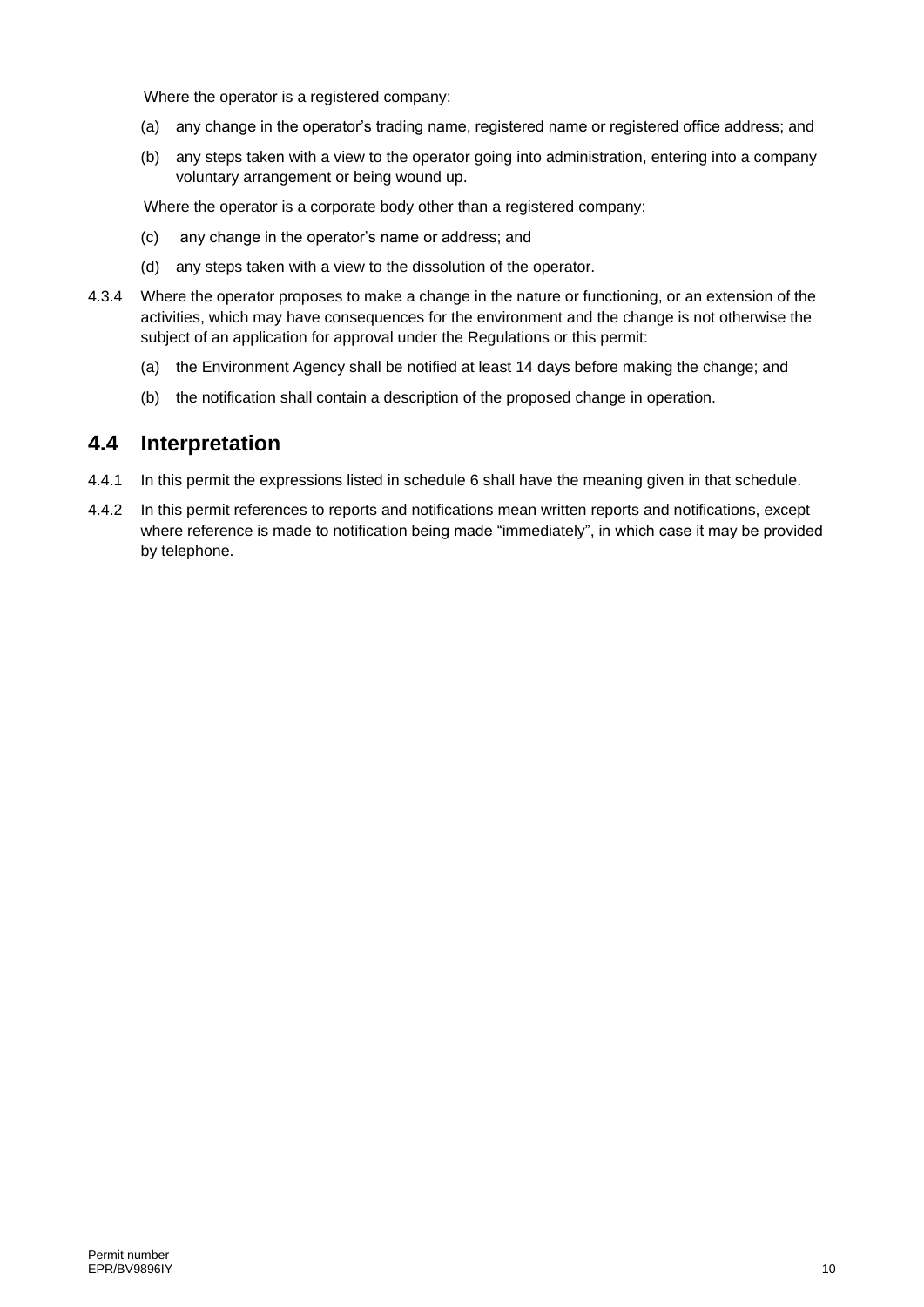Where the operator is a registered company:

- (a) any change in the operator's trading name, registered name or registered office address; and
- (b) any steps taken with a view to the operator going into administration, entering into a company voluntary arrangement or being wound up.

Where the operator is a corporate body other than a registered company:

- (c) any change in the operator's name or address; and
- (d) any steps taken with a view to the dissolution of the operator.
- 4.3.4 Where the operator proposes to make a change in the nature or functioning, or an extension of the activities, which may have consequences for the environment and the change is not otherwise the subject of an application for approval under the Regulations or this permit:
	- (a) the Environment Agency shall be notified at least 14 days before making the change; and
	- (b) the notification shall contain a description of the proposed change in operation.

#### **4.4 Interpretation**

- 4.4.1 In this permit the expressions listed in schedule 6 shall have the meaning given in that schedule.
- 4.4.2 In this permit references to reports and notifications mean written reports and notifications, except where reference is made to notification being made "immediately", in which case it may be provided by telephone.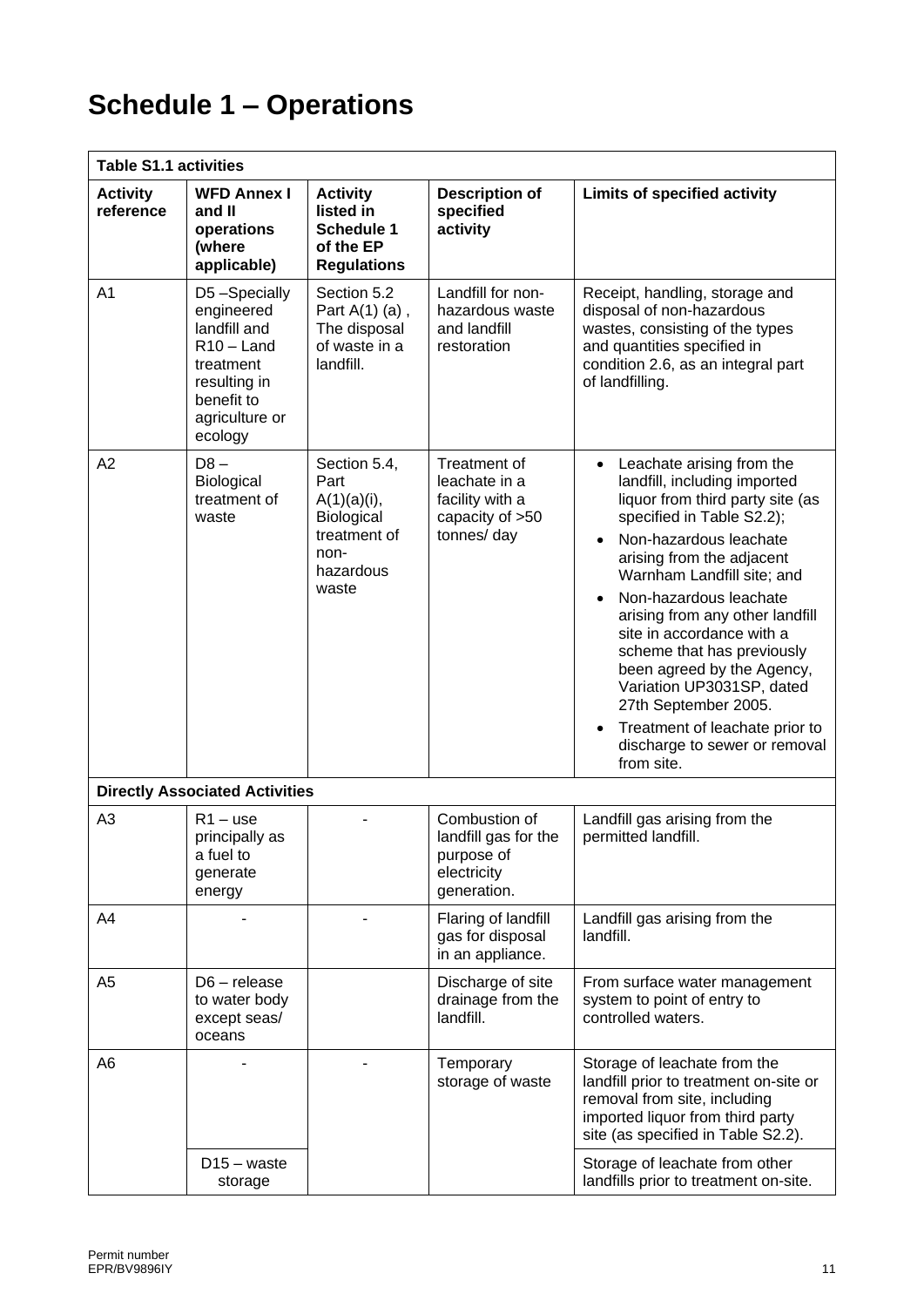# **Schedule 1 – Operations**

| <b>Table S1.1 activities</b> |                                                                                                                                    |                                                                                                    |                                                                                   |                                                                                                                                                                                                                                                                                                                                                                                                                                                                                                                          |
|------------------------------|------------------------------------------------------------------------------------------------------------------------------------|----------------------------------------------------------------------------------------------------|-----------------------------------------------------------------------------------|--------------------------------------------------------------------------------------------------------------------------------------------------------------------------------------------------------------------------------------------------------------------------------------------------------------------------------------------------------------------------------------------------------------------------------------------------------------------------------------------------------------------------|
| <b>Activity</b><br>reference | <b>WFD Annex I</b><br>and II<br>operations<br>(where<br>applicable)                                                                | <b>Activity</b><br>listed in<br><b>Schedule 1</b><br>of the EP<br><b>Regulations</b>               | <b>Description of</b><br>specified<br>activity                                    | <b>Limits of specified activity</b>                                                                                                                                                                                                                                                                                                                                                                                                                                                                                      |
| A <sub>1</sub>               | D5-Specially<br>engineered<br>landfill and<br>$R10 -$ Land<br>treatment<br>resulting in<br>benefit to<br>agriculture or<br>ecology | Section 5.2<br>Part $A(1)$ (a),<br>The disposal<br>of waste in a<br>landfill.                      | Landfill for non-<br>hazardous waste<br>and landfill<br>restoration               | Receipt, handling, storage and<br>disposal of non-hazardous<br>wastes, consisting of the types<br>and quantities specified in<br>condition 2.6, as an integral part<br>of landfilling.                                                                                                                                                                                                                                                                                                                                   |
| A <sub>2</sub>               | $D8 -$<br>Biological<br>treatment of<br>waste                                                                                      | Section 5.4,<br>Part<br>$A(1)(a)(i)$ ,<br>Biological<br>treatment of<br>non-<br>hazardous<br>waste | Treatment of<br>leachate in a<br>facility with a<br>capacity of >50<br>tonnes/day | Leachate arising from the<br>$\bullet$<br>landfill, including imported<br>liquor from third party site (as<br>specified in Table S2.2);<br>Non-hazardous leachate<br>arising from the adjacent<br>Warnham Landfill site; and<br>Non-hazardous leachate<br>arising from any other landfill<br>site in accordance with a<br>scheme that has previously<br>been agreed by the Agency,<br>Variation UP3031SP, dated<br>27th September 2005.<br>Treatment of leachate prior to<br>discharge to sewer or removal<br>from site. |
|                              | <b>Directly Associated Activities</b>                                                                                              |                                                                                                    |                                                                                   |                                                                                                                                                                                                                                                                                                                                                                                                                                                                                                                          |
| A <sub>3</sub>               | $R1 - use$<br>principally as<br>a fuel to<br>generate<br>energy                                                                    |                                                                                                    | Combustion of<br>landfill gas for the<br>purpose of<br>electricity<br>generation. | Landfill gas arising from the<br>permitted landfill.                                                                                                                                                                                                                                                                                                                                                                                                                                                                     |
| A4                           |                                                                                                                                    |                                                                                                    | Flaring of landfill<br>gas for disposal<br>in an appliance.                       | Landfill gas arising from the<br>landfill.                                                                                                                                                                                                                                                                                                                                                                                                                                                                               |
| A <sub>5</sub>               | $D6$ – release<br>to water body<br>except seas/<br>oceans                                                                          |                                                                                                    | Discharge of site<br>drainage from the<br>landfill.                               | From surface water management<br>system to point of entry to<br>controlled waters.                                                                                                                                                                                                                                                                                                                                                                                                                                       |
| A6                           |                                                                                                                                    |                                                                                                    | Temporary<br>storage of waste                                                     | Storage of leachate from the<br>landfill prior to treatment on-site or<br>removal from site, including<br>imported liquor from third party<br>site (as specified in Table S2.2).                                                                                                                                                                                                                                                                                                                                         |
|                              | $D15 - waste$<br>storage                                                                                                           |                                                                                                    |                                                                                   | Storage of leachate from other<br>landfills prior to treatment on-site.                                                                                                                                                                                                                                                                                                                                                                                                                                                  |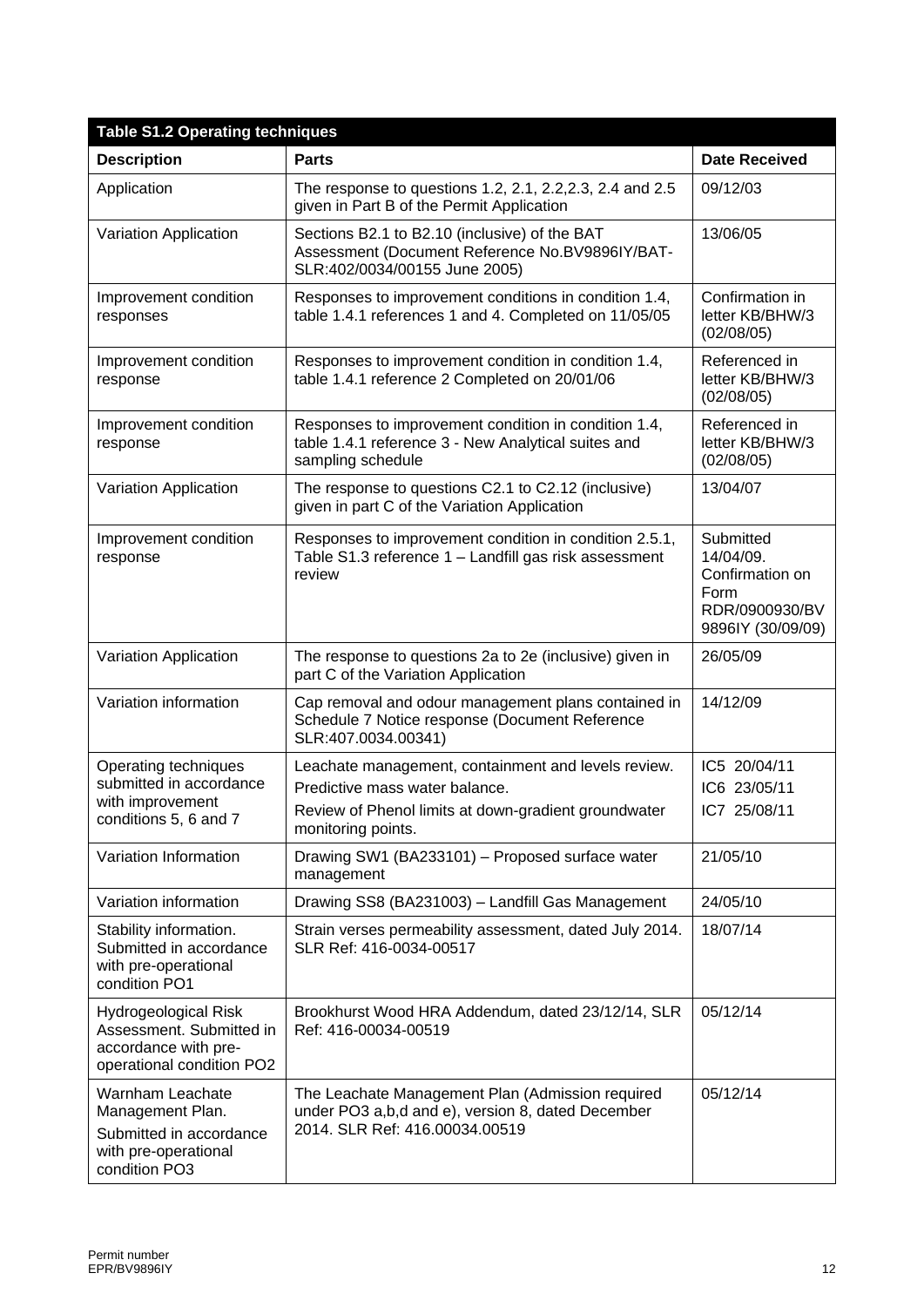| <b>Table S1.2 Operating techniques</b>                                                                   |                                                                                                                                                                     |                                                                                          |  |
|----------------------------------------------------------------------------------------------------------|---------------------------------------------------------------------------------------------------------------------------------------------------------------------|------------------------------------------------------------------------------------------|--|
| <b>Description</b>                                                                                       | <b>Parts</b>                                                                                                                                                        | <b>Date Received</b>                                                                     |  |
| Application                                                                                              | The response to questions 1.2, 2.1, 2.2, 2.3, 2.4 and 2.5<br>given in Part B of the Permit Application                                                              | 09/12/03                                                                                 |  |
| Variation Application                                                                                    | Sections B2.1 to B2.10 (inclusive) of the BAT<br>Assessment (Document Reference No.BV9896IY/BAT-<br>SLR:402/0034/00155 June 2005)                                   | 13/06/05                                                                                 |  |
| Improvement condition<br>responses                                                                       | Responses to improvement conditions in condition 1.4,<br>table 1.4.1 references 1 and 4. Completed on 11/05/05                                                      | Confirmation in<br>letter KB/BHW/3<br>(02/08/05)                                         |  |
| Improvement condition<br>response                                                                        | Responses to improvement condition in condition 1.4,<br>table 1.4.1 reference 2 Completed on 20/01/06                                                               | Referenced in<br>letter KB/BHW/3<br>(02/08/05)                                           |  |
| Improvement condition<br>response                                                                        | Responses to improvement condition in condition 1.4,<br>table 1.4.1 reference 3 - New Analytical suites and<br>sampling schedule                                    | Referenced in<br>letter KB/BHW/3<br>(02/08/05)                                           |  |
| Variation Application                                                                                    | The response to questions C2.1 to C2.12 (inclusive)<br>given in part C of the Variation Application                                                                 | 13/04/07                                                                                 |  |
| Improvement condition<br>response                                                                        | Responses to improvement condition in condition 2.5.1,<br>Table S1.3 reference 1 - Landfill gas risk assessment<br>review                                           | Submitted<br>14/04/09.<br>Confirmation on<br>Form<br>RDR/0900930/BV<br>9896IY (30/09/09) |  |
| Variation Application                                                                                    | The response to questions 2a to 2e (inclusive) given in<br>part C of the Variation Application                                                                      | 26/05/09                                                                                 |  |
| Variation information                                                                                    | Cap removal and odour management plans contained in<br>Schedule 7 Notice response (Document Reference<br>SLR:407.0034.00341)                                        | 14/12/09                                                                                 |  |
| Operating techniques<br>submitted in accordance<br>with improvement<br>conditions 5, 6 and 7             | Leachate management, containment and levels review.<br>Predictive mass water balance.<br>Review of Phenol limits at down-gradient groundwater<br>monitoring points. | IC5 20/04/11<br>IC6 23/05/11<br>IC7 25/08/11                                             |  |
| Variation Information                                                                                    | Drawing SW1 (BA233101) - Proposed surface water<br>management                                                                                                       | 21/05/10                                                                                 |  |
| Variation information                                                                                    | Drawing SS8 (BA231003) - Landfill Gas Management                                                                                                                    | 24/05/10                                                                                 |  |
| Stability information.<br>Submitted in accordance<br>with pre-operational<br>condition PO1               | Strain verses permeability assessment, dated July 2014.<br>SLR Ref: 416-0034-00517                                                                                  | 18/07/14                                                                                 |  |
| Hydrogeological Risk<br>Assessment. Submitted in<br>accordance with pre-<br>operational condition PO2    | Brookhurst Wood HRA Addendum, dated 23/12/14, SLR<br>Ref: 416-00034-00519                                                                                           | 05/12/14                                                                                 |  |
| Warnham Leachate<br>Management Plan.<br>Submitted in accordance<br>with pre-operational<br>condition PO3 | The Leachate Management Plan (Admission required<br>under PO3 a,b,d and e), version 8, dated December<br>2014. SLR Ref: 416.00034.00519                             | 05/12/14                                                                                 |  |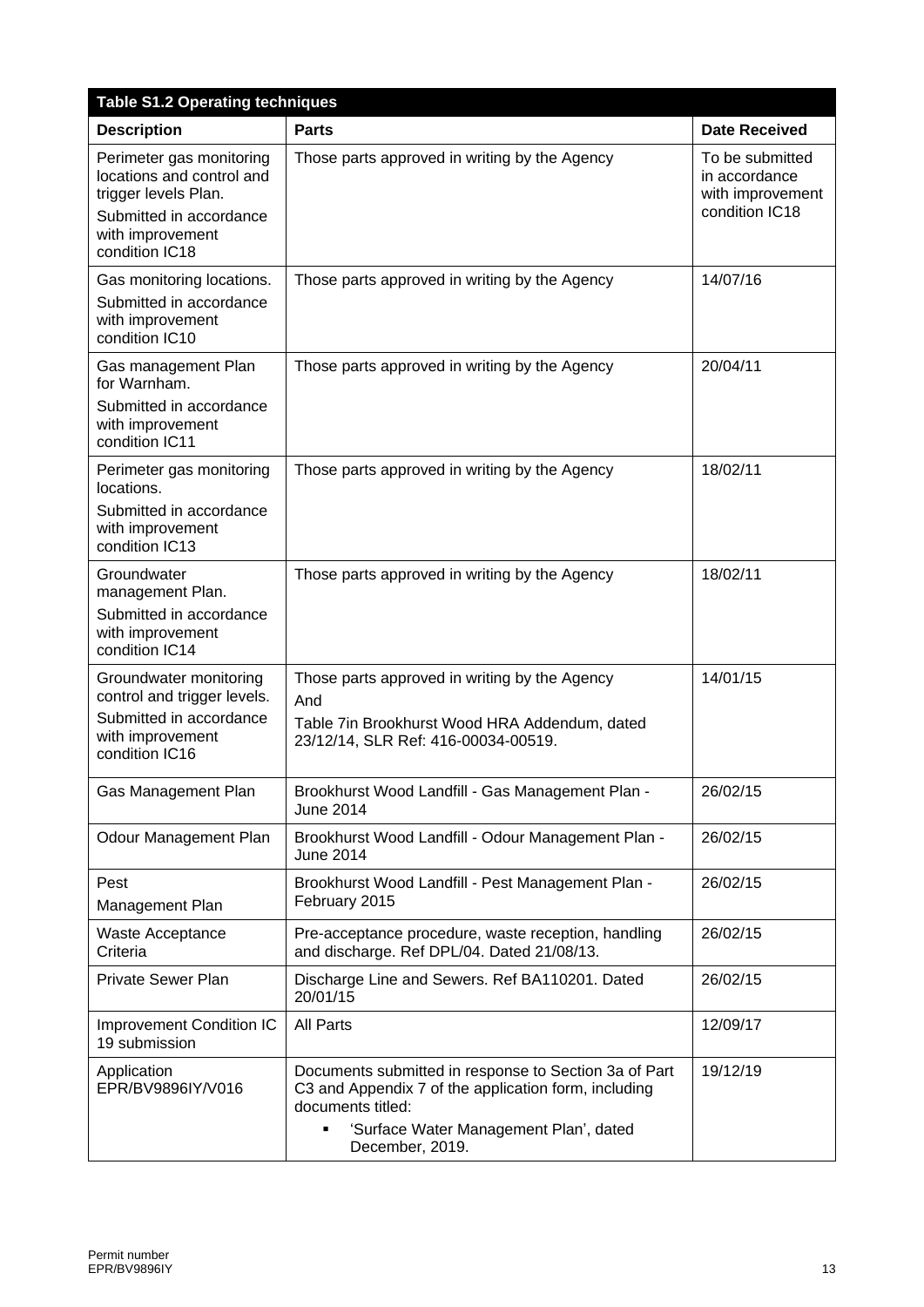| <b>Table S1.2 Operating techniques</b>                                                                                                         |                                                                                                                                                                                                      |                                                                        |  |
|------------------------------------------------------------------------------------------------------------------------------------------------|------------------------------------------------------------------------------------------------------------------------------------------------------------------------------------------------------|------------------------------------------------------------------------|--|
| <b>Description</b>                                                                                                                             | <b>Parts</b>                                                                                                                                                                                         | <b>Date Received</b>                                                   |  |
| Perimeter gas monitoring<br>locations and control and<br>trigger levels Plan.<br>Submitted in accordance<br>with improvement<br>condition IC18 | Those parts approved in writing by the Agency                                                                                                                                                        | To be submitted<br>in accordance<br>with improvement<br>condition IC18 |  |
| Gas monitoring locations.<br>Submitted in accordance<br>with improvement<br>condition IC10                                                     | Those parts approved in writing by the Agency                                                                                                                                                        | 14/07/16                                                               |  |
| Gas management Plan<br>for Warnham.<br>Submitted in accordance<br>with improvement<br>condition IC11                                           | Those parts approved in writing by the Agency                                                                                                                                                        | 20/04/11                                                               |  |
| Perimeter gas monitoring<br>locations.<br>Submitted in accordance<br>with improvement<br>condition IC13                                        | Those parts approved in writing by the Agency                                                                                                                                                        | 18/02/11                                                               |  |
| Groundwater<br>management Plan.<br>Submitted in accordance<br>with improvement<br>condition IC14                                               | Those parts approved in writing by the Agency                                                                                                                                                        | 18/02/11                                                               |  |
| Groundwater monitoring<br>control and trigger levels.<br>Submitted in accordance<br>with improvement<br>condition IC16                         | Those parts approved in writing by the Agency<br>And<br>Table 7in Brookhurst Wood HRA Addendum, dated<br>23/12/14, SLR Ref: 416-00034-00519.                                                         | 14/01/15                                                               |  |
| Gas Management Plan                                                                                                                            | Brookhurst Wood Landfill - Gas Management Plan -<br><b>June 2014</b>                                                                                                                                 | 26/02/15                                                               |  |
| Odour Management Plan                                                                                                                          | Brookhurst Wood Landfill - Odour Management Plan -<br>June 2014                                                                                                                                      | 26/02/15                                                               |  |
| Pest<br>Management Plan                                                                                                                        | Brookhurst Wood Landfill - Pest Management Plan -<br>February 2015                                                                                                                                   | 26/02/15                                                               |  |
| Waste Acceptance<br>Criteria                                                                                                                   | Pre-acceptance procedure, waste reception, handling<br>and discharge. Ref DPL/04. Dated 21/08/13.                                                                                                    | 26/02/15                                                               |  |
| <b>Private Sewer Plan</b>                                                                                                                      | Discharge Line and Sewers. Ref BA110201. Dated<br>20/01/15                                                                                                                                           | 26/02/15                                                               |  |
| <b>Improvement Condition IC</b><br>19 submission                                                                                               | All Parts                                                                                                                                                                                            | 12/09/17                                                               |  |
| Application<br>EPR/BV9896IY/V016                                                                                                               | Documents submitted in response to Section 3a of Part<br>C3 and Appendix 7 of the application form, including<br>documents titled:<br>'Surface Water Management Plan', dated<br>٠<br>December, 2019. | 19/12/19                                                               |  |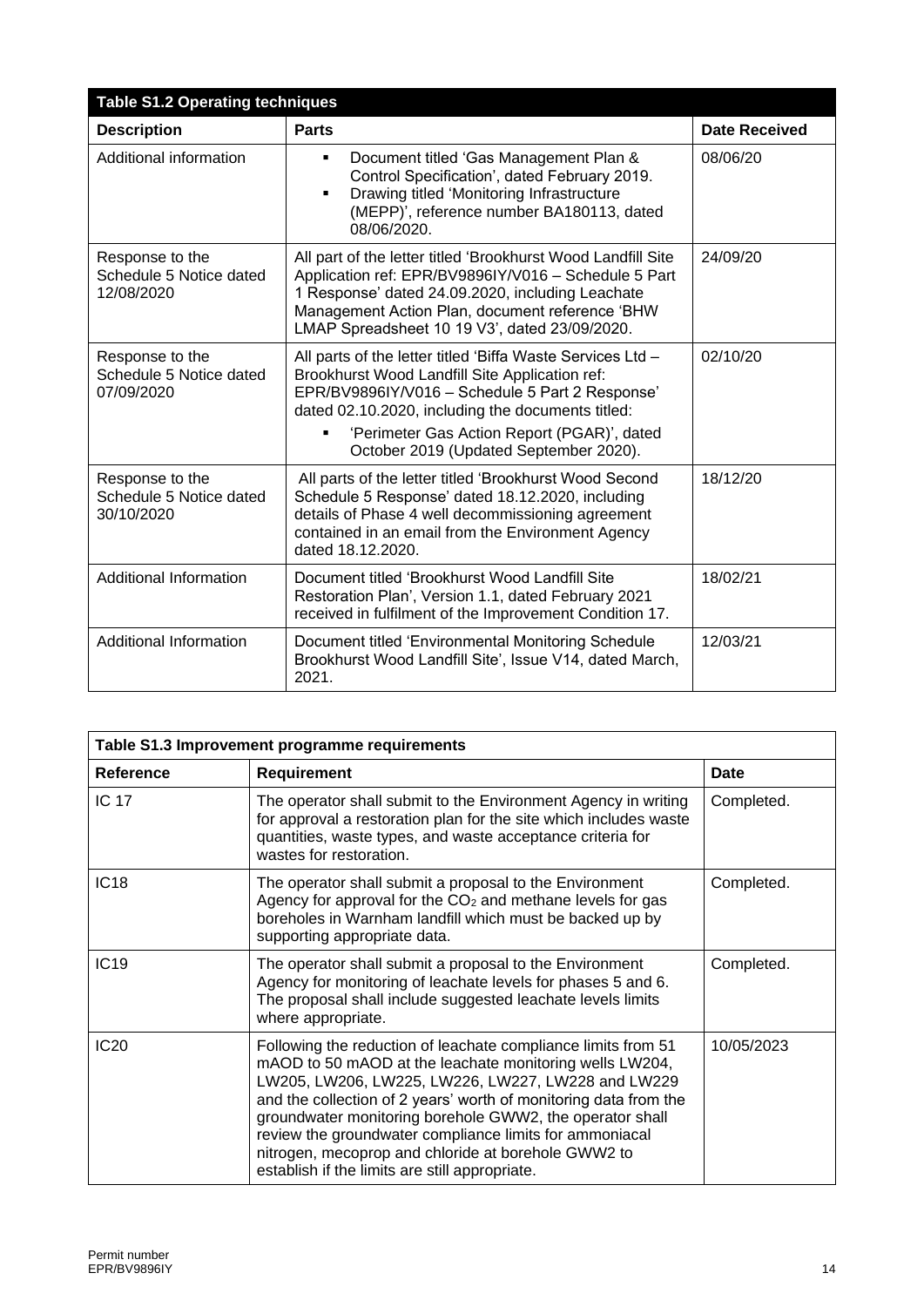| <b>Table S1.2 Operating techniques</b>                   |                                                                                                                                                                                                                                                                                                               |                      |  |
|----------------------------------------------------------|---------------------------------------------------------------------------------------------------------------------------------------------------------------------------------------------------------------------------------------------------------------------------------------------------------------|----------------------|--|
| <b>Description</b>                                       | <b>Parts</b>                                                                                                                                                                                                                                                                                                  | <b>Date Received</b> |  |
| Additional information                                   | Document titled 'Gas Management Plan &<br>٠<br>Control Specification', dated February 2019.<br>Drawing titled 'Monitoring Infrastructure<br>$\blacksquare$<br>(MEPP)', reference number BA180113, dated<br>08/06/2020.                                                                                        | 08/06/20             |  |
| Response to the<br>Schedule 5 Notice dated<br>12/08/2020 | All part of the letter titled 'Brookhurst Wood Landfill Site<br>Application ref: EPR/BV9896IY/V016 - Schedule 5 Part<br>1 Response' dated 24.09.2020, including Leachate<br>Management Action Plan, document reference 'BHW<br>LMAP Spreadsheet 10 19 V3', dated 23/09/2020.                                  | 24/09/20             |  |
| Response to the<br>Schedule 5 Notice dated<br>07/09/2020 | All parts of the letter titled 'Biffa Waste Services Ltd -<br>Brookhurst Wood Landfill Site Application ref:<br>EPR/BV9896IY/V016 - Schedule 5 Part 2 Response'<br>dated 02.10.2020, including the documents titled:<br>'Perimeter Gas Action Report (PGAR)', dated<br>October 2019 (Updated September 2020). | 02/10/20             |  |
| Response to the<br>Schedule 5 Notice dated<br>30/10/2020 | All parts of the letter titled 'Brookhurst Wood Second<br>Schedule 5 Response' dated 18.12.2020, including<br>details of Phase 4 well decommissioning agreement<br>contained in an email from the Environment Agency<br>dated 18.12.2020.                                                                     | 18/12/20             |  |
| <b>Additional Information</b>                            | Document titled 'Brookhurst Wood Landfill Site<br>Restoration Plan', Version 1.1, dated February 2021<br>received in fulfilment of the Improvement Condition 17.                                                                                                                                              | 18/02/21             |  |
| <b>Additional Information</b>                            | Document titled 'Environmental Monitoring Schedule<br>Brookhurst Wood Landfill Site', Issue V14, dated March,<br>2021.                                                                                                                                                                                        | 12/03/21             |  |

| Table S1.3 Improvement programme requirements |                                                                                                                                                                                                                                                                                                                                                                                                                                                                                    |             |
|-----------------------------------------------|------------------------------------------------------------------------------------------------------------------------------------------------------------------------------------------------------------------------------------------------------------------------------------------------------------------------------------------------------------------------------------------------------------------------------------------------------------------------------------|-------------|
| <b>Reference</b>                              | <b>Requirement</b>                                                                                                                                                                                                                                                                                                                                                                                                                                                                 | <b>Date</b> |
| <b>IC 17</b>                                  | The operator shall submit to the Environment Agency in writing<br>for approval a restoration plan for the site which includes waste<br>quantities, waste types, and waste acceptance criteria for<br>wastes for restoration.                                                                                                                                                                                                                                                       | Completed.  |
| IC <sub>18</sub>                              | The operator shall submit a proposal to the Environment<br>Agency for approval for the CO <sub>2</sub> and methane levels for gas<br>boreholes in Warnham landfill which must be backed up by<br>supporting appropriate data.                                                                                                                                                                                                                                                      | Completed.  |
| IC <sub>19</sub>                              | The operator shall submit a proposal to the Environment<br>Agency for monitoring of leachate levels for phases 5 and 6.<br>The proposal shall include suggested leachate levels limits<br>where appropriate.                                                                                                                                                                                                                                                                       | Completed.  |
| <b>IC20</b>                                   | Following the reduction of leachate compliance limits from 51<br>mAOD to 50 mAOD at the leachate monitoring wells LW204,<br>LW205, LW206, LW225, LW226, LW227, LW228 and LW229<br>and the collection of 2 years' worth of monitoring data from the<br>groundwater monitoring borehole GWW2, the operator shall<br>review the groundwater compliance limits for ammoniacal<br>nitrogen, mecoprop and chloride at borehole GWW2 to<br>establish if the limits are still appropriate. | 10/05/2023  |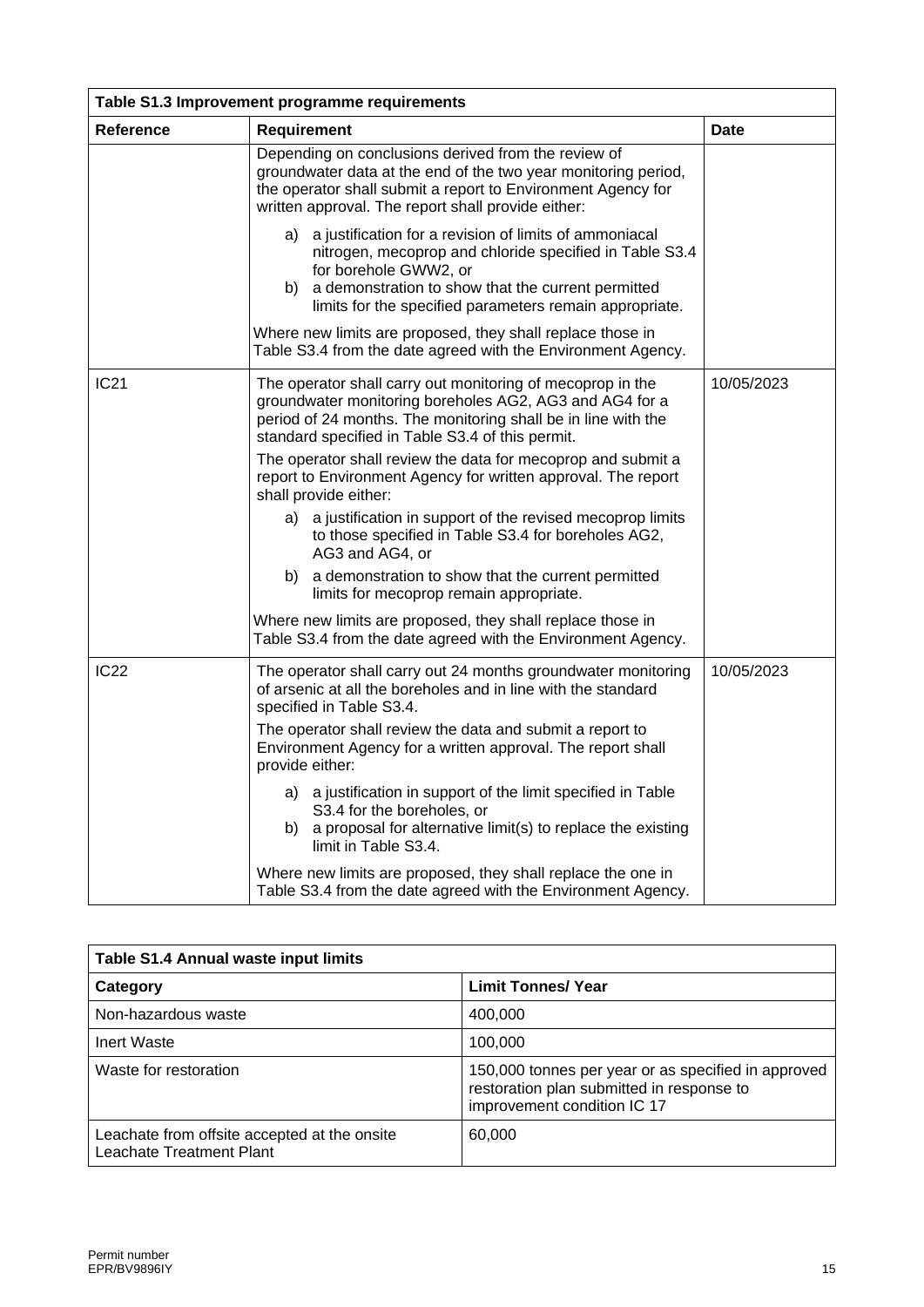| Table S1.3 Improvement programme requirements |                                                                                                                                                                                                                                                                   |             |  |
|-----------------------------------------------|-------------------------------------------------------------------------------------------------------------------------------------------------------------------------------------------------------------------------------------------------------------------|-------------|--|
| <b>Reference</b>                              | Requirement                                                                                                                                                                                                                                                       | <b>Date</b> |  |
|                                               | Depending on conclusions derived from the review of<br>groundwater data at the end of the two year monitoring period,<br>the operator shall submit a report to Environment Agency for<br>written approval. The report shall provide either:                       |             |  |
|                                               | a) a justification for a revision of limits of ammoniacal<br>nitrogen, mecoprop and chloride specified in Table S3.4<br>for borehole GWW2, or<br>b) a demonstration to show that the current permitted<br>limits for the specified parameters remain appropriate. |             |  |
|                                               | Where new limits are proposed, they shall replace those in<br>Table S3.4 from the date agreed with the Environment Agency.                                                                                                                                        |             |  |
| <b>IC21</b>                                   | The operator shall carry out monitoring of mecoprop in the<br>groundwater monitoring boreholes AG2, AG3 and AG4 for a<br>period of 24 months. The monitoring shall be in line with the<br>standard specified in Table S3.4 of this permit.                        | 10/05/2023  |  |
|                                               | The operator shall review the data for mecoprop and submit a<br>report to Environment Agency for written approval. The report<br>shall provide either:                                                                                                            |             |  |
|                                               | a) a justification in support of the revised mecoprop limits<br>to those specified in Table S3.4 for boreholes AG2,<br>AG3 and AG4, or                                                                                                                            |             |  |
|                                               | b) a demonstration to show that the current permitted<br>limits for mecoprop remain appropriate.                                                                                                                                                                  |             |  |
|                                               | Where new limits are proposed, they shall replace those in<br>Table S3.4 from the date agreed with the Environment Agency.                                                                                                                                        |             |  |
| <b>IC22</b>                                   | The operator shall carry out 24 months groundwater monitoring<br>of arsenic at all the boreholes and in line with the standard<br>specified in Table S3.4.                                                                                                        | 10/05/2023  |  |
|                                               | The operator shall review the data and submit a report to<br>Environment Agency for a written approval. The report shall<br>provide either:                                                                                                                       |             |  |
|                                               | a justification in support of the limit specified in Table<br>a)<br>S3.4 for the boreholes, or<br>a proposal for alternative limit(s) to replace the existing<br>b)<br>limit in Table S3.4.                                                                       |             |  |
|                                               | Where new limits are proposed, they shall replace the one in<br>Table S3.4 from the date agreed with the Environment Agency.                                                                                                                                      |             |  |

| Table S1.4 Annual waste input limits                                     |                                                                                                                                 |  |
|--------------------------------------------------------------------------|---------------------------------------------------------------------------------------------------------------------------------|--|
| Category                                                                 | <b>Limit Tonnes/ Year</b>                                                                                                       |  |
| Non-hazardous waste                                                      | 400,000                                                                                                                         |  |
| Inert Waste                                                              | 100.000                                                                                                                         |  |
| Waste for restoration                                                    | 150,000 tonnes per year or as specified in approved<br>restoration plan submitted in response to<br>improvement condition IC 17 |  |
| Leachate from offsite accepted at the onsite<br>Leachate Treatment Plant | 60,000                                                                                                                          |  |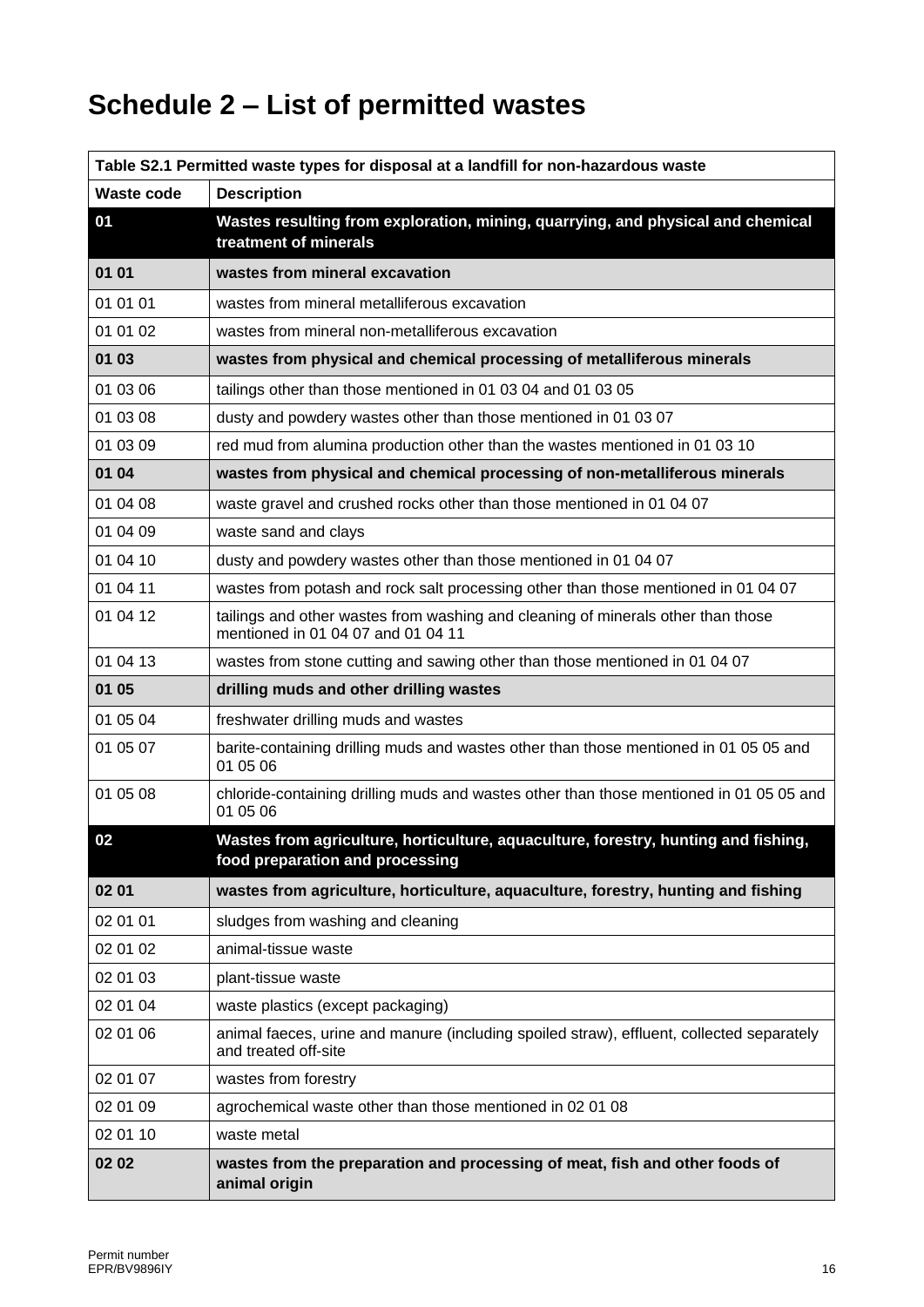# **Schedule 2 – List of permitted wastes**

| Table S2.1 Permitted waste types for disposal at a landfill for non-hazardous waste |                                                                                                                        |  |
|-------------------------------------------------------------------------------------|------------------------------------------------------------------------------------------------------------------------|--|
| Waste code                                                                          | <b>Description</b>                                                                                                     |  |
| 01                                                                                  | Wastes resulting from exploration, mining, quarrying, and physical and chemical<br>treatment of minerals               |  |
| 01 01                                                                               | wastes from mineral excavation                                                                                         |  |
| 01 01 01                                                                            | wastes from mineral metalliferous excavation                                                                           |  |
| 01 01 02                                                                            | wastes from mineral non-metalliferous excavation                                                                       |  |
| 01 03                                                                               | wastes from physical and chemical processing of metalliferous minerals                                                 |  |
| 01 03 06                                                                            | tailings other than those mentioned in 01 03 04 and 01 03 05                                                           |  |
| 01 03 08                                                                            | dusty and powdery wastes other than those mentioned in 01 03 07                                                        |  |
| 01 03 09                                                                            | red mud from alumina production other than the wastes mentioned in 01 03 10                                            |  |
| 01 04                                                                               | wastes from physical and chemical processing of non-metalliferous minerals                                             |  |
| 01 04 08                                                                            | waste gravel and crushed rocks other than those mentioned in 01 04 07                                                  |  |
| 01 04 09                                                                            | waste sand and clays                                                                                                   |  |
| 01 04 10                                                                            | dusty and powdery wastes other than those mentioned in 01 04 07                                                        |  |
| 01 04 11                                                                            | wastes from potash and rock salt processing other than those mentioned in 01 04 07                                     |  |
| 01 04 12                                                                            | tailings and other wastes from washing and cleaning of minerals other than those<br>mentioned in 01 04 07 and 01 04 11 |  |
| 01 04 13                                                                            | wastes from stone cutting and sawing other than those mentioned in 01 04 07                                            |  |
| 01 05                                                                               | drilling muds and other drilling wastes                                                                                |  |
| 01 05 04                                                                            | freshwater drilling muds and wastes                                                                                    |  |
| 01 05 07                                                                            | barite-containing drilling muds and wastes other than those mentioned in 01 05 05 and<br>01 05 06                      |  |
| 01 05 08                                                                            | chloride-containing drilling muds and wastes other than those mentioned in 01 05 05 and<br>01 05 06                    |  |
| 02                                                                                  | Wastes from agriculture, horticulture, aquaculture, forestry, hunting and fishing,<br>food preparation and processing  |  |
| 02 01                                                                               | wastes from agriculture, horticulture, aquaculture, forestry, hunting and fishing                                      |  |
| 02 01 01                                                                            | sludges from washing and cleaning                                                                                      |  |
| 02 01 02                                                                            | animal-tissue waste                                                                                                    |  |
| 02 01 03                                                                            | plant-tissue waste                                                                                                     |  |
| 02 01 04                                                                            | waste plastics (except packaging)                                                                                      |  |
| 02 01 06                                                                            | animal faeces, urine and manure (including spoiled straw), effluent, collected separately<br>and treated off-site      |  |
| 02 01 07                                                                            | wastes from forestry                                                                                                   |  |
| 02 01 09                                                                            | agrochemical waste other than those mentioned in 02 01 08                                                              |  |
| 02 01 10                                                                            | waste metal                                                                                                            |  |
| 02 02                                                                               | wastes from the preparation and processing of meat, fish and other foods of<br>animal origin                           |  |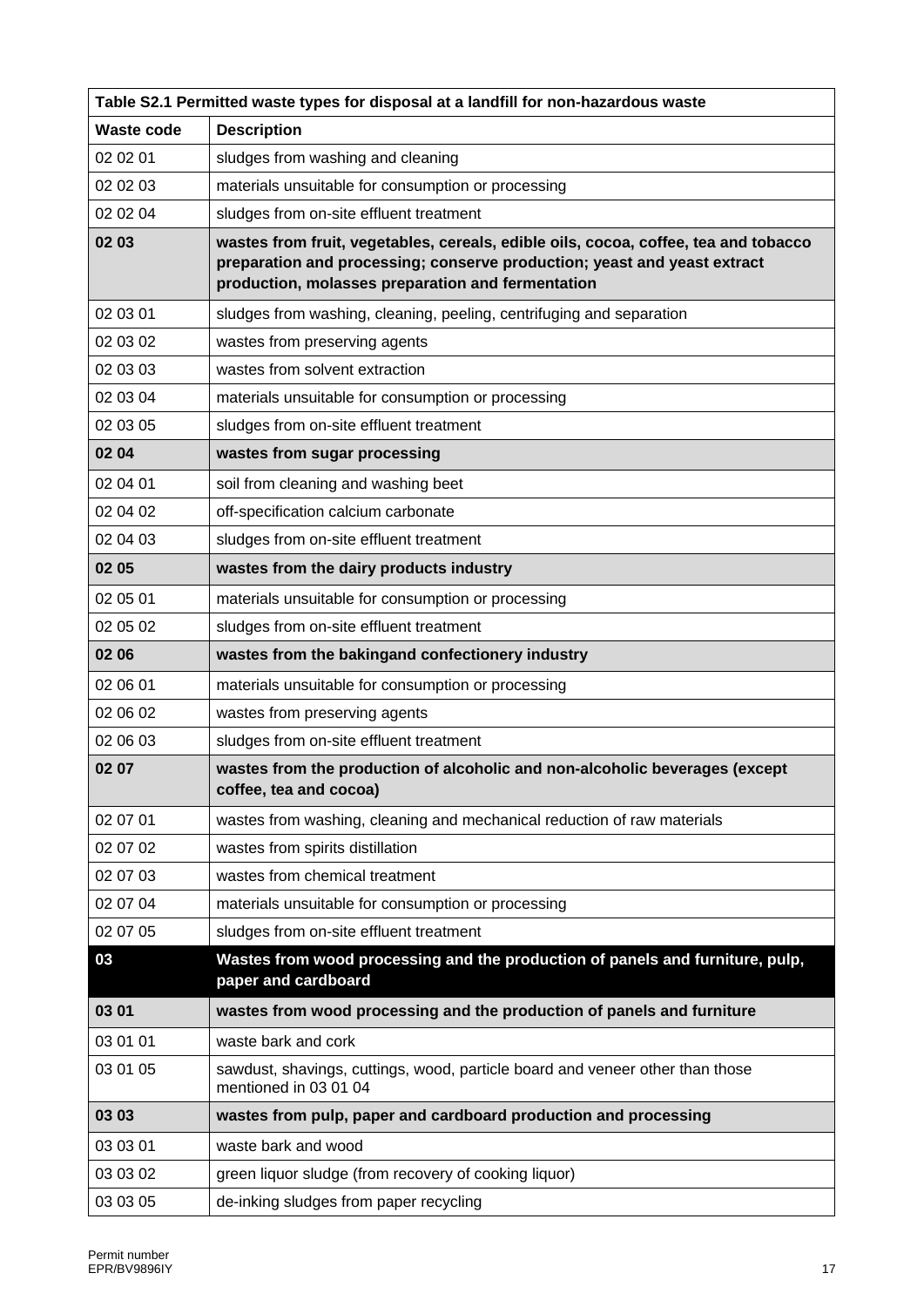| Table S2.1 Permitted waste types for disposal at a landfill for non-hazardous waste |                                                                                                                                                                                                                      |  |
|-------------------------------------------------------------------------------------|----------------------------------------------------------------------------------------------------------------------------------------------------------------------------------------------------------------------|--|
| <b>Waste code</b>                                                                   | <b>Description</b>                                                                                                                                                                                                   |  |
| 02 02 01                                                                            | sludges from washing and cleaning                                                                                                                                                                                    |  |
| 02 02 03                                                                            | materials unsuitable for consumption or processing                                                                                                                                                                   |  |
| 02 02 04                                                                            | sludges from on-site effluent treatment                                                                                                                                                                              |  |
| 02 03                                                                               | wastes from fruit, vegetables, cereals, edible oils, cocoa, coffee, tea and tobacco<br>preparation and processing; conserve production; yeast and yeast extract<br>production, molasses preparation and fermentation |  |
| 02 03 01                                                                            | sludges from washing, cleaning, peeling, centrifuging and separation                                                                                                                                                 |  |
| 02 03 02                                                                            | wastes from preserving agents                                                                                                                                                                                        |  |
| 02 03 03                                                                            | wastes from solvent extraction                                                                                                                                                                                       |  |
| 02 03 04                                                                            | materials unsuitable for consumption or processing                                                                                                                                                                   |  |
| 02 03 05                                                                            | sludges from on-site effluent treatment                                                                                                                                                                              |  |
| 02 04                                                                               | wastes from sugar processing                                                                                                                                                                                         |  |
| 02 04 01                                                                            | soil from cleaning and washing beet                                                                                                                                                                                  |  |
| 02 04 02                                                                            | off-specification calcium carbonate                                                                                                                                                                                  |  |
| 02 04 03                                                                            | sludges from on-site effluent treatment                                                                                                                                                                              |  |
| 02 05                                                                               | wastes from the dairy products industry                                                                                                                                                                              |  |
| 02 05 01                                                                            | materials unsuitable for consumption or processing                                                                                                                                                                   |  |
| 02 05 02                                                                            | sludges from on-site effluent treatment                                                                                                                                                                              |  |
| 02 06                                                                               | wastes from the bakingand confectionery industry                                                                                                                                                                     |  |
| 02 06 01                                                                            | materials unsuitable for consumption or processing                                                                                                                                                                   |  |
| 02 06 02                                                                            | wastes from preserving agents                                                                                                                                                                                        |  |
| 02 06 03                                                                            | sludges from on-site effluent treatment                                                                                                                                                                              |  |
| 02 07                                                                               | wastes from the production of alcoholic and non-alcoholic beverages (except<br>coffee, tea and cocoa)                                                                                                                |  |
| 02 07 01                                                                            | wastes from washing, cleaning and mechanical reduction of raw materials                                                                                                                                              |  |
| 02 07 02                                                                            | wastes from spirits distillation                                                                                                                                                                                     |  |
| 02 07 03                                                                            | wastes from chemical treatment                                                                                                                                                                                       |  |
| 02 07 04                                                                            | materials unsuitable for consumption or processing                                                                                                                                                                   |  |
| 02 07 05                                                                            | sludges from on-site effluent treatment                                                                                                                                                                              |  |
| 03                                                                                  | Wastes from wood processing and the production of panels and furniture, pulp,<br>paper and cardboard                                                                                                                 |  |
| 03 01                                                                               | wastes from wood processing and the production of panels and furniture                                                                                                                                               |  |
| 03 01 01                                                                            | waste bark and cork                                                                                                                                                                                                  |  |
| 03 01 05                                                                            | sawdust, shavings, cuttings, wood, particle board and veneer other than those<br>mentioned in 03 01 04                                                                                                               |  |
| 03 03                                                                               | wastes from pulp, paper and cardboard production and processing                                                                                                                                                      |  |
| 03 03 01                                                                            | waste bark and wood                                                                                                                                                                                                  |  |
| 03 03 02                                                                            | green liquor sludge (from recovery of cooking liquor)                                                                                                                                                                |  |
| 03 03 05                                                                            | de-inking sludges from paper recycling                                                                                                                                                                               |  |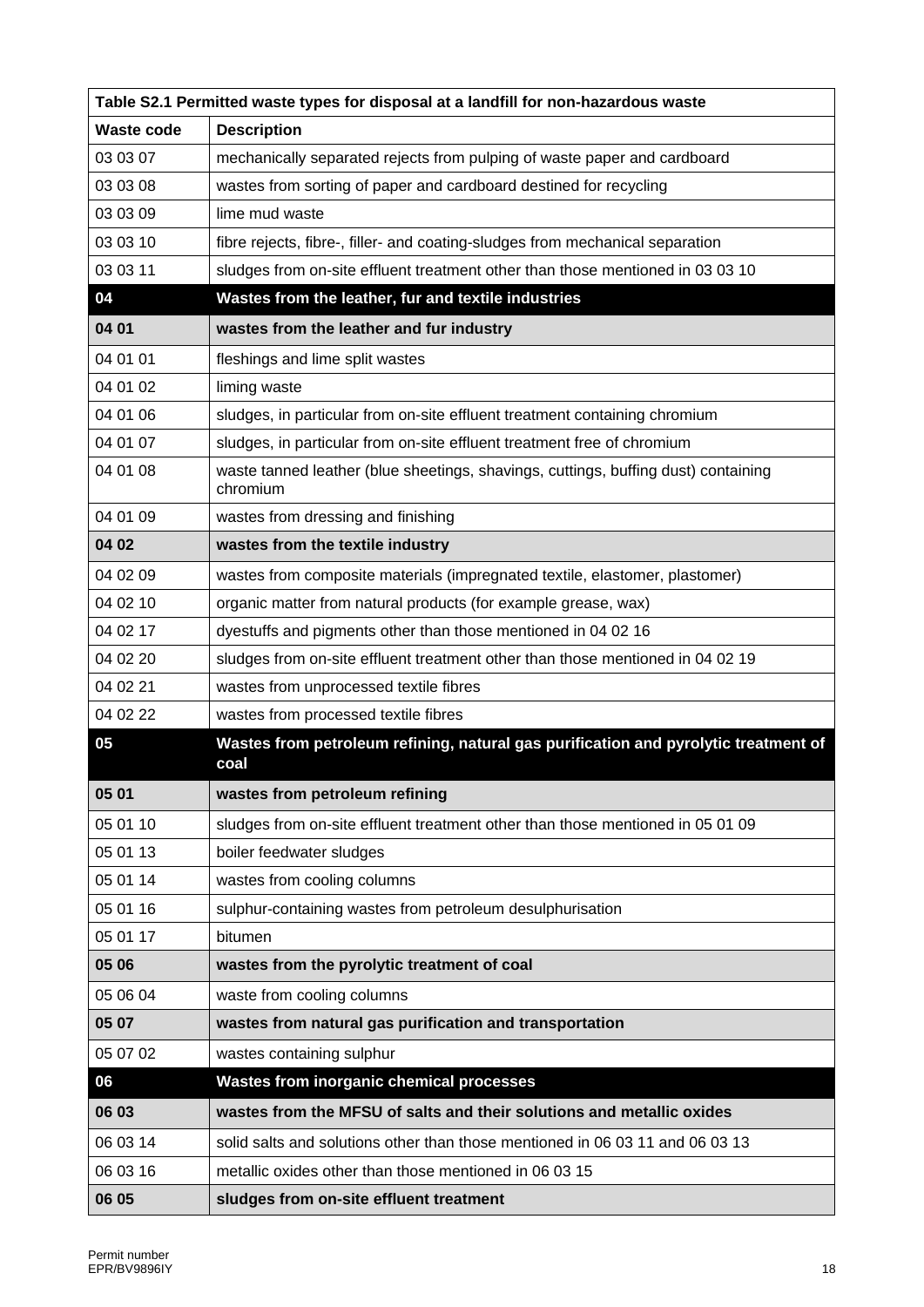| Table S2.1 Permitted waste types for disposal at a landfill for non-hazardous waste |                                                                                                |  |
|-------------------------------------------------------------------------------------|------------------------------------------------------------------------------------------------|--|
| Waste code                                                                          | <b>Description</b>                                                                             |  |
| 03 03 07                                                                            | mechanically separated rejects from pulping of waste paper and cardboard                       |  |
| 03 03 08                                                                            | wastes from sorting of paper and cardboard destined for recycling                              |  |
| 03 03 09                                                                            | lime mud waste                                                                                 |  |
| 03 03 10                                                                            | fibre rejects, fibre-, filler- and coating-sludges from mechanical separation                  |  |
| 03 03 11                                                                            | sludges from on-site effluent treatment other than those mentioned in 03 03 10                 |  |
| 04                                                                                  | Wastes from the leather, fur and textile industries                                            |  |
| 04 01                                                                               | wastes from the leather and fur industry                                                       |  |
| 04 01 01                                                                            | fleshings and lime split wastes                                                                |  |
| 04 01 02                                                                            | liming waste                                                                                   |  |
| 04 01 06                                                                            | sludges, in particular from on-site effluent treatment containing chromium                     |  |
| 04 01 07                                                                            | sludges, in particular from on-site effluent treatment free of chromium                        |  |
| 04 01 08                                                                            | waste tanned leather (blue sheetings, shavings, cuttings, buffing dust) containing<br>chromium |  |
| 04 01 09                                                                            | wastes from dressing and finishing                                                             |  |
| 04 02                                                                               | wastes from the textile industry                                                               |  |
| 04 02 09                                                                            | wastes from composite materials (impregnated textile, elastomer, plastomer)                    |  |
| 04 02 10                                                                            | organic matter from natural products (for example grease, wax)                                 |  |
| 04 02 17                                                                            | dyestuffs and pigments other than those mentioned in 04 02 16                                  |  |
| 04 02 20                                                                            | sludges from on-site effluent treatment other than those mentioned in 04 02 19                 |  |
| 04 02 21                                                                            | wastes from unprocessed textile fibres                                                         |  |
| 04 02 22                                                                            | wastes from processed textile fibres                                                           |  |
| 05                                                                                  | Wastes from petroleum refining, natural gas purification and pyrolytic treatment of<br>coal    |  |
| 05 01                                                                               | wastes from petroleum refining                                                                 |  |
| 05 01 10                                                                            | sludges from on-site effluent treatment other than those mentioned in 05 01 09                 |  |
| 05 01 13                                                                            | boiler feedwater sludges                                                                       |  |
| 05 01 14                                                                            | wastes from cooling columns                                                                    |  |
| 05 01 16                                                                            | sulphur-containing wastes from petroleum desulphurisation                                      |  |
| 05 01 17                                                                            | bitumen                                                                                        |  |
| 05 06                                                                               | wastes from the pyrolytic treatment of coal                                                    |  |
| 05 06 04                                                                            | waste from cooling columns                                                                     |  |
| 05 07                                                                               | wastes from natural gas purification and transportation                                        |  |
| 05 07 02                                                                            | wastes containing sulphur                                                                      |  |
| 06                                                                                  | <b>Wastes from inorganic chemical processes</b>                                                |  |
| 06 03                                                                               | wastes from the MFSU of salts and their solutions and metallic oxides                          |  |
| 06 03 14                                                                            | solid salts and solutions other than those mentioned in 06 03 11 and 06 03 13                  |  |
| 06 03 16                                                                            | metallic oxides other than those mentioned in 06 03 15                                         |  |
| 06 05                                                                               | sludges from on-site effluent treatment                                                        |  |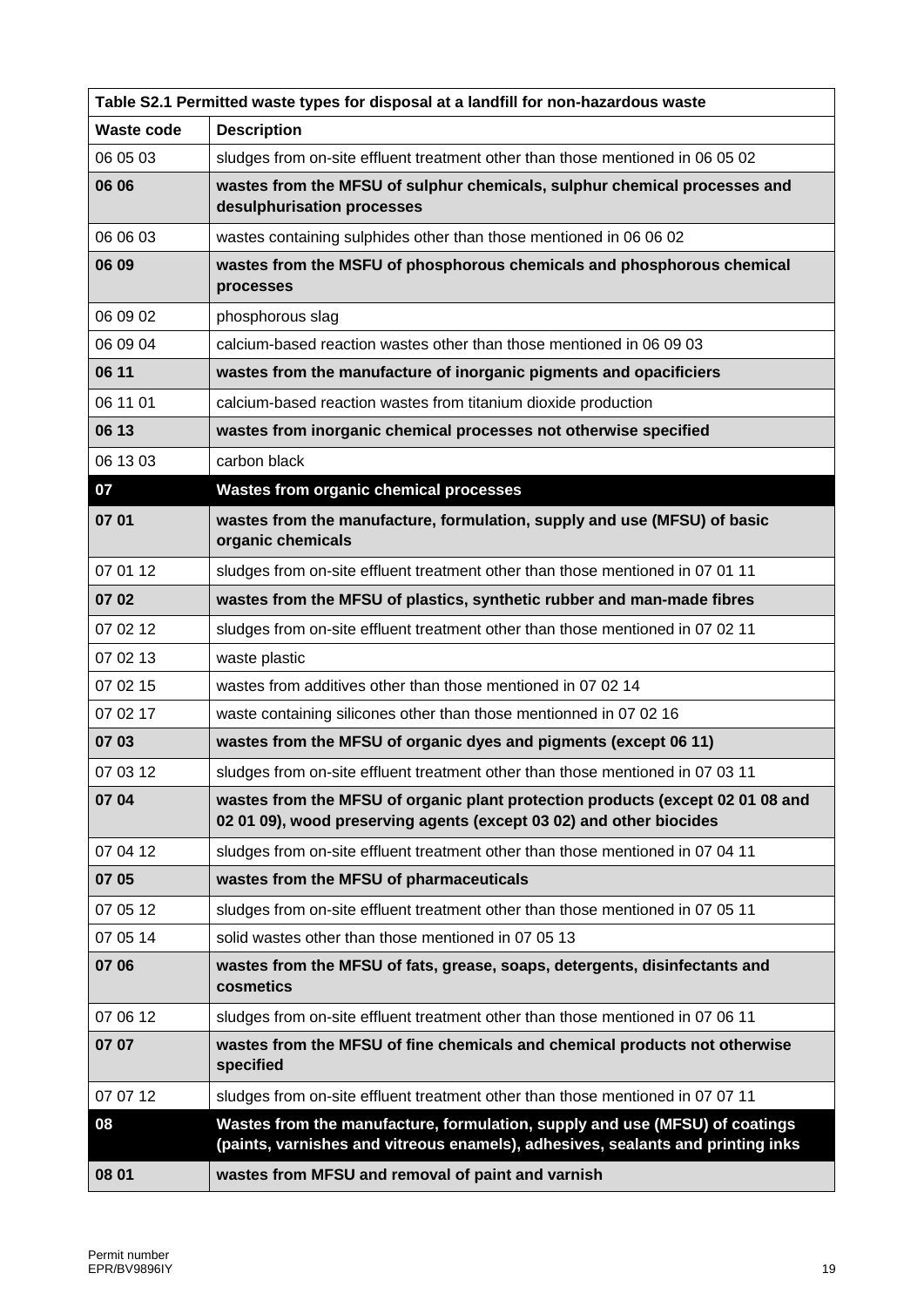| Table S2.1 Permitted waste types for disposal at a landfill for non-hazardous waste |                                                                                                                                                                |  |
|-------------------------------------------------------------------------------------|----------------------------------------------------------------------------------------------------------------------------------------------------------------|--|
| <b>Waste code</b>                                                                   | <b>Description</b>                                                                                                                                             |  |
| 06 05 03                                                                            | sludges from on-site effluent treatment other than those mentioned in 06 05 02                                                                                 |  |
| 06 06                                                                               | wastes from the MFSU of sulphur chemicals, sulphur chemical processes and<br>desulphurisation processes                                                        |  |
| 06 06 03                                                                            | wastes containing sulphides other than those mentioned in 06 06 02                                                                                             |  |
| 06 09                                                                               | wastes from the MSFU of phosphorous chemicals and phosphorous chemical<br>processes                                                                            |  |
| 06 09 02                                                                            | phosphorous slag                                                                                                                                               |  |
| 06 09 04                                                                            | calcium-based reaction wastes other than those mentioned in 06 09 03                                                                                           |  |
| 06 11                                                                               | wastes from the manufacture of inorganic pigments and opacificiers                                                                                             |  |
| 06 11 01                                                                            | calcium-based reaction wastes from titanium dioxide production                                                                                                 |  |
| 06 13                                                                               | wastes from inorganic chemical processes not otherwise specified                                                                                               |  |
| 06 13 03                                                                            | carbon black                                                                                                                                                   |  |
| 07                                                                                  | <b>Wastes from organic chemical processes</b>                                                                                                                  |  |
| 07 01                                                                               | wastes from the manufacture, formulation, supply and use (MFSU) of basic<br>organic chemicals                                                                  |  |
| 07 01 12                                                                            | sludges from on-site effluent treatment other than those mentioned in 07 01 11                                                                                 |  |
| 07 02                                                                               | wastes from the MFSU of plastics, synthetic rubber and man-made fibres                                                                                         |  |
| 07 02 12                                                                            | sludges from on-site effluent treatment other than those mentioned in 07 02 11                                                                                 |  |
| 07 02 13                                                                            | waste plastic                                                                                                                                                  |  |
| 07 02 15                                                                            | wastes from additives other than those mentioned in 07 02 14                                                                                                   |  |
| 07 02 17                                                                            | waste containing silicones other than those mentionned in 07 02 16                                                                                             |  |
| 07 03                                                                               | wastes from the MFSU of organic dyes and pigments (except 06 11)                                                                                               |  |
| 07 03 12                                                                            | sludges from on-site effluent treatment other than those mentioned in 07 03 11                                                                                 |  |
| 07 04                                                                               | wastes from the MFSU of organic plant protection products (except 02 01 08 and<br>02 01 09), wood preserving agents (except 03 02) and other biocides          |  |
| 07 04 12                                                                            | sludges from on-site effluent treatment other than those mentioned in 07 04 11                                                                                 |  |
| 07 05                                                                               | wastes from the MFSU of pharmaceuticals                                                                                                                        |  |
| 07 05 12                                                                            | sludges from on-site effluent treatment other than those mentioned in 07 05 11                                                                                 |  |
| 07 05 14                                                                            | solid wastes other than those mentioned in 07 05 13                                                                                                            |  |
| 07 06                                                                               | wastes from the MFSU of fats, grease, soaps, detergents, disinfectants and<br>cosmetics                                                                        |  |
| 07 06 12                                                                            | sludges from on-site effluent treatment other than those mentioned in 07 06 11                                                                                 |  |
| 07 07                                                                               | wastes from the MFSU of fine chemicals and chemical products not otherwise<br>specified                                                                        |  |
| 07 07 12                                                                            | sludges from on-site effluent treatment other than those mentioned in 07 07 11                                                                                 |  |
| 08                                                                                  | Wastes from the manufacture, formulation, supply and use (MFSU) of coatings<br>(paints, varnishes and vitreous enamels), adhesives, sealants and printing inks |  |
| 08 01                                                                               | wastes from MFSU and removal of paint and varnish                                                                                                              |  |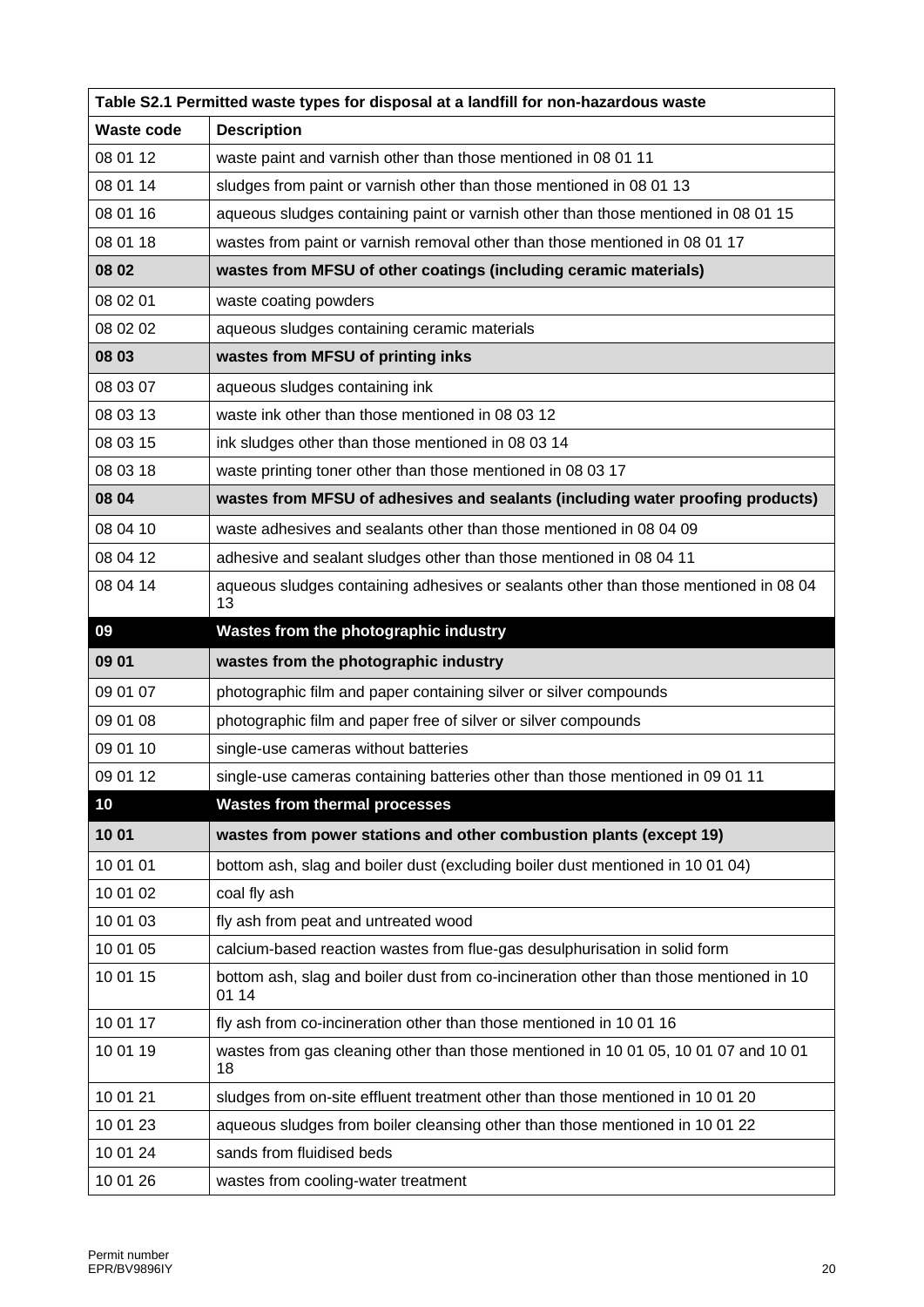| Table S2.1 Permitted waste types for disposal at a landfill for non-hazardous waste |                                                                                                 |  |
|-------------------------------------------------------------------------------------|-------------------------------------------------------------------------------------------------|--|
| <b>Waste code</b>                                                                   | <b>Description</b>                                                                              |  |
| 08 01 12                                                                            | waste paint and varnish other than those mentioned in 08 01 11                                  |  |
| 08 01 14                                                                            | sludges from paint or varnish other than those mentioned in 08 01 13                            |  |
| 08 01 16                                                                            | aqueous sludges containing paint or varnish other than those mentioned in 08 01 15              |  |
| 08 01 18                                                                            | wastes from paint or varnish removal other than those mentioned in 08 01 17                     |  |
| 08 02                                                                               | wastes from MFSU of other coatings (including ceramic materials)                                |  |
| 08 02 01                                                                            | waste coating powders                                                                           |  |
| 08 02 02                                                                            | aqueous sludges containing ceramic materials                                                    |  |
| 08 03                                                                               | wastes from MFSU of printing inks                                                               |  |
| 08 03 07                                                                            | aqueous sludges containing ink                                                                  |  |
| 08 03 13                                                                            | waste ink other than those mentioned in 08 03 12                                                |  |
| 08 03 15                                                                            | ink sludges other than those mentioned in 08 03 14                                              |  |
| 08 03 18                                                                            | waste printing toner other than those mentioned in 08 03 17                                     |  |
| 08 04                                                                               | wastes from MFSU of adhesives and sealants (including water proofing products)                  |  |
| 08 04 10                                                                            | waste adhesives and sealants other than those mentioned in 08 04 09                             |  |
| 08 04 12                                                                            | adhesive and sealant sludges other than those mentioned in 08 04 11                             |  |
| 08 04 14                                                                            | aqueous sludges containing adhesives or sealants other than those mentioned in 08 04<br>13      |  |
| 09                                                                                  | Wastes from the photographic industry                                                           |  |
| 09 01                                                                               | wastes from the photographic industry                                                           |  |
| 09 01 07                                                                            | photographic film and paper containing silver or silver compounds                               |  |
| 09 01 08                                                                            | photographic film and paper free of silver or silver compounds                                  |  |
| 09 01 10                                                                            | single-use cameras without batteries                                                            |  |
| 09 01 12                                                                            | single-use cameras containing batteries other than those mentioned in 09 01 11                  |  |
| 10                                                                                  | <b>Wastes from thermal processes</b>                                                            |  |
| 1001                                                                                | wastes from power stations and other combustion plants (except 19)                              |  |
| 10 01 01                                                                            | bottom ash, slag and boiler dust (excluding boiler dust mentioned in 10 01 04)                  |  |
| 10 01 02                                                                            | coal fly ash                                                                                    |  |
| 10 01 03                                                                            | fly ash from peat and untreated wood                                                            |  |
| 10 01 05                                                                            | calcium-based reaction wastes from flue-gas desulphurisation in solid form                      |  |
| 10 01 15                                                                            | bottom ash, slag and boiler dust from co-incineration other than those mentioned in 10<br>01 14 |  |
| 10 01 17                                                                            | fly ash from co-incineration other than those mentioned in 10 01 16                             |  |
| 10 01 19                                                                            | wastes from gas cleaning other than those mentioned in 10 01 05, 10 01 07 and 10 01<br>18       |  |
| 10 01 21                                                                            | sludges from on-site effluent treatment other than those mentioned in 10 01 20                  |  |
| 10 01 23                                                                            | aqueous sludges from boiler cleansing other than those mentioned in 10 01 22                    |  |
| 10 01 24                                                                            | sands from fluidised beds                                                                       |  |
| 10 01 26                                                                            | wastes from cooling-water treatment                                                             |  |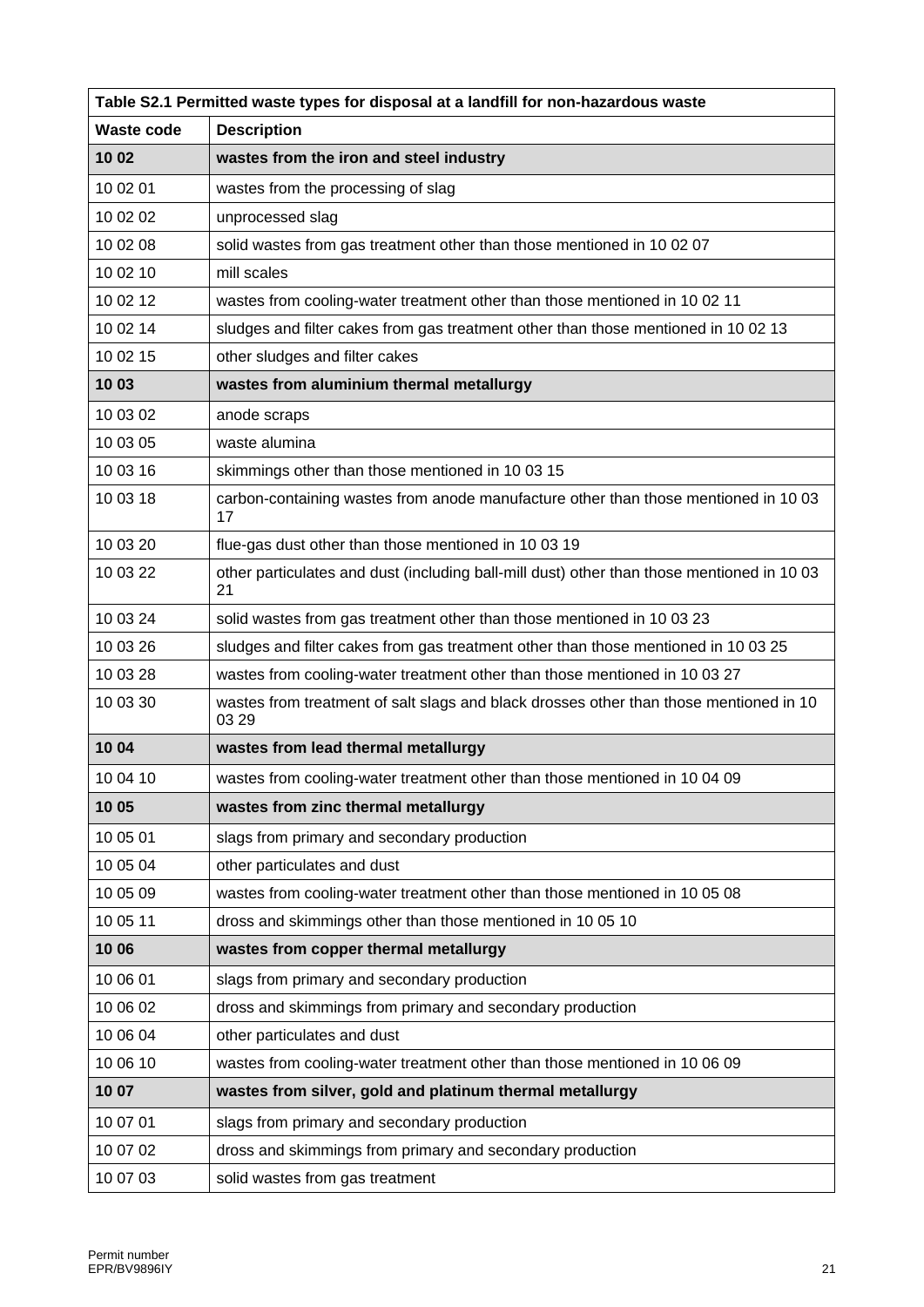| Table S2.1 Permitted waste types for disposal at a landfill for non-hazardous waste |                                                                                                  |  |
|-------------------------------------------------------------------------------------|--------------------------------------------------------------------------------------------------|--|
| <b>Waste code</b>                                                                   | <b>Description</b>                                                                               |  |
| 10 02                                                                               | wastes from the iron and steel industry                                                          |  |
| 10 02 01                                                                            | wastes from the processing of slag                                                               |  |
| 10 02 02                                                                            | unprocessed slag                                                                                 |  |
| 10 02 08                                                                            | solid wastes from gas treatment other than those mentioned in 10 02 07                           |  |
| 10 02 10                                                                            | mill scales                                                                                      |  |
| 10 02 12                                                                            | wastes from cooling-water treatment other than those mentioned in 10 02 11                       |  |
| 10 02 14                                                                            | sludges and filter cakes from gas treatment other than those mentioned in 10 02 13               |  |
| 10 02 15                                                                            | other sludges and filter cakes                                                                   |  |
| 10 03                                                                               | wastes from aluminium thermal metallurgy                                                         |  |
| 10 03 02                                                                            | anode scraps                                                                                     |  |
| 10 03 05                                                                            | waste alumina                                                                                    |  |
| 10 03 16                                                                            | skimmings other than those mentioned in 10 03 15                                                 |  |
| 10 03 18                                                                            | carbon-containing wastes from anode manufacture other than those mentioned in 10 03<br>17        |  |
| 10 03 20                                                                            | flue-gas dust other than those mentioned in 10 03 19                                             |  |
| 10 03 22                                                                            | other particulates and dust (including ball-mill dust) other than those mentioned in 10 03<br>21 |  |
| 10 03 24                                                                            | solid wastes from gas treatment other than those mentioned in 10 03 23                           |  |
| 10 03 26                                                                            | sludges and filter cakes from gas treatment other than those mentioned in 10 03 25               |  |
| 10 03 28                                                                            | wastes from cooling-water treatment other than those mentioned in 10 03 27                       |  |
| 10 03 30                                                                            | wastes from treatment of salt slags and black drosses other than those mentioned in 10<br>03 29  |  |
| 10 04                                                                               | wastes from lead thermal metallurgy                                                              |  |
| 10 04 10                                                                            | wastes from cooling-water treatment other than those mentioned in 10 04 09                       |  |
| 10 05                                                                               | wastes from zinc thermal metallurgy                                                              |  |
| 10 05 01                                                                            | slags from primary and secondary production                                                      |  |
| 10 05 04                                                                            | other particulates and dust                                                                      |  |
| 10 05 09                                                                            | wastes from cooling-water treatment other than those mentioned in 10 05 08                       |  |
| 10 05 11                                                                            | dross and skimmings other than those mentioned in 10 05 10                                       |  |
| 10 06                                                                               | wastes from copper thermal metallurgy                                                            |  |
| 10 06 01                                                                            | slags from primary and secondary production                                                      |  |
| 10 06 02                                                                            | dross and skimmings from primary and secondary production                                        |  |
| 10 06 04                                                                            | other particulates and dust                                                                      |  |
| 10 06 10                                                                            | wastes from cooling-water treatment other than those mentioned in 10 06 09                       |  |
| 10 07                                                                               | wastes from silver, gold and platinum thermal metallurgy                                         |  |
| 10 07 01                                                                            | slags from primary and secondary production                                                      |  |
| 10 07 02                                                                            | dross and skimmings from primary and secondary production                                        |  |
| 10 07 03                                                                            | solid wastes from gas treatment                                                                  |  |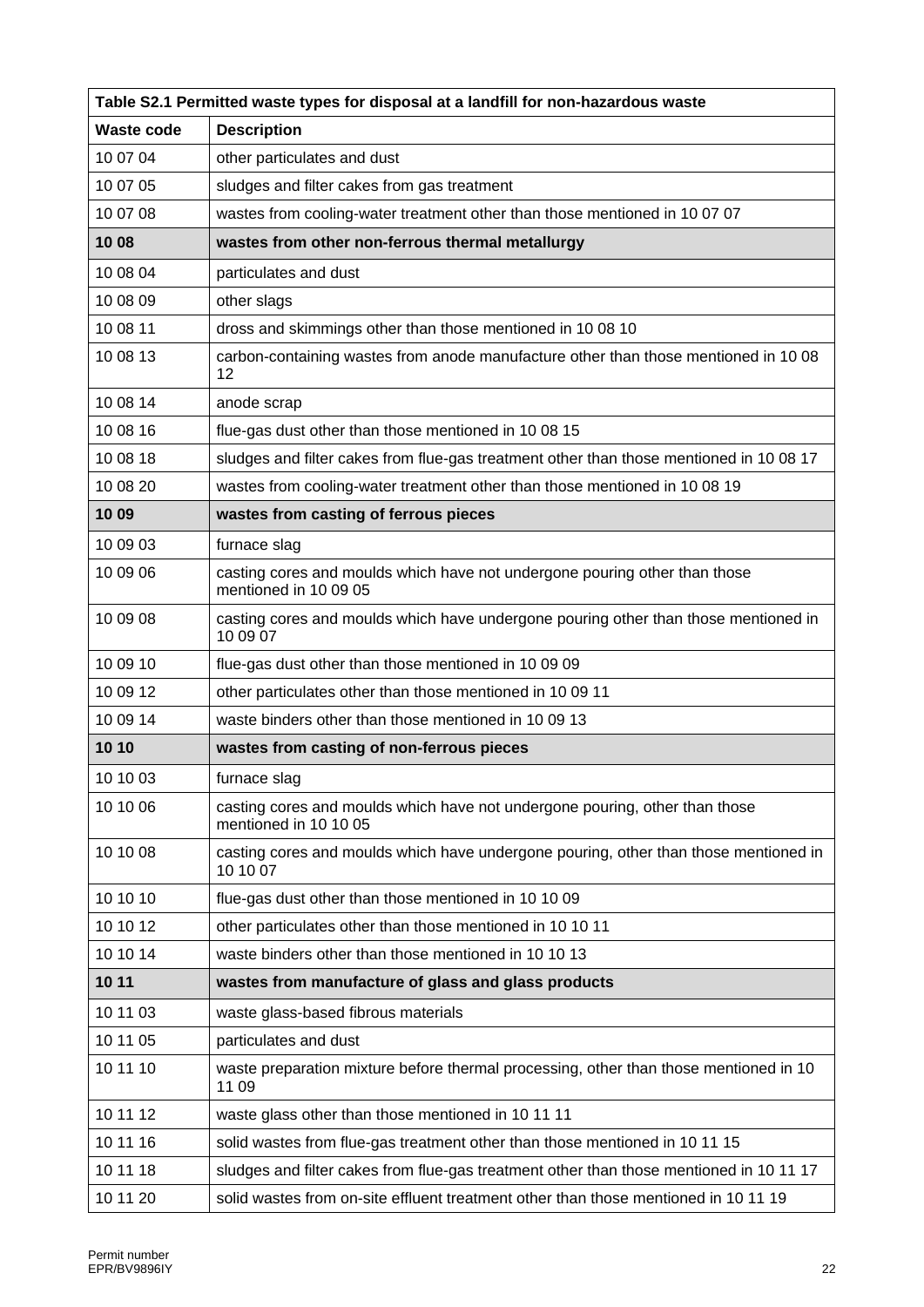| Table S2.1 Permitted waste types for disposal at a landfill for non-hazardous waste |                                                                                                      |  |
|-------------------------------------------------------------------------------------|------------------------------------------------------------------------------------------------------|--|
| Waste code                                                                          | <b>Description</b>                                                                                   |  |
| 10 07 04                                                                            | other particulates and dust                                                                          |  |
| 10 07 05                                                                            | sludges and filter cakes from gas treatment                                                          |  |
| 10 07 08                                                                            | wastes from cooling-water treatment other than those mentioned in 10 07 07                           |  |
| 10 08                                                                               | wastes from other non-ferrous thermal metallurgy                                                     |  |
| 10 08 04                                                                            | particulates and dust                                                                                |  |
| 10 08 09                                                                            | other slags                                                                                          |  |
| 10 08 11                                                                            | dross and skimmings other than those mentioned in 10 08 10                                           |  |
| 10 08 13                                                                            | carbon-containing wastes from anode manufacture other than those mentioned in 10 08<br>12            |  |
| 10 08 14                                                                            | anode scrap                                                                                          |  |
| 10 08 16                                                                            | flue-gas dust other than those mentioned in 10 08 15                                                 |  |
| 10 08 18                                                                            | sludges and filter cakes from flue-gas treatment other than those mentioned in 10 08 17              |  |
| 10 08 20                                                                            | wastes from cooling-water treatment other than those mentioned in 10 08 19                           |  |
| 10 09                                                                               | wastes from casting of ferrous pieces                                                                |  |
| 10 09 03                                                                            | furnace slag                                                                                         |  |
| 10 09 06                                                                            | casting cores and moulds which have not undergone pouring other than those<br>mentioned in 10 09 05  |  |
| 10 09 08                                                                            | casting cores and moulds which have undergone pouring other than those mentioned in<br>10 09 07      |  |
| 10 09 10                                                                            | flue-gas dust other than those mentioned in 10 09 09                                                 |  |
| 10 09 12                                                                            | other particulates other than those mentioned in 10 09 11                                            |  |
| 10 09 14                                                                            | waste binders other than those mentioned in 10 09 13                                                 |  |
| 10 10                                                                               | wastes from casting of non-ferrous pieces                                                            |  |
| 10 10 03                                                                            | furnace slag                                                                                         |  |
| 10 10 06                                                                            | casting cores and moulds which have not undergone pouring, other than those<br>mentioned in 10 10 05 |  |
| 10 10 08                                                                            | casting cores and moulds which have undergone pouring, other than those mentioned in<br>10 10 07     |  |
| 10 10 10                                                                            | flue-gas dust other than those mentioned in 10 10 09                                                 |  |
| 10 10 12                                                                            | other particulates other than those mentioned in 10 10 11                                            |  |
| 10 10 14                                                                            | waste binders other than those mentioned in 10 10 13                                                 |  |
| 10 11                                                                               | wastes from manufacture of glass and glass products                                                  |  |
| 10 11 03                                                                            | waste glass-based fibrous materials                                                                  |  |
| 10 11 05                                                                            | particulates and dust                                                                                |  |
| 10 11 10                                                                            | waste preparation mixture before thermal processing, other than those mentioned in 10<br>11 09       |  |
| 10 11 12                                                                            | waste glass other than those mentioned in 10 11 11                                                   |  |
| 10 11 16                                                                            | solid wastes from flue-gas treatment other than those mentioned in 10 11 15                          |  |
| 10 11 18                                                                            | sludges and filter cakes from flue-gas treatment other than those mentioned in 10 11 17              |  |
| 10 11 20                                                                            | solid wastes from on-site effluent treatment other than those mentioned in 10 11 19                  |  |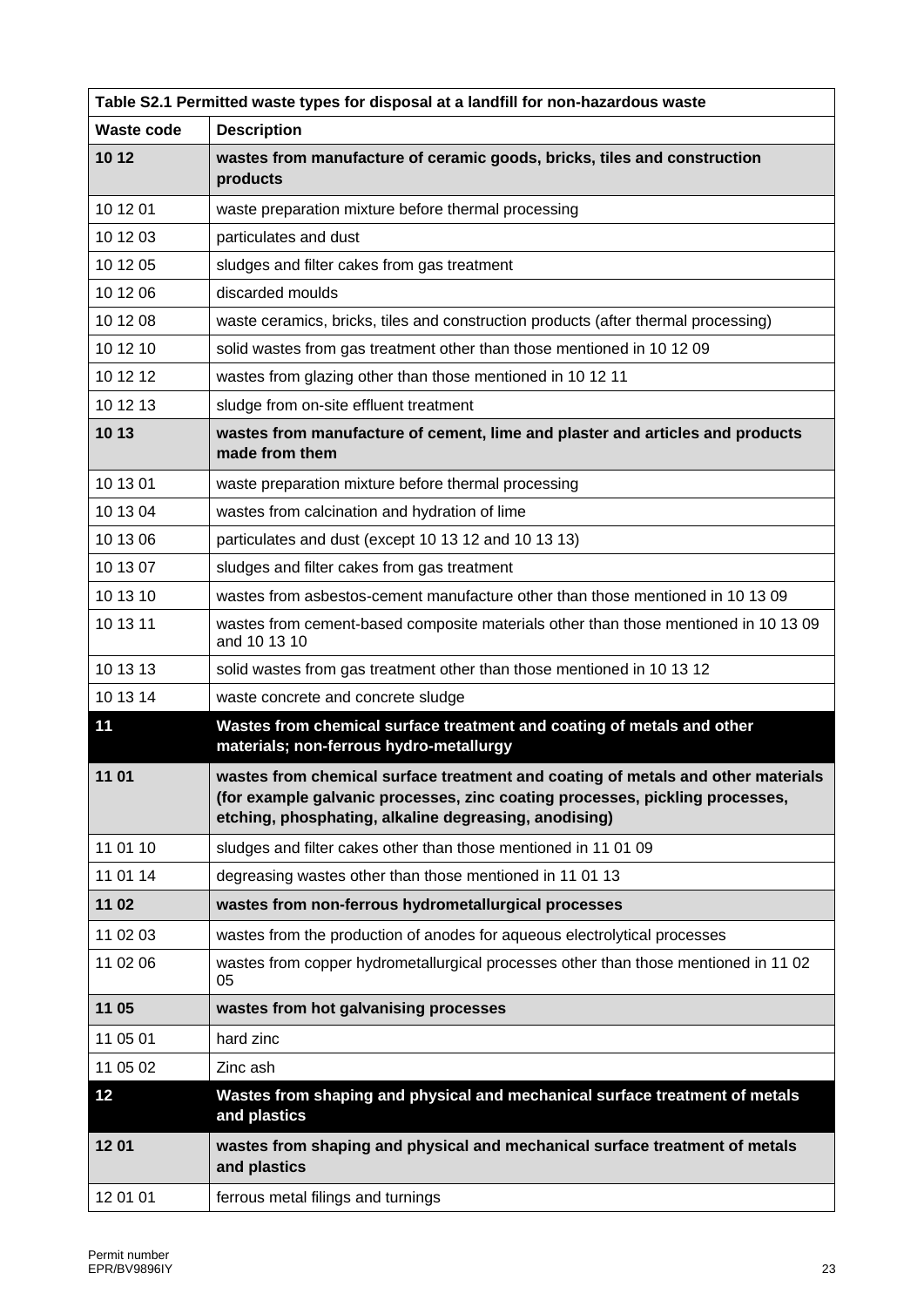| Table S2.1 Permitted waste types for disposal at a landfill for non-hazardous waste |                                                                                                                                                                                                                           |  |
|-------------------------------------------------------------------------------------|---------------------------------------------------------------------------------------------------------------------------------------------------------------------------------------------------------------------------|--|
| <b>Waste code</b>                                                                   | <b>Description</b>                                                                                                                                                                                                        |  |
| 10 12                                                                               | wastes from manufacture of ceramic goods, bricks, tiles and construction<br>products                                                                                                                                      |  |
| 10 12 01                                                                            | waste preparation mixture before thermal processing                                                                                                                                                                       |  |
| 10 12 03                                                                            | particulates and dust                                                                                                                                                                                                     |  |
| 10 12 05                                                                            | sludges and filter cakes from gas treatment                                                                                                                                                                               |  |
| 10 12 06                                                                            | discarded moulds                                                                                                                                                                                                          |  |
| 10 12 08                                                                            | waste ceramics, bricks, tiles and construction products (after thermal processing)                                                                                                                                        |  |
| 10 12 10                                                                            | solid wastes from gas treatment other than those mentioned in 10 12 09                                                                                                                                                    |  |
| 10 12 12                                                                            | wastes from glazing other than those mentioned in 10 12 11                                                                                                                                                                |  |
| 10 12 13                                                                            | sludge from on-site effluent treatment                                                                                                                                                                                    |  |
| 10 13                                                                               | wastes from manufacture of cement, lime and plaster and articles and products<br>made from them                                                                                                                           |  |
| 10 13 01                                                                            | waste preparation mixture before thermal processing                                                                                                                                                                       |  |
| 10 13 04                                                                            | wastes from calcination and hydration of lime                                                                                                                                                                             |  |
| 10 13 06                                                                            | particulates and dust (except 10 13 12 and 10 13 13)                                                                                                                                                                      |  |
| 10 13 07                                                                            | sludges and filter cakes from gas treatment                                                                                                                                                                               |  |
| 10 13 10                                                                            | wastes from asbestos-cement manufacture other than those mentioned in 10 13 09                                                                                                                                            |  |
| 10 13 11                                                                            | wastes from cement-based composite materials other than those mentioned in 10 13 09<br>and 10 13 10                                                                                                                       |  |
| 10 13 13                                                                            | solid wastes from gas treatment other than those mentioned in 10 13 12                                                                                                                                                    |  |
| 10 13 14                                                                            | waste concrete and concrete sludge                                                                                                                                                                                        |  |
| 11                                                                                  | Wastes from chemical surface treatment and coating of metals and other<br>materials; non-ferrous hydro-metallurgy                                                                                                         |  |
| 11 01                                                                               | wastes from chemical surface treatment and coating of metals and other materials<br>(for example galvanic processes, zinc coating processes, pickling processes,<br>etching, phosphating, alkaline degreasing, anodising) |  |
| 11 01 10                                                                            | sludges and filter cakes other than those mentioned in 11 01 09                                                                                                                                                           |  |
| 11 01 14                                                                            | degreasing wastes other than those mentioned in 11 01 13                                                                                                                                                                  |  |
| 11 02                                                                               | wastes from non-ferrous hydrometallurgical processes                                                                                                                                                                      |  |
| 11 02 03                                                                            | wastes from the production of anodes for aqueous electrolytical processes                                                                                                                                                 |  |
| 11 02 06                                                                            | wastes from copper hydrometallurgical processes other than those mentioned in 11 02<br>05                                                                                                                                 |  |
| 11 05                                                                               | wastes from hot galvanising processes                                                                                                                                                                                     |  |
| 11 05 01                                                                            | hard zinc                                                                                                                                                                                                                 |  |
| 11 05 02                                                                            | Zinc ash                                                                                                                                                                                                                  |  |
| 12                                                                                  | Wastes from shaping and physical and mechanical surface treatment of metals<br>and plastics                                                                                                                               |  |
| 1201                                                                                | wastes from shaping and physical and mechanical surface treatment of metals<br>and plastics                                                                                                                               |  |
| 12 01 01                                                                            | ferrous metal filings and turnings                                                                                                                                                                                        |  |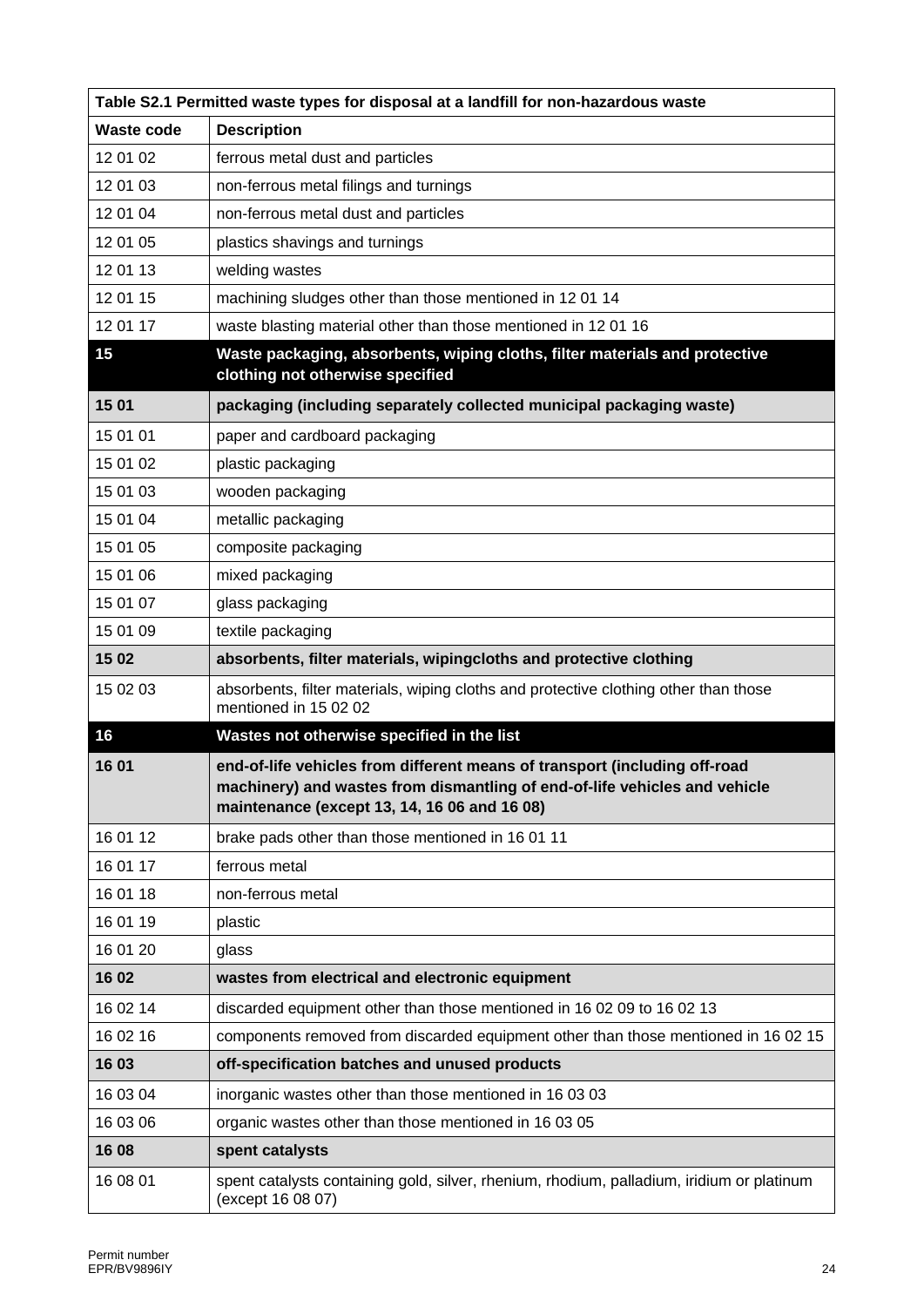| Table S2.1 Permitted waste types for disposal at a landfill for non-hazardous waste |                                                                                                                                                                                                          |  |
|-------------------------------------------------------------------------------------|----------------------------------------------------------------------------------------------------------------------------------------------------------------------------------------------------------|--|
| <b>Waste code</b>                                                                   | <b>Description</b>                                                                                                                                                                                       |  |
| 12 01 02                                                                            | ferrous metal dust and particles                                                                                                                                                                         |  |
| 12 01 03                                                                            | non-ferrous metal filings and turnings                                                                                                                                                                   |  |
| 12 01 04                                                                            | non-ferrous metal dust and particles                                                                                                                                                                     |  |
| 12 01 05                                                                            | plastics shavings and turnings                                                                                                                                                                           |  |
| 12 01 13                                                                            | welding wastes                                                                                                                                                                                           |  |
| 12 01 15                                                                            | machining sludges other than those mentioned in 1201 14                                                                                                                                                  |  |
| 12 01 17                                                                            | waste blasting material other than those mentioned in 12 01 16                                                                                                                                           |  |
| 15                                                                                  | Waste packaging, absorbents, wiping cloths, filter materials and protective<br>clothing not otherwise specified                                                                                          |  |
| 15 01                                                                               | packaging (including separately collected municipal packaging waste)                                                                                                                                     |  |
| 15 01 01                                                                            | paper and cardboard packaging                                                                                                                                                                            |  |
| 15 01 02                                                                            | plastic packaging                                                                                                                                                                                        |  |
| 15 01 03                                                                            | wooden packaging                                                                                                                                                                                         |  |
| 15 01 04                                                                            | metallic packaging                                                                                                                                                                                       |  |
| 15 01 05                                                                            | composite packaging                                                                                                                                                                                      |  |
| 15 01 06                                                                            | mixed packaging                                                                                                                                                                                          |  |
| 15 01 07                                                                            | glass packaging                                                                                                                                                                                          |  |
| 15 01 09                                                                            | textile packaging                                                                                                                                                                                        |  |
| 15 02                                                                               | absorbents, filter materials, wipingcloths and protective clothing                                                                                                                                       |  |
| 15 02 03                                                                            | absorbents, filter materials, wiping cloths and protective clothing other than those<br>mentioned in 15 02 02                                                                                            |  |
| 16                                                                                  | Wastes not otherwise specified in the list                                                                                                                                                               |  |
| 16 01                                                                               | end-of-life vehicles from different means of transport (including off-road<br>machinery) and wastes from dismantling of end-of-life vehicles and vehicle<br>maintenance (except 13, 14, 16 06 and 16 08) |  |
| 16 01 12                                                                            | brake pads other than those mentioned in 16 01 11                                                                                                                                                        |  |
| 16 01 17                                                                            | ferrous metal                                                                                                                                                                                            |  |
| 16 01 18                                                                            | non-ferrous metal                                                                                                                                                                                        |  |
| 16 01 19                                                                            | plastic                                                                                                                                                                                                  |  |
| 16 01 20                                                                            | glass                                                                                                                                                                                                    |  |
| 1602                                                                                | wastes from electrical and electronic equipment                                                                                                                                                          |  |
| 16 02 14                                                                            | discarded equipment other than those mentioned in 16 02 09 to 16 02 13                                                                                                                                   |  |
| 16 02 16                                                                            | components removed from discarded equipment other than those mentioned in 16 02 15                                                                                                                       |  |
| 16 03                                                                               | off-specification batches and unused products                                                                                                                                                            |  |
| 16 03 04                                                                            | inorganic wastes other than those mentioned in 16 03 03                                                                                                                                                  |  |
| 16 03 06                                                                            | organic wastes other than those mentioned in 16 03 05                                                                                                                                                    |  |
| 16 08                                                                               | spent catalysts                                                                                                                                                                                          |  |
| 16 08 01                                                                            | spent catalysts containing gold, silver, rhenium, rhodium, palladium, iridium or platinum<br>(except 16 08 07)                                                                                           |  |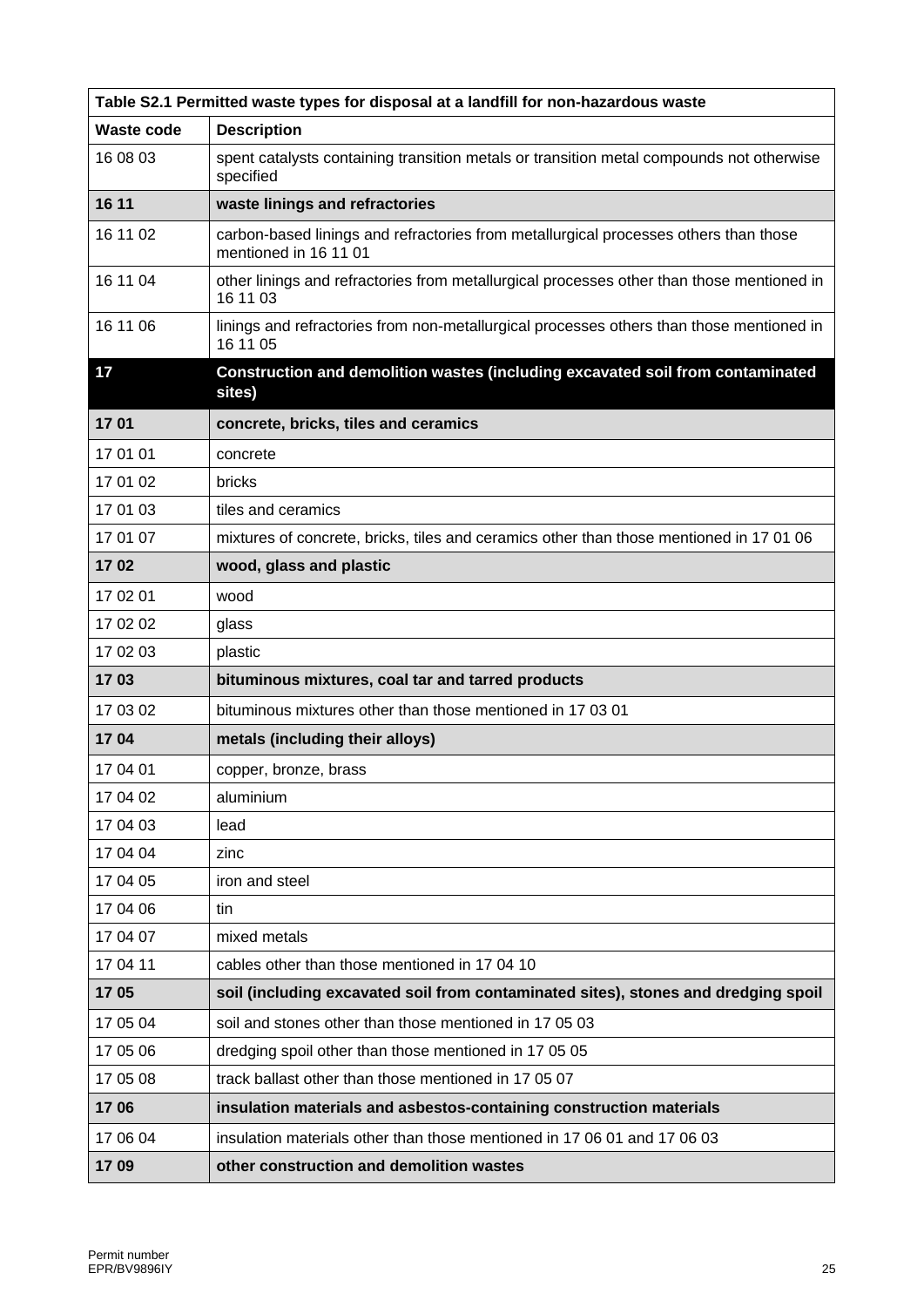| Table S2.1 Permitted waste types for disposal at a landfill for non-hazardous waste |                                                                                                               |  |
|-------------------------------------------------------------------------------------|---------------------------------------------------------------------------------------------------------------|--|
| <b>Waste code</b>                                                                   | <b>Description</b>                                                                                            |  |
| 16 08 03                                                                            | spent catalysts containing transition metals or transition metal compounds not otherwise<br>specified         |  |
| 16 11                                                                               | waste linings and refractories                                                                                |  |
| 16 11 02                                                                            | carbon-based linings and refractories from metallurgical processes others than those<br>mentioned in 16 11 01 |  |
| 16 11 04                                                                            | other linings and refractories from metallurgical processes other than those mentioned in<br>16 11 03         |  |
| 16 11 06                                                                            | linings and refractories from non-metallurgical processes others than those mentioned in<br>16 11 05          |  |
| 17                                                                                  | Construction and demolition wastes (including excavated soil from contaminated<br>sites)                      |  |
| 1701                                                                                | concrete, bricks, tiles and ceramics                                                                          |  |
| 17 01 01                                                                            | concrete                                                                                                      |  |
| 17 01 02                                                                            | bricks                                                                                                        |  |
| 17 01 03                                                                            | tiles and ceramics                                                                                            |  |
| 17 01 07                                                                            | mixtures of concrete, bricks, tiles and ceramics other than those mentioned in 17 01 06                       |  |
| 1702                                                                                | wood, glass and plastic                                                                                       |  |
| 17 02 01                                                                            | wood                                                                                                          |  |
| 17 02 02                                                                            | glass                                                                                                         |  |
| 17 02 03                                                                            | plastic                                                                                                       |  |
| 1703                                                                                | bituminous mixtures, coal tar and tarred products                                                             |  |
| 17 03 02                                                                            | bituminous mixtures other than those mentioned in 17 03 01                                                    |  |
| 1704                                                                                | metals (including their alloys)                                                                               |  |
| 17 04 01                                                                            | copper, bronze, brass                                                                                         |  |
| 17 04 02                                                                            | aluminium                                                                                                     |  |
| 17 04 03                                                                            | lead                                                                                                          |  |
| 17 04 04                                                                            | zinc                                                                                                          |  |
| 17 04 05                                                                            | iron and steel                                                                                                |  |
| 17 04 06                                                                            | tin                                                                                                           |  |
| 17 04 07                                                                            | mixed metals                                                                                                  |  |
| 17 04 11                                                                            | cables other than those mentioned in 17 04 10                                                                 |  |
| 1705                                                                                | soil (including excavated soil from contaminated sites), stones and dredging spoil                            |  |
| 17 05 04                                                                            | soil and stones other than those mentioned in 17 05 03                                                        |  |
| 17 05 06                                                                            | dredging spoil other than those mentioned in 17 05 05                                                         |  |
| 17 05 08                                                                            | track ballast other than those mentioned in 17 05 07                                                          |  |
| 1706                                                                                | insulation materials and asbestos-containing construction materials                                           |  |
| 17 06 04                                                                            | insulation materials other than those mentioned in 17 06 01 and 17 06 03                                      |  |
| 1709                                                                                | other construction and demolition wastes                                                                      |  |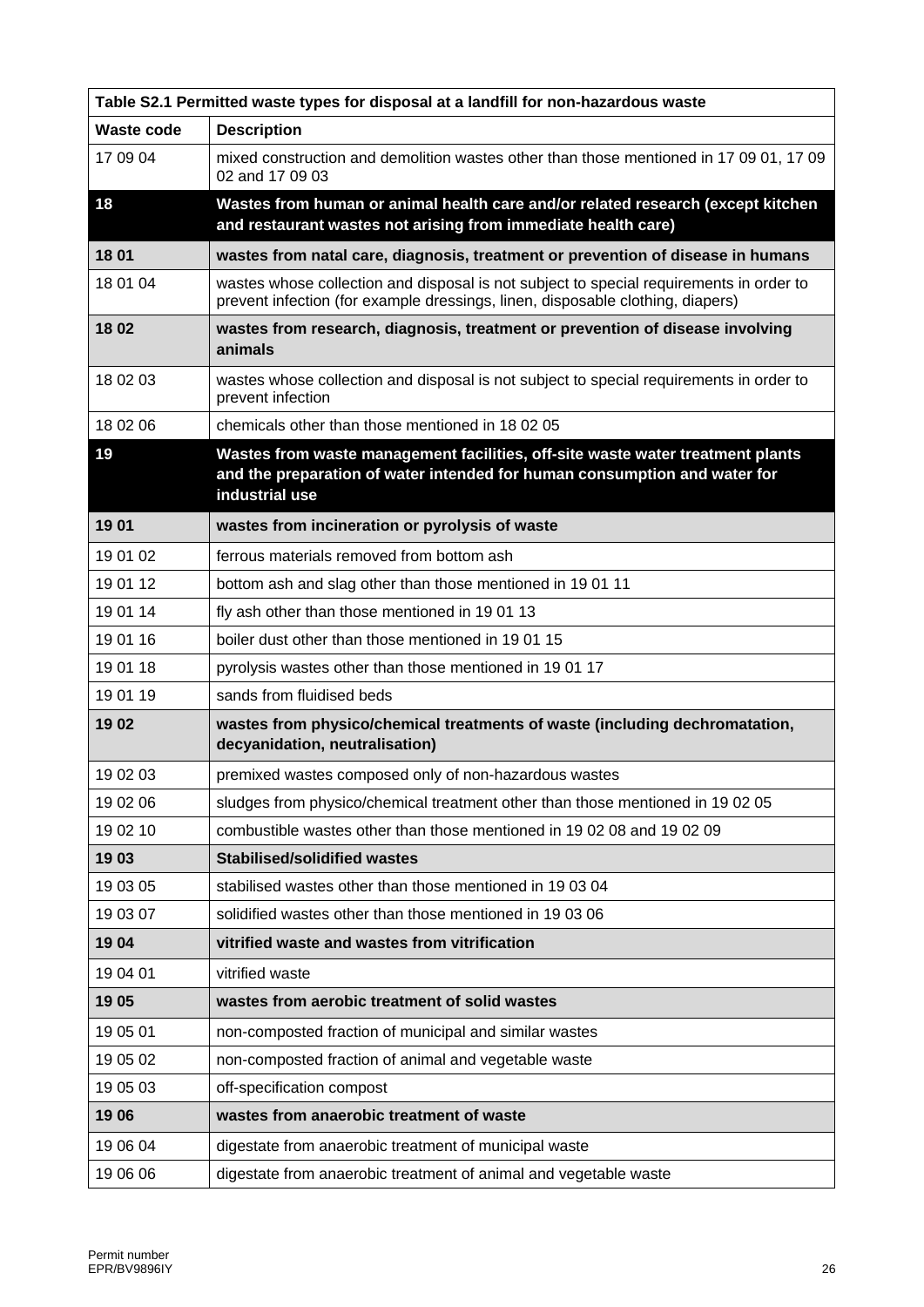| Table S2.1 Permitted waste types for disposal at a landfill for non-hazardous waste |                                                                                                                                                                               |  |
|-------------------------------------------------------------------------------------|-------------------------------------------------------------------------------------------------------------------------------------------------------------------------------|--|
| Waste code                                                                          | <b>Description</b>                                                                                                                                                            |  |
| 17 09 04                                                                            | mixed construction and demolition wastes other than those mentioned in 17 09 01, 17 09<br>02 and 17 09 03                                                                     |  |
| 18                                                                                  | Wastes from human or animal health care and/or related research (except kitchen<br>and restaurant wastes not arising from immediate health care)                              |  |
| 18 01                                                                               | wastes from natal care, diagnosis, treatment or prevention of disease in humans                                                                                               |  |
| 18 01 04                                                                            | wastes whose collection and disposal is not subject to special requirements in order to<br>prevent infection (for example dressings, linen, disposable clothing, diapers)     |  |
| 1802                                                                                | wastes from research, diagnosis, treatment or prevention of disease involving<br>animals                                                                                      |  |
| 18 02 03                                                                            | wastes whose collection and disposal is not subject to special requirements in order to<br>prevent infection                                                                  |  |
| 18 02 06                                                                            | chemicals other than those mentioned in 18 02 05                                                                                                                              |  |
| 19                                                                                  | Wastes from waste management facilities, off-site waste water treatment plants<br>and the preparation of water intended for human consumption and water for<br>industrial use |  |
| 1901                                                                                | wastes from incineration or pyrolysis of waste                                                                                                                                |  |
| 19 01 02                                                                            | ferrous materials removed from bottom ash                                                                                                                                     |  |
| 19 01 12                                                                            | bottom ash and slag other than those mentioned in 1901 11                                                                                                                     |  |
| 19 01 14                                                                            | fly ash other than those mentioned in 1901 13                                                                                                                                 |  |
| 19 01 16                                                                            | boiler dust other than those mentioned in 1901 15                                                                                                                             |  |
| 19 01 18                                                                            | pyrolysis wastes other than those mentioned in 1901 17                                                                                                                        |  |
| 19 01 19                                                                            | sands from fluidised beds                                                                                                                                                     |  |
| 1902                                                                                | wastes from physico/chemical treatments of waste (including dechromatation,<br>decyanidation, neutralisation)                                                                 |  |
| 19 02 03                                                                            | premixed wastes composed only of non-hazardous wastes                                                                                                                         |  |
| 19 02 06                                                                            | sludges from physico/chemical treatment other than those mentioned in 19 02 05                                                                                                |  |
| 19 02 10                                                                            | combustible wastes other than those mentioned in 19 02 08 and 19 02 09                                                                                                        |  |
| 1903                                                                                | <b>Stabilised/solidified wastes</b>                                                                                                                                           |  |
| 19 03 05                                                                            | stabilised wastes other than those mentioned in 19 03 04                                                                                                                      |  |
| 19 03 07                                                                            | solidified wastes other than those mentioned in 19 03 06                                                                                                                      |  |
| 1904                                                                                | vitrified waste and wastes from vitrification                                                                                                                                 |  |
| 19 04 01                                                                            | vitrified waste                                                                                                                                                               |  |
| 1905                                                                                | wastes from aerobic treatment of solid wastes                                                                                                                                 |  |
| 19 05 01                                                                            | non-composted fraction of municipal and similar wastes                                                                                                                        |  |
| 19 05 02                                                                            | non-composted fraction of animal and vegetable waste                                                                                                                          |  |
| 19 05 03                                                                            | off-specification compost                                                                                                                                                     |  |
| 1906                                                                                | wastes from anaerobic treatment of waste                                                                                                                                      |  |
| 19 06 04                                                                            | digestate from anaerobic treatment of municipal waste                                                                                                                         |  |
| 19 06 06                                                                            | digestate from anaerobic treatment of animal and vegetable waste                                                                                                              |  |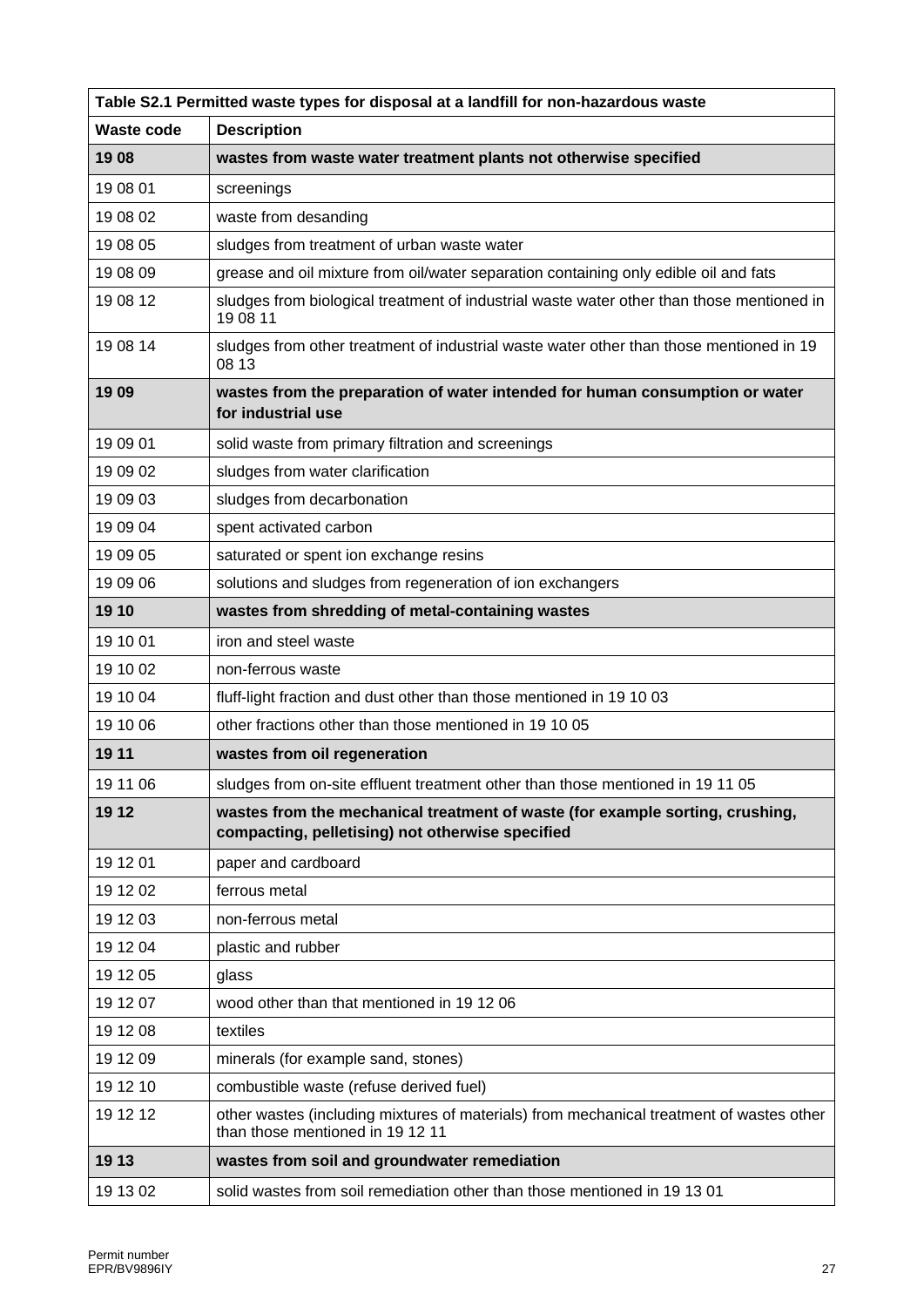|            | Table S2.1 Permitted waste types for disposal at a landfill for non-hazardous waste                                               |  |  |
|------------|-----------------------------------------------------------------------------------------------------------------------------------|--|--|
| Waste code | <b>Description</b>                                                                                                                |  |  |
| 1908       | wastes from waste water treatment plants not otherwise specified                                                                  |  |  |
| 19 08 01   | screenings                                                                                                                        |  |  |
| 19 08 02   | waste from desanding                                                                                                              |  |  |
| 19 08 05   | sludges from treatment of urban waste water                                                                                       |  |  |
| 19 08 09   | grease and oil mixture from oil/water separation containing only edible oil and fats                                              |  |  |
| 19 08 12   | sludges from biological treatment of industrial waste water other than those mentioned in<br>19 08 11                             |  |  |
| 19 08 14   | sludges from other treatment of industrial waste water other than those mentioned in 19<br>08 13                                  |  |  |
| 1909       | wastes from the preparation of water intended for human consumption or water<br>for industrial use                                |  |  |
| 19 09 01   | solid waste from primary filtration and screenings                                                                                |  |  |
| 19 09 02   | sludges from water clarification                                                                                                  |  |  |
| 19 09 03   | sludges from decarbonation                                                                                                        |  |  |
| 19 09 04   | spent activated carbon                                                                                                            |  |  |
| 19 09 05   | saturated or spent ion exchange resins                                                                                            |  |  |
| 19 09 06   | solutions and sludges from regeneration of ion exchangers                                                                         |  |  |
| 19 10      | wastes from shredding of metal-containing wastes                                                                                  |  |  |
| 19 10 01   | iron and steel waste                                                                                                              |  |  |
| 19 10 02   | non-ferrous waste                                                                                                                 |  |  |
| 19 10 04   | fluff-light fraction and dust other than those mentioned in 19 10 03                                                              |  |  |
| 19 10 06   | other fractions other than those mentioned in 19 10 05                                                                            |  |  |
| 19 11      | wastes from oil regeneration                                                                                                      |  |  |
| 19 11 06   | sludges from on-site effluent treatment other than those mentioned in 19 11 05                                                    |  |  |
| 19 12      | wastes from the mechanical treatment of waste (for example sorting, crushing,<br>compacting, pelletising) not otherwise specified |  |  |
| 19 12 01   | paper and cardboard                                                                                                               |  |  |
| 19 12 02   | ferrous metal                                                                                                                     |  |  |
| 19 12 03   | non-ferrous metal                                                                                                                 |  |  |
| 19 12 04   | plastic and rubber                                                                                                                |  |  |
| 19 12 05   | glass                                                                                                                             |  |  |
| 19 12 07   | wood other than that mentioned in 19 12 06                                                                                        |  |  |
| 19 12 08   | textiles                                                                                                                          |  |  |
| 19 12 09   | minerals (for example sand, stones)                                                                                               |  |  |
| 19 12 10   | combustible waste (refuse derived fuel)                                                                                           |  |  |
| 19 12 12   | other wastes (including mixtures of materials) from mechanical treatment of wastes other<br>than those mentioned in 19 12 11      |  |  |
| 19 13      | wastes from soil and groundwater remediation                                                                                      |  |  |
| 19 13 02   | solid wastes from soil remediation other than those mentioned in 19 13 01                                                         |  |  |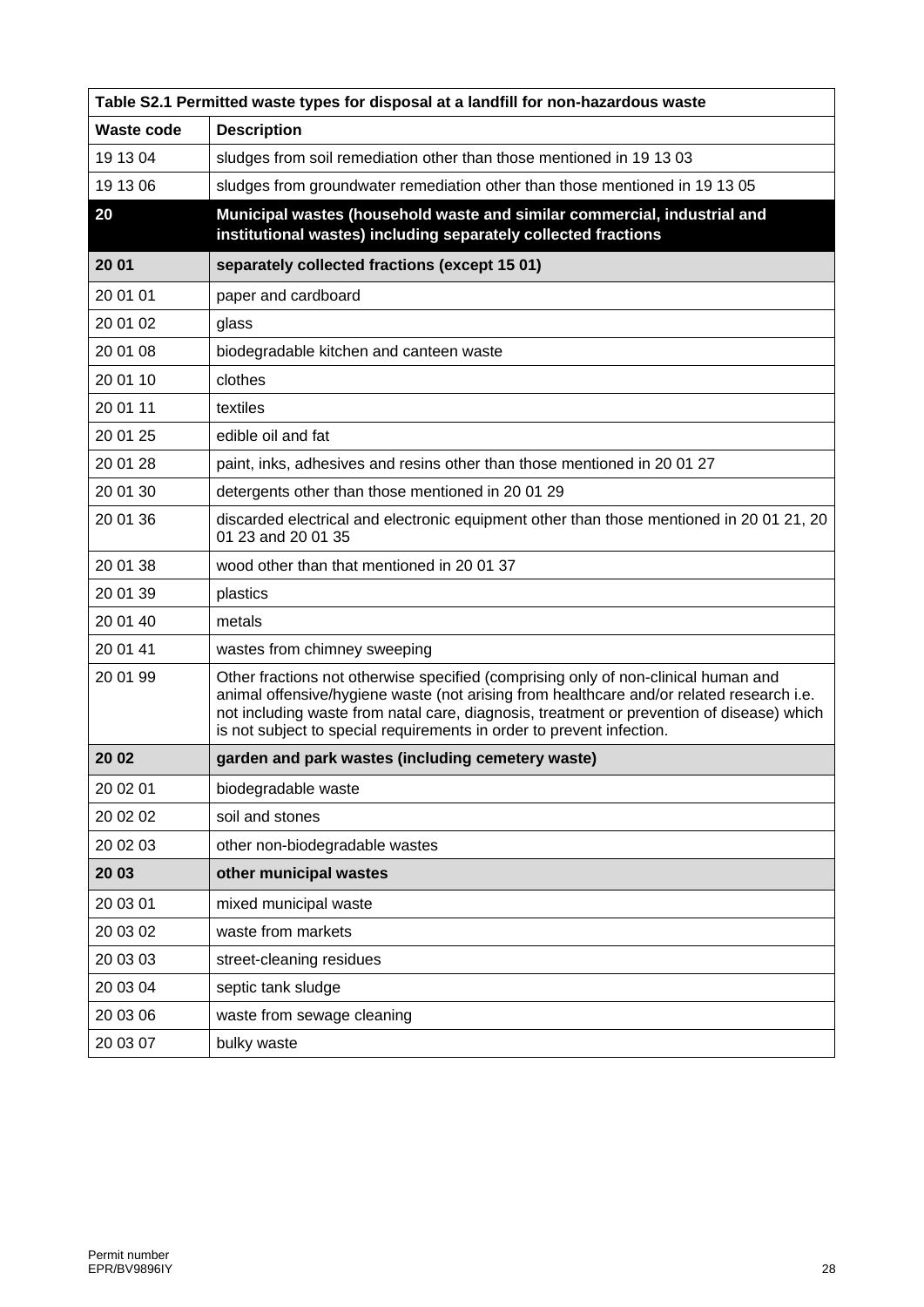| Table S2.1 Permitted waste types for disposal at a landfill for non-hazardous waste |                                                                                                                                                                                                                                                                                                                                                      |  |  |  |  |  |
|-------------------------------------------------------------------------------------|------------------------------------------------------------------------------------------------------------------------------------------------------------------------------------------------------------------------------------------------------------------------------------------------------------------------------------------------------|--|--|--|--|--|
| <b>Waste code</b>                                                                   | <b>Description</b>                                                                                                                                                                                                                                                                                                                                   |  |  |  |  |  |
| 19 13 04                                                                            | sludges from soil remediation other than those mentioned in 19 13 03                                                                                                                                                                                                                                                                                 |  |  |  |  |  |
| 19 13 06                                                                            | sludges from groundwater remediation other than those mentioned in 19 13 05                                                                                                                                                                                                                                                                          |  |  |  |  |  |
| 20                                                                                  | Municipal wastes (household waste and similar commercial, industrial and<br>institutional wastes) including separately collected fractions                                                                                                                                                                                                           |  |  |  |  |  |
| 20 01                                                                               | separately collected fractions (except 15 01)                                                                                                                                                                                                                                                                                                        |  |  |  |  |  |
| 20 01 01                                                                            | paper and cardboard                                                                                                                                                                                                                                                                                                                                  |  |  |  |  |  |
| 20 01 02                                                                            | glass                                                                                                                                                                                                                                                                                                                                                |  |  |  |  |  |
| 20 01 08                                                                            | biodegradable kitchen and canteen waste                                                                                                                                                                                                                                                                                                              |  |  |  |  |  |
| 20 01 10                                                                            | clothes                                                                                                                                                                                                                                                                                                                                              |  |  |  |  |  |
| 20 01 11                                                                            | textiles                                                                                                                                                                                                                                                                                                                                             |  |  |  |  |  |
| 20 01 25                                                                            | edible oil and fat                                                                                                                                                                                                                                                                                                                                   |  |  |  |  |  |
| 20 01 28                                                                            | paint, inks, adhesives and resins other than those mentioned in 20 01 27                                                                                                                                                                                                                                                                             |  |  |  |  |  |
| 20 01 30                                                                            | detergents other than those mentioned in 20 01 29                                                                                                                                                                                                                                                                                                    |  |  |  |  |  |
| 20 01 36                                                                            | discarded electrical and electronic equipment other than those mentioned in 20 01 21, 20<br>01 23 and 20 01 35                                                                                                                                                                                                                                       |  |  |  |  |  |
| 20 01 38                                                                            | wood other than that mentioned in 20 01 37                                                                                                                                                                                                                                                                                                           |  |  |  |  |  |
| 20 01 39                                                                            | plastics                                                                                                                                                                                                                                                                                                                                             |  |  |  |  |  |
| 20 01 40                                                                            | metals                                                                                                                                                                                                                                                                                                                                               |  |  |  |  |  |
| 20 01 41                                                                            | wastes from chimney sweeping                                                                                                                                                                                                                                                                                                                         |  |  |  |  |  |
| 20 01 99                                                                            | Other fractions not otherwise specified (comprising only of non-clinical human and<br>animal offensive/hygiene waste (not arising from healthcare and/or related research i.e.<br>not including waste from natal care, diagnosis, treatment or prevention of disease) which<br>is not subject to special requirements in order to prevent infection. |  |  |  |  |  |
| 20 02                                                                               | garden and park wastes (including cemetery waste)                                                                                                                                                                                                                                                                                                    |  |  |  |  |  |
| 20 02 01                                                                            | biodegradable waste                                                                                                                                                                                                                                                                                                                                  |  |  |  |  |  |
| 20 02 02                                                                            | soil and stones                                                                                                                                                                                                                                                                                                                                      |  |  |  |  |  |
| 20 02 03                                                                            | other non-biodegradable wastes                                                                                                                                                                                                                                                                                                                       |  |  |  |  |  |
| 20 03                                                                               | other municipal wastes                                                                                                                                                                                                                                                                                                                               |  |  |  |  |  |
| 20 03 01                                                                            | mixed municipal waste                                                                                                                                                                                                                                                                                                                                |  |  |  |  |  |
| 20 03 02                                                                            | waste from markets                                                                                                                                                                                                                                                                                                                                   |  |  |  |  |  |
| 20 03 03                                                                            | street-cleaning residues                                                                                                                                                                                                                                                                                                                             |  |  |  |  |  |
| 20 03 04                                                                            | septic tank sludge                                                                                                                                                                                                                                                                                                                                   |  |  |  |  |  |
| 20 03 06                                                                            | waste from sewage cleaning                                                                                                                                                                                                                                                                                                                           |  |  |  |  |  |
| 20 03 07                                                                            | bulky waste                                                                                                                                                                                                                                                                                                                                          |  |  |  |  |  |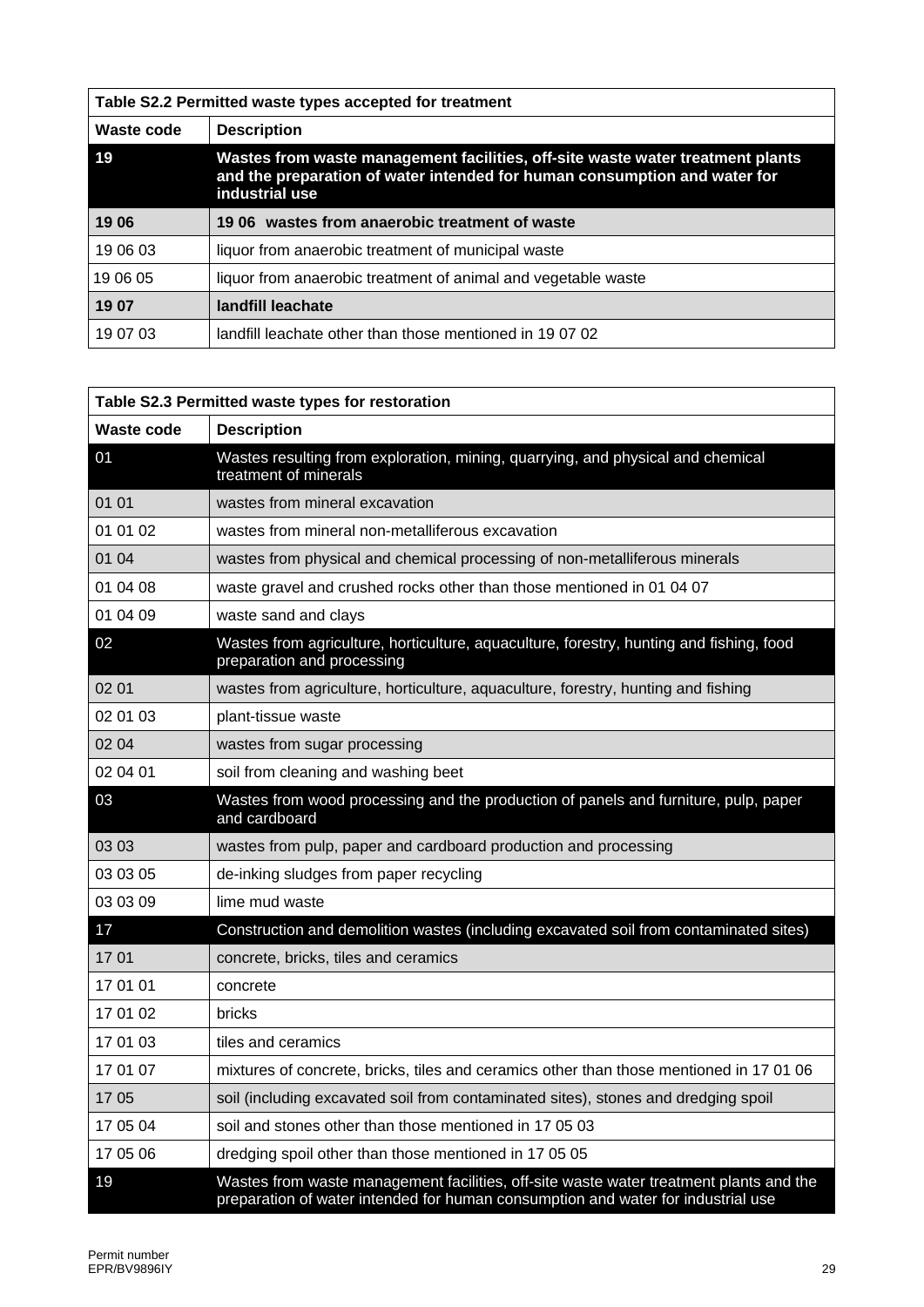| Table S2.2 Permitted waste types accepted for treatment |                                                                                                                                                                               |  |  |  |  |  |
|---------------------------------------------------------|-------------------------------------------------------------------------------------------------------------------------------------------------------------------------------|--|--|--|--|--|
| Waste code                                              | <b>Description</b>                                                                                                                                                            |  |  |  |  |  |
| 19                                                      | Wastes from waste management facilities, off-site waste water treatment plants<br>and the preparation of water intended for human consumption and water for<br>industrial use |  |  |  |  |  |
| 1906                                                    | 19.06 wastes from anaerobic treatment of waste                                                                                                                                |  |  |  |  |  |
| 19 06 03                                                | liquor from anaerobic treatment of municipal waste                                                                                                                            |  |  |  |  |  |
| 19 06 05                                                | liquor from anaerobic treatment of animal and vegetable waste                                                                                                                 |  |  |  |  |  |
| 19 07                                                   | landfill leachate                                                                                                                                                             |  |  |  |  |  |
| 19 07 03                                                | landfill leachate other than those mentioned in 19 07 02                                                                                                                      |  |  |  |  |  |

| Table S2.3 Permitted waste types for restoration |                                                                                                                                                                            |  |  |  |  |
|--------------------------------------------------|----------------------------------------------------------------------------------------------------------------------------------------------------------------------------|--|--|--|--|
| Waste code                                       | <b>Description</b>                                                                                                                                                         |  |  |  |  |
| 01                                               | Wastes resulting from exploration, mining, quarrying, and physical and chemical<br>treatment of minerals                                                                   |  |  |  |  |
| 01 01                                            | wastes from mineral excavation                                                                                                                                             |  |  |  |  |
| 01 01 02                                         | wastes from mineral non-metalliferous excavation                                                                                                                           |  |  |  |  |
| 01 04                                            | wastes from physical and chemical processing of non-metalliferous minerals                                                                                                 |  |  |  |  |
| 01 04 08                                         | waste gravel and crushed rocks other than those mentioned in 01 04 07                                                                                                      |  |  |  |  |
| 01 04 09                                         | waste sand and clays                                                                                                                                                       |  |  |  |  |
| 02                                               | Wastes from agriculture, horticulture, aquaculture, forestry, hunting and fishing, food<br>preparation and processing                                                      |  |  |  |  |
| 02 01                                            | wastes from agriculture, horticulture, aquaculture, forestry, hunting and fishing                                                                                          |  |  |  |  |
| 02 01 03                                         | plant-tissue waste                                                                                                                                                         |  |  |  |  |
| 02 04                                            | wastes from sugar processing                                                                                                                                               |  |  |  |  |
| 02 04 01                                         | soil from cleaning and washing beet                                                                                                                                        |  |  |  |  |
| 03                                               | Wastes from wood processing and the production of panels and furniture, pulp, paper<br>and cardboard                                                                       |  |  |  |  |
| 03 03                                            | wastes from pulp, paper and cardboard production and processing                                                                                                            |  |  |  |  |
| 03 03 05                                         | de-inking sludges from paper recycling                                                                                                                                     |  |  |  |  |
| 03 03 09                                         | lime mud waste                                                                                                                                                             |  |  |  |  |
| 17                                               | Construction and demolition wastes (including excavated soil from contaminated sites)                                                                                      |  |  |  |  |
| 17 01                                            | concrete, bricks, tiles and ceramics                                                                                                                                       |  |  |  |  |
| 17 01 01                                         | concrete                                                                                                                                                                   |  |  |  |  |
| 17 01 02                                         | bricks                                                                                                                                                                     |  |  |  |  |
| 17 01 03                                         | tiles and ceramics                                                                                                                                                         |  |  |  |  |
| 17 01 07                                         | mixtures of concrete, bricks, tiles and ceramics other than those mentioned in 17 01 06                                                                                    |  |  |  |  |
| 1705                                             | soil (including excavated soil from contaminated sites), stones and dredging spoil                                                                                         |  |  |  |  |
| 17 05 04                                         | soil and stones other than those mentioned in 17 05 03                                                                                                                     |  |  |  |  |
| 17 05 06                                         | dredging spoil other than those mentioned in 17 05 05                                                                                                                      |  |  |  |  |
| 19                                               | Wastes from waste management facilities, off-site waste water treatment plants and the<br>preparation of water intended for human consumption and water for industrial use |  |  |  |  |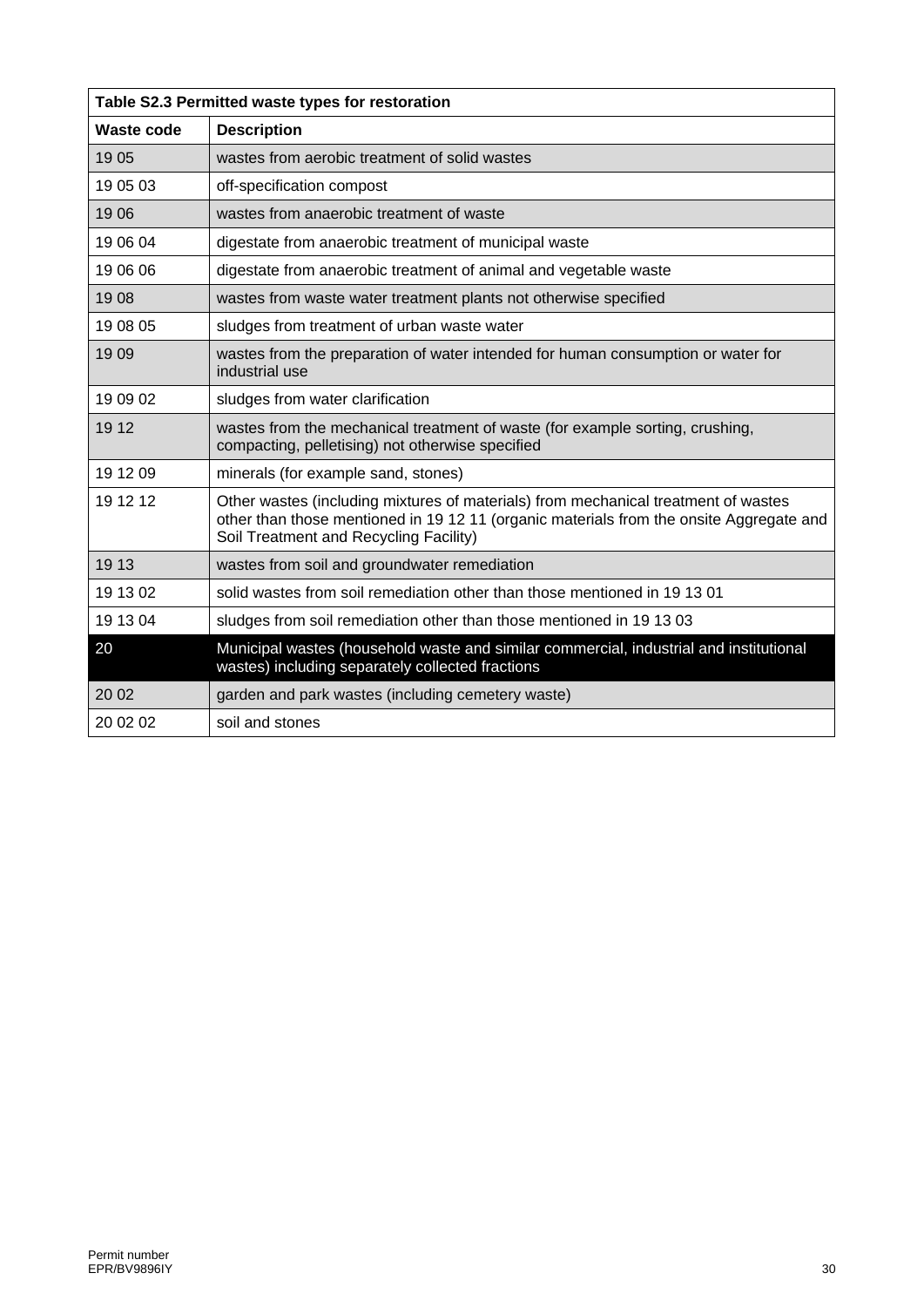| Table S2.3 Permitted waste types for restoration |                                                                                                                                                                                                                         |  |  |  |  |
|--------------------------------------------------|-------------------------------------------------------------------------------------------------------------------------------------------------------------------------------------------------------------------------|--|--|--|--|
| <b>Waste code</b>                                | <b>Description</b>                                                                                                                                                                                                      |  |  |  |  |
| 1905                                             | wastes from aerobic treatment of solid wastes                                                                                                                                                                           |  |  |  |  |
| 19 05 03                                         | off-specification compost                                                                                                                                                                                               |  |  |  |  |
| 1906                                             | wastes from anaerobic treatment of waste                                                                                                                                                                                |  |  |  |  |
| 19 06 04                                         | digestate from anaerobic treatment of municipal waste                                                                                                                                                                   |  |  |  |  |
| 19 06 06                                         | digestate from anaerobic treatment of animal and vegetable waste                                                                                                                                                        |  |  |  |  |
| 1908                                             | wastes from waste water treatment plants not otherwise specified                                                                                                                                                        |  |  |  |  |
| 19 08 05                                         | sludges from treatment of urban waste water                                                                                                                                                                             |  |  |  |  |
| 19 09                                            | wastes from the preparation of water intended for human consumption or water for<br>industrial use                                                                                                                      |  |  |  |  |
| 19 09 02                                         | sludges from water clarification                                                                                                                                                                                        |  |  |  |  |
| 19 12                                            | wastes from the mechanical treatment of waste (for example sorting, crushing,<br>compacting, pelletising) not otherwise specified                                                                                       |  |  |  |  |
| 19 12 09                                         | minerals (for example sand, stones)                                                                                                                                                                                     |  |  |  |  |
| 19 12 12                                         | Other wastes (including mixtures of materials) from mechanical treatment of wastes<br>other than those mentioned in 19 12 11 (organic materials from the onsite Aggregate and<br>Soil Treatment and Recycling Facility) |  |  |  |  |
| 19 13                                            | wastes from soil and groundwater remediation                                                                                                                                                                            |  |  |  |  |
| 19 13 02                                         | solid wastes from soil remediation other than those mentioned in 19 13 01                                                                                                                                               |  |  |  |  |
| 19 13 04                                         | sludges from soil remediation other than those mentioned in 19 13 03                                                                                                                                                    |  |  |  |  |
| 20                                               | Municipal wastes (household waste and similar commercial, industrial and institutional<br>wastes) including separately collected fractions                                                                              |  |  |  |  |
| 20 02                                            | garden and park wastes (including cemetery waste)                                                                                                                                                                       |  |  |  |  |
| 20 02 02                                         | soil and stones                                                                                                                                                                                                         |  |  |  |  |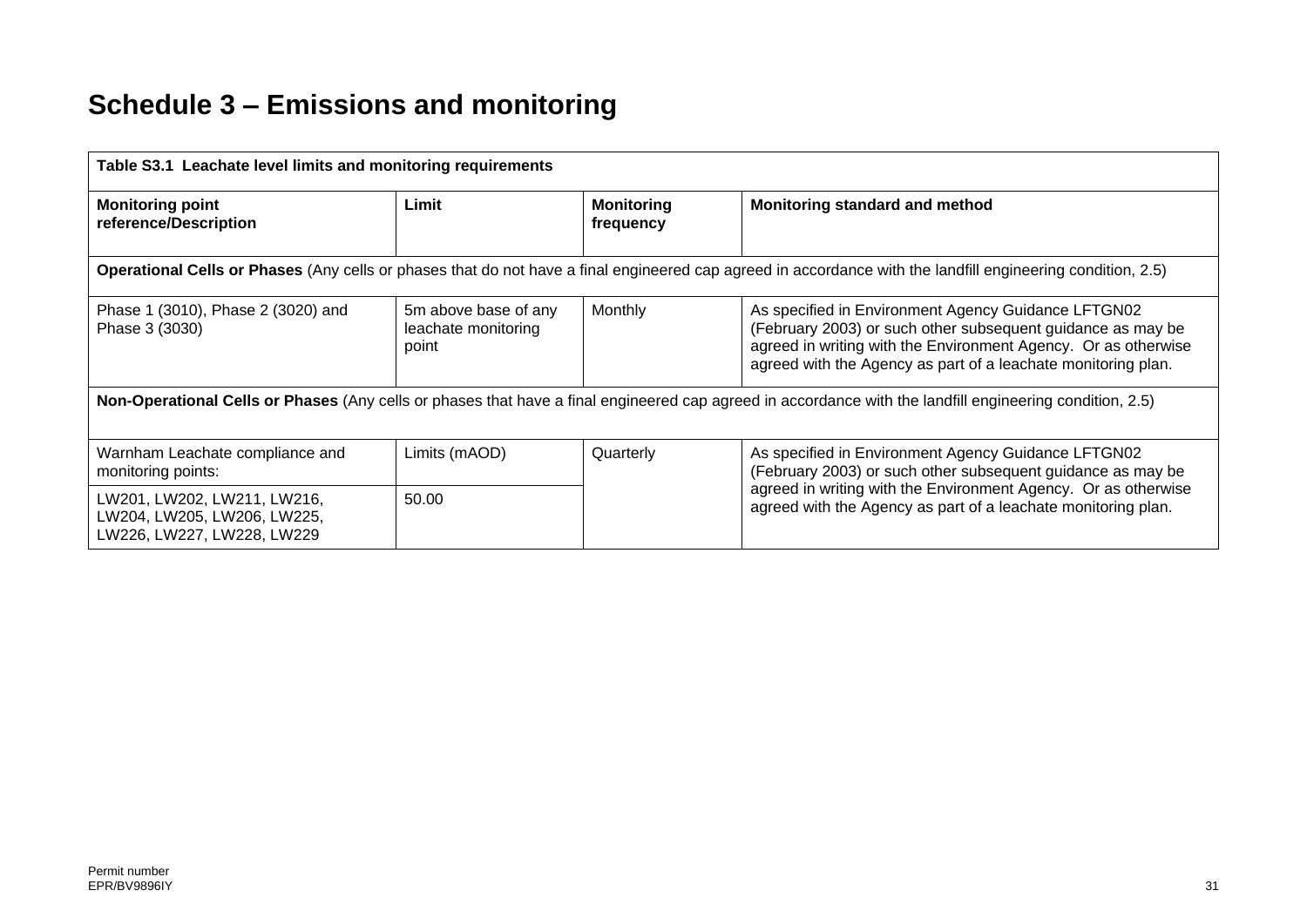# **Schedule 3 – Emissions and monitoring**

| Table S3.1 Leachate level limits and monitoring requirements                                                                                             |                                                      |                                |                                                                                                                                                                                                                                                       |  |  |  |  |
|----------------------------------------------------------------------------------------------------------------------------------------------------------|------------------------------------------------------|--------------------------------|-------------------------------------------------------------------------------------------------------------------------------------------------------------------------------------------------------------------------------------------------------|--|--|--|--|
| <b>Monitoring point</b><br>reference/Description                                                                                                         | Limit                                                | <b>Monitoring</b><br>frequency | Monitoring standard and method                                                                                                                                                                                                                        |  |  |  |  |
|                                                                                                                                                          |                                                      |                                | Operational Cells or Phases (Any cells or phases that do not have a final engineered cap agreed in accordance with the landfill engineering condition, 2.5)                                                                                           |  |  |  |  |
| Phase 1 (3010), Phase 2 (3020) and<br>Phase 3 (3030)                                                                                                     | 5m above base of any<br>leachate monitoring<br>point | Monthly                        | As specified in Environment Agency Guidance LFTGN02<br>(February 2003) or such other subsequent guidance as may be<br>agreed in writing with the Environment Agency. Or as otherwise<br>agreed with the Agency as part of a leachate monitoring plan. |  |  |  |  |
| Non-Operational Cells or Phases (Any cells or phases that have a final engineered cap agreed in accordance with the landfill engineering condition, 2.5) |                                                      |                                |                                                                                                                                                                                                                                                       |  |  |  |  |
| Warnham Leachate compliance and<br>monitoring points:                                                                                                    | Limits (mAOD)                                        | Quarterly                      | As specified in Environment Agency Guidance LFTGN02<br>(February 2003) or such other subsequent guidance as may be                                                                                                                                    |  |  |  |  |
| LW201, LW202, LW211, LW216,<br>LW204, LW205, LW206, LW225,<br>LW226, LW227, LW228, LW229                                                                 | 50.00                                                |                                | agreed in writing with the Environment Agency. Or as otherwise<br>agreed with the Agency as part of a leachate monitoring plan.                                                                                                                       |  |  |  |  |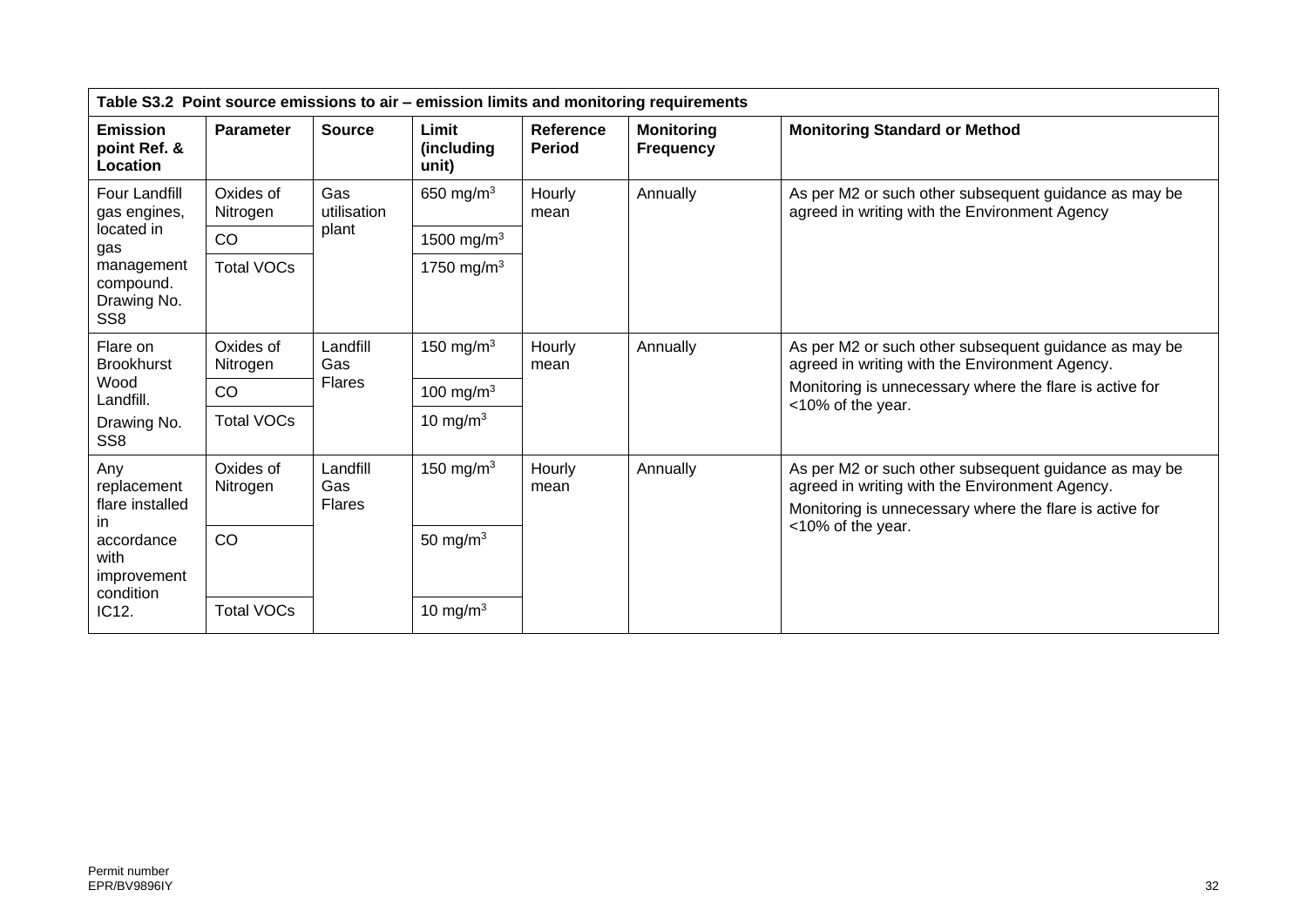| Table S3.2 Point source emissions to air - emission limits and monitoring requirements |                       |                                  |                              |                                   |                                       |                                                                                                                                                                    |  |
|----------------------------------------------------------------------------------------|-----------------------|----------------------------------|------------------------------|-----------------------------------|---------------------------------------|--------------------------------------------------------------------------------------------------------------------------------------------------------------------|--|
| <b>Emission</b><br>point Ref. &<br>Location                                            | <b>Parameter</b>      | <b>Source</b>                    | Limit<br>(including<br>unit) | <b>Reference</b><br><b>Period</b> | <b>Monitoring</b><br><b>Frequency</b> | <b>Monitoring Standard or Method</b>                                                                                                                               |  |
| Four Landfill<br>gas engines,                                                          | Oxides of<br>Nitrogen | Gas<br>utilisation               | 650 mg/m $3$                 | Hourly<br>mean                    | Annually                              | As per M2 or such other subsequent guidance as may be<br>agreed in writing with the Environment Agency                                                             |  |
| located in<br>gas                                                                      | <b>CO</b>             | plant                            | 1500 mg/m <sup>3</sup>       |                                   |                                       |                                                                                                                                                                    |  |
| management<br>compound.<br>Drawing No.<br>SS <sub>8</sub>                              | <b>Total VOCs</b>     |                                  | 1750 mg/m <sup>3</sup>       |                                   |                                       |                                                                                                                                                                    |  |
| Flare on<br><b>Brookhurst</b>                                                          | Oxides of<br>Nitrogen | Landfill<br>Gas                  | 150 mg/m $3$                 | Hourly<br>mean                    | Annually                              | As per M2 or such other subsequent guidance as may be<br>agreed in writing with the Environment Agency.                                                            |  |
| Wood<br>Landfill.                                                                      | CO                    | <b>Flares</b>                    | 100 mg/m $3$                 |                                   |                                       | Monitoring is unnecessary where the flare is active for<br><10% of the year.                                                                                       |  |
| Drawing No.<br>SS <sub>8</sub>                                                         | <b>Total VOCs</b>     |                                  | 10 mg/m $3$                  |                                   |                                       |                                                                                                                                                                    |  |
| Any<br>replacement<br>flare installed<br>ın                                            | Oxides of<br>Nitrogen | Landfill<br>Gas<br><b>Flares</b> | 150 mg/m $3$                 | Hourly<br>mean                    | Annually                              | As per M2 or such other subsequent guidance as may be<br>agreed in writing with the Environment Agency.<br>Monitoring is unnecessary where the flare is active for |  |
| accordance<br>with<br>improvement<br>condition                                         | <b>CO</b>             |                                  | 50 mg/m $3$                  |                                   |                                       | <10% of the year.                                                                                                                                                  |  |
| IC12.                                                                                  | <b>Total VOCs</b>     |                                  | 10 mg/m $3$                  |                                   |                                       |                                                                                                                                                                    |  |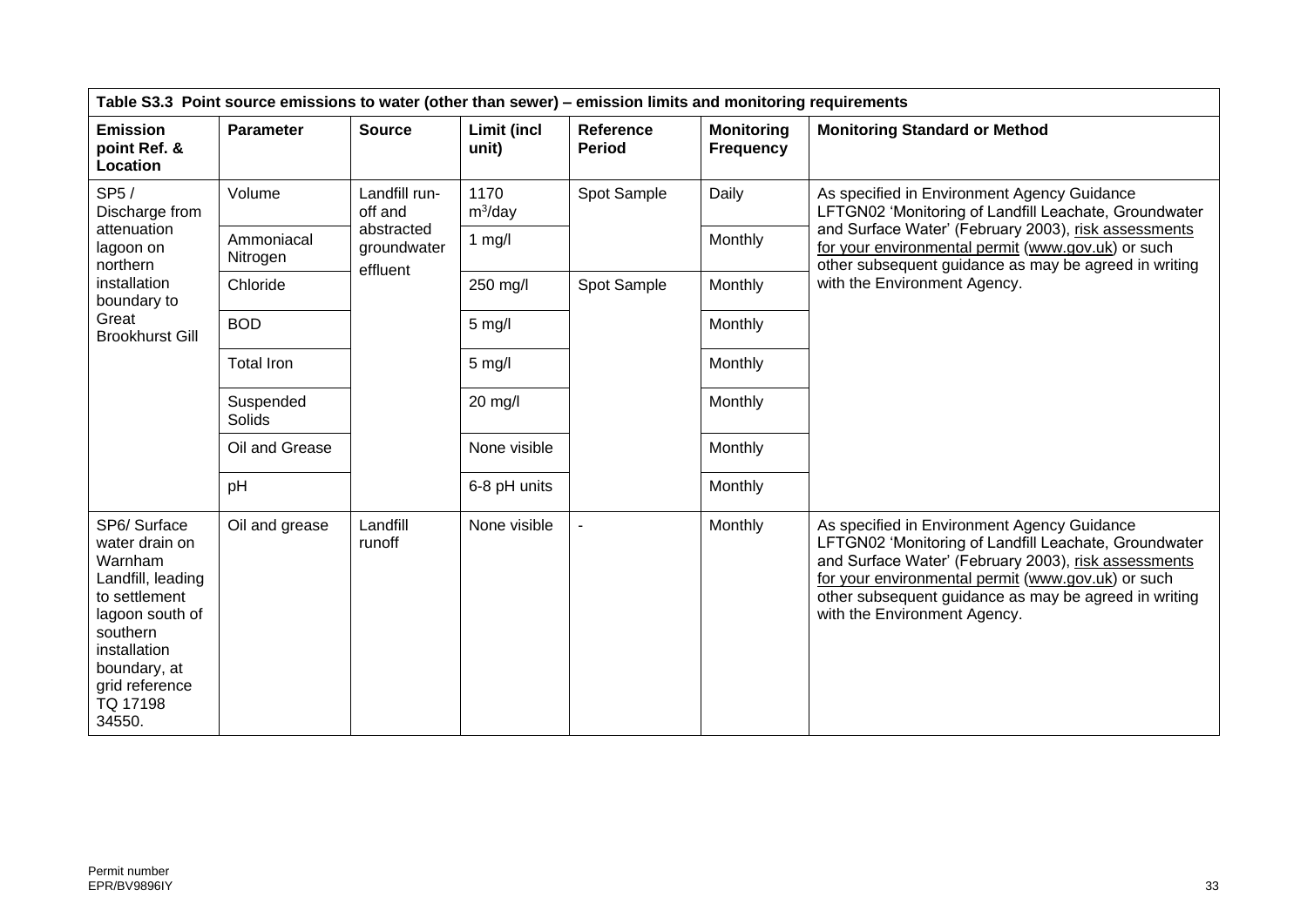| Table S3.3 Point source emissions to water (other than sewer) - emission limits and monitoring requirements                                                                           |                        |                                       |                      |                            |                                       |                                                                                                                                                                                                                                                                                                             |
|---------------------------------------------------------------------------------------------------------------------------------------------------------------------------------------|------------------------|---------------------------------------|----------------------|----------------------------|---------------------------------------|-------------------------------------------------------------------------------------------------------------------------------------------------------------------------------------------------------------------------------------------------------------------------------------------------------------|
| <b>Emission</b><br>point Ref. &<br>Location                                                                                                                                           | <b>Parameter</b>       | <b>Source</b>                         | Limit (incl<br>unit) | Reference<br><b>Period</b> | <b>Monitoring</b><br><b>Frequency</b> | <b>Monitoring Standard or Method</b>                                                                                                                                                                                                                                                                        |
| SP5/<br>Discharge from                                                                                                                                                                | Volume                 | Landfill run-<br>off and              | 1170<br>$m^3$ /day   | Spot Sample                | Daily                                 | As specified in Environment Agency Guidance<br>LFTGN02 'Monitoring of Landfill Leachate, Groundwater                                                                                                                                                                                                        |
| attenuation<br>lagoon on<br>northern                                                                                                                                                  | Ammoniacal<br>Nitrogen | abstracted<br>groundwater<br>effluent | $1$ mg/l             |                            | Monthly                               | and Surface Water' (February 2003), risk assessments<br>for your environmental permit (www.gov.uk) or such<br>other subsequent guidance as may be agreed in writing                                                                                                                                         |
| <i>installation</i><br>boundary to                                                                                                                                                    | Chloride               |                                       | 250 mg/l             | Spot Sample                | Monthly                               | with the Environment Agency.                                                                                                                                                                                                                                                                                |
| Great<br><b>Brookhurst Gill</b>                                                                                                                                                       | <b>BOD</b>             |                                       | $5$ mg/l             |                            | Monthly                               |                                                                                                                                                                                                                                                                                                             |
|                                                                                                                                                                                       | <b>Total Iron</b>      |                                       | $5$ mg/l             |                            | Monthly                               |                                                                                                                                                                                                                                                                                                             |
|                                                                                                                                                                                       | Suspended<br>Solids    |                                       | 20 mg/l              |                            | Monthly                               |                                                                                                                                                                                                                                                                                                             |
|                                                                                                                                                                                       | Oil and Grease         |                                       | None visible         |                            | Monthly                               |                                                                                                                                                                                                                                                                                                             |
|                                                                                                                                                                                       | pH                     |                                       | 6-8 pH units         |                            | Monthly                               |                                                                                                                                                                                                                                                                                                             |
| SP6/Surface<br>water drain on<br>Warnham<br>Landfill, leading<br>to settlement<br>lagoon south of<br>southern<br>installation<br>boundary, at<br>grid reference<br>TQ 17198<br>34550. | Oil and grease         | Landfill<br>runoff                    | None visible         |                            | Monthly                               | As specified in Environment Agency Guidance<br>LFTGN02 'Monitoring of Landfill Leachate, Groundwater<br>and Surface Water' (February 2003), risk assessments<br>for your environmental permit (www.gov.uk) or such<br>other subsequent guidance as may be agreed in writing<br>with the Environment Agency. |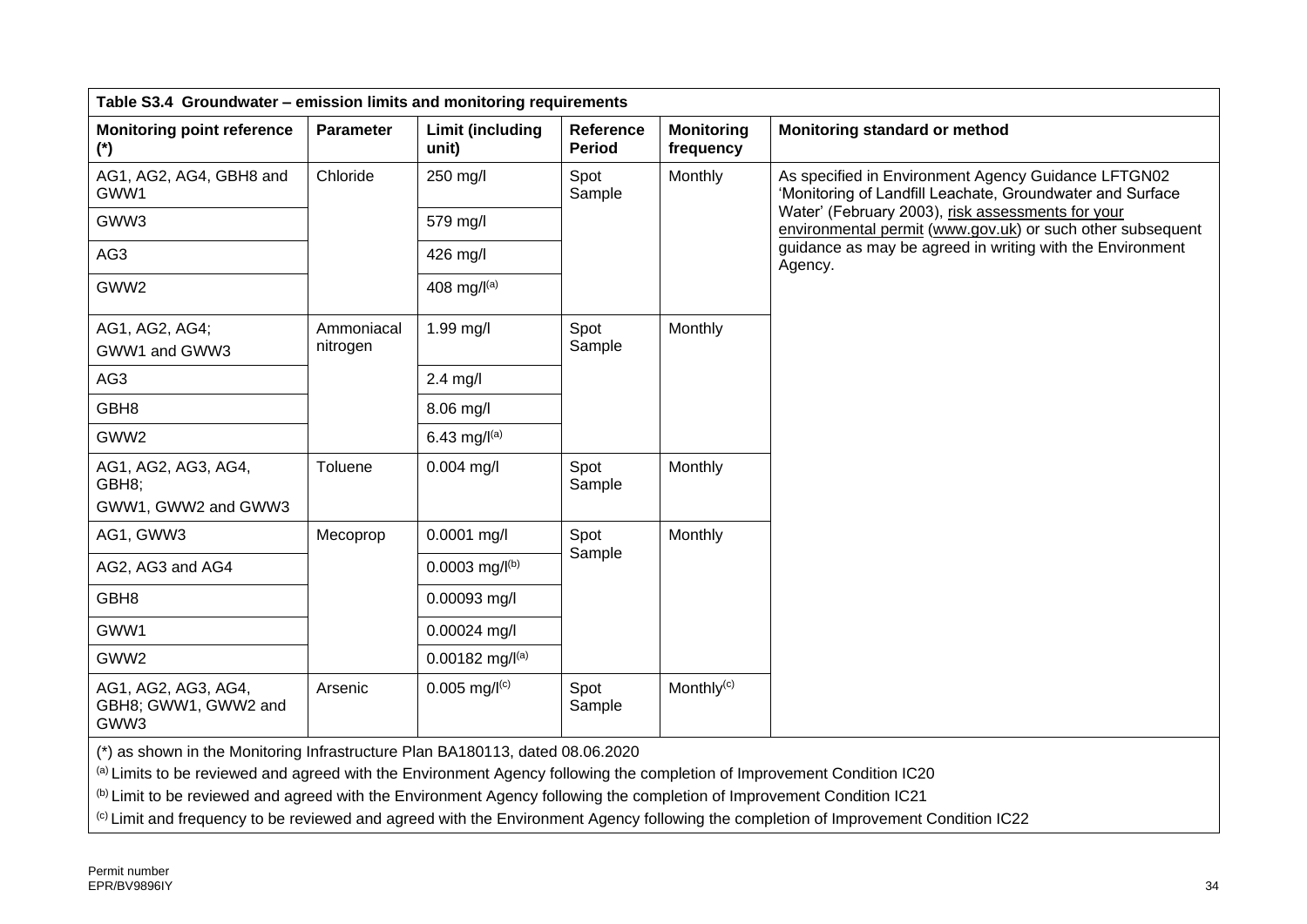| Table S3.4 Groundwater - emission limits and monitoring requirements                                                                                                                                                                              |                        |                                  |                                   |                                |                                                                                                                                      |  |
|---------------------------------------------------------------------------------------------------------------------------------------------------------------------------------------------------------------------------------------------------|------------------------|----------------------------------|-----------------------------------|--------------------------------|--------------------------------------------------------------------------------------------------------------------------------------|--|
| <b>Monitoring point reference</b><br>$(*)$                                                                                                                                                                                                        | <b>Parameter</b>       | <b>Limit (including</b><br>unit) | <b>Reference</b><br><b>Period</b> | <b>Monitoring</b><br>frequency | Monitoring standard or method                                                                                                        |  |
| AG1, AG2, AG4, GBH8 and<br>GWW1                                                                                                                                                                                                                   | Chloride               | 250 mg/l                         | Spot<br>Sample                    | Monthly                        | As specified in Environment Agency Guidance LFTGN02<br>'Monitoring of Landfill Leachate, Groundwater and Surface                     |  |
| GWW3                                                                                                                                                                                                                                              |                        | 579 mg/l                         |                                   |                                | Water' (February 2003), risk assessments for your<br>environmental permit (www.gov.uk) or such other subsequent                      |  |
| AG3                                                                                                                                                                                                                                               |                        | 426 mg/l                         |                                   |                                | guidance as may be agreed in writing with the Environment<br>Agency.                                                                 |  |
| GWW2                                                                                                                                                                                                                                              |                        | 408 mg/ $I^{(a)}$                |                                   |                                |                                                                                                                                      |  |
| AG1, AG2, AG4;<br>GWW1 and GWW3                                                                                                                                                                                                                   | Ammoniacal<br>nitrogen | 1.99 mg/l                        | Spot<br>Sample                    | Monthly                        |                                                                                                                                      |  |
| AG3                                                                                                                                                                                                                                               |                        | $2.4$ mg/l                       |                                   |                                |                                                                                                                                      |  |
| GBH <sub>8</sub>                                                                                                                                                                                                                                  |                        | 8.06 mg/l                        |                                   |                                |                                                                                                                                      |  |
| GWW2                                                                                                                                                                                                                                              |                        | 6.43 mg/ $I^{(a)}$               |                                   |                                |                                                                                                                                      |  |
| AG1, AG2, AG3, AG4,<br>GBH8;                                                                                                                                                                                                                      | Toluene                | $0.004$ mg/l                     | Spot<br>Sample                    | Monthly                        |                                                                                                                                      |  |
| GWW1, GWW2 and GWW3                                                                                                                                                                                                                               |                        |                                  |                                   |                                |                                                                                                                                      |  |
| AG1, GWW3                                                                                                                                                                                                                                         | Mecoprop               | $0.0001$ mg/l                    | Spot<br>Sample                    | Monthly                        |                                                                                                                                      |  |
| AG2, AG3 and AG4                                                                                                                                                                                                                                  |                        | $0.0003$ mg/l <sup>(b)</sup>     |                                   |                                |                                                                                                                                      |  |
| GBH <sub>8</sub>                                                                                                                                                                                                                                  |                        | 0.00093 mg/l                     |                                   |                                |                                                                                                                                      |  |
| GWW1                                                                                                                                                                                                                                              |                        | 0.00024 mg/l                     |                                   |                                |                                                                                                                                      |  |
| GWW2                                                                                                                                                                                                                                              |                        | $0.00182$ mg/l(a)                |                                   |                                |                                                                                                                                      |  |
| AG1, AG2, AG3, AG4,<br>GBH8; GWW1, GWW2 and<br>GWW3                                                                                                                                                                                               | Arsenic                | $0.005$ mg/ $I(c)$               | Spot<br>Sample                    | Monthly <sup>(c)</sup>         |                                                                                                                                      |  |
| (*) as shown in the Monitoring Infrastructure Plan BA180113, dated 08.06.2020                                                                                                                                                                     |                        |                                  |                                   |                                |                                                                                                                                      |  |
| (a) Limits to be reviewed and agreed with the Environment Agency following the completion of Improvement Condition IC20<br>(b) Limit to be reviewed and agreed with the Environment Agency following the completion of Improvement Condition IC21 |                        |                                  |                                   |                                |                                                                                                                                      |  |
|                                                                                                                                                                                                                                                   |                        |                                  |                                   |                                | (c) Limit and frequency to be reviewed and agreed with the Environment Agency following the completion of Improvement Condition IC22 |  |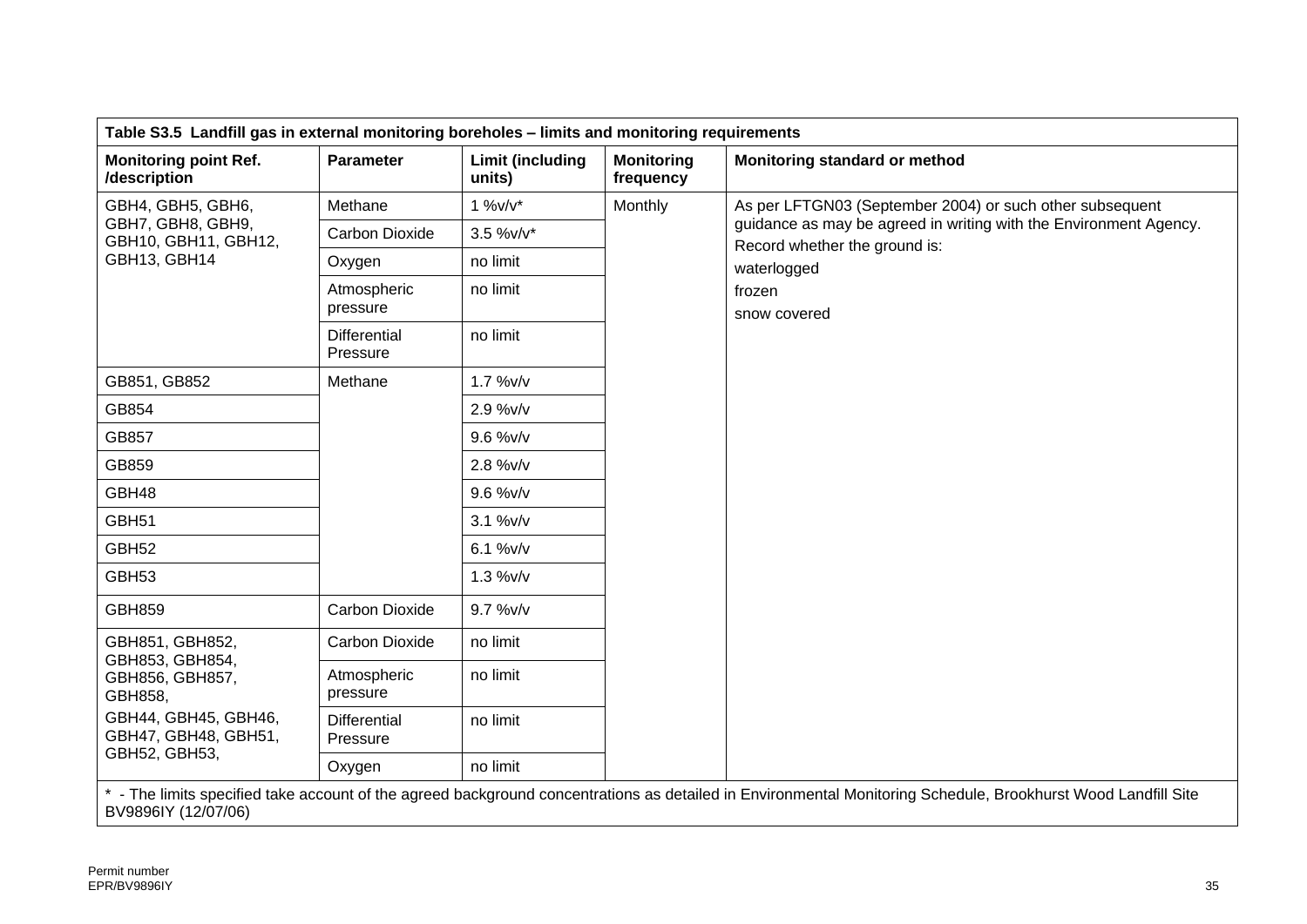| Table S3.5 Landfill gas in external monitoring boreholes - limits and monitoring requirements |                                 |                            |                                |                                                                                                                                                               |  |  |
|-----------------------------------------------------------------------------------------------|---------------------------------|----------------------------|--------------------------------|---------------------------------------------------------------------------------------------------------------------------------------------------------------|--|--|
| <b>Monitoring point Ref.</b><br>/description                                                  | <b>Parameter</b>                | Limit (including<br>units) | <b>Monitoring</b><br>frequency | Monitoring standard or method                                                                                                                                 |  |  |
| GBH4, GBH5, GBH6,                                                                             | Methane                         | $1\%v/v^*$                 | Monthly                        | As per LFTGN03 (September 2004) or such other subsequent                                                                                                      |  |  |
| GBH7, GBH8, GBH9,<br>GBH10, GBH11, GBH12,                                                     | Carbon Dioxide                  | 3.5 %v/v*                  |                                | guidance as may be agreed in writing with the Environment Agency.                                                                                             |  |  |
| GBH13, GBH14                                                                                  | Oxygen                          | no limit                   |                                | Record whether the ground is:<br>waterlogged                                                                                                                  |  |  |
|                                                                                               | Atmospheric<br>pressure         | no limit                   |                                | frozen<br>snow covered                                                                                                                                        |  |  |
|                                                                                               | <b>Differential</b><br>Pressure | no limit                   |                                |                                                                                                                                                               |  |  |
| GB851, GB852                                                                                  | Methane                         | $1.7 %$ W/v                |                                |                                                                                                                                                               |  |  |
| GB854                                                                                         | 2.9 %v/v                        |                            |                                |                                                                                                                                                               |  |  |
| GB857                                                                                         |                                 | 9.6 %v/v                   |                                |                                                                                                                                                               |  |  |
| GB859                                                                                         |                                 | 2.8 %v/v                   |                                |                                                                                                                                                               |  |  |
| GBH48                                                                                         |                                 | 9.6 %v/v                   |                                |                                                                                                                                                               |  |  |
| GBH51                                                                                         |                                 | 3.1 %v/v                   |                                |                                                                                                                                                               |  |  |
| GBH <sub>52</sub>                                                                             |                                 | 6.1 %v/v                   |                                |                                                                                                                                                               |  |  |
| GBH <sub>53</sub>                                                                             |                                 | $1.3 %$ v/v                |                                |                                                                                                                                                               |  |  |
| <b>GBH859</b>                                                                                 | Carbon Dioxide                  | 9.7 %v/v                   |                                |                                                                                                                                                               |  |  |
| GBH851, GBH852,<br>GBH853, GBH854,                                                            | <b>Carbon Dioxide</b>           | no limit                   |                                |                                                                                                                                                               |  |  |
| GBH856, GBH857,<br>GBH858,<br>GBH44, GBH45, GBH46,<br>GBH47, GBH48, GBH51,                    | Atmospheric<br>pressure         | no limit                   |                                |                                                                                                                                                               |  |  |
|                                                                                               | <b>Differential</b><br>Pressure | no limit                   |                                |                                                                                                                                                               |  |  |
| GBH52, GBH53,                                                                                 | Oxygen                          | no limit                   |                                |                                                                                                                                                               |  |  |
|                                                                                               |                                 |                            |                                | * - The limits specified take account of the agreed background concentrations as detailed in Environmental Monitoring Schedule, Brookhurst Wood Landfill Site |  |  |

BV9896IY (12/07/06)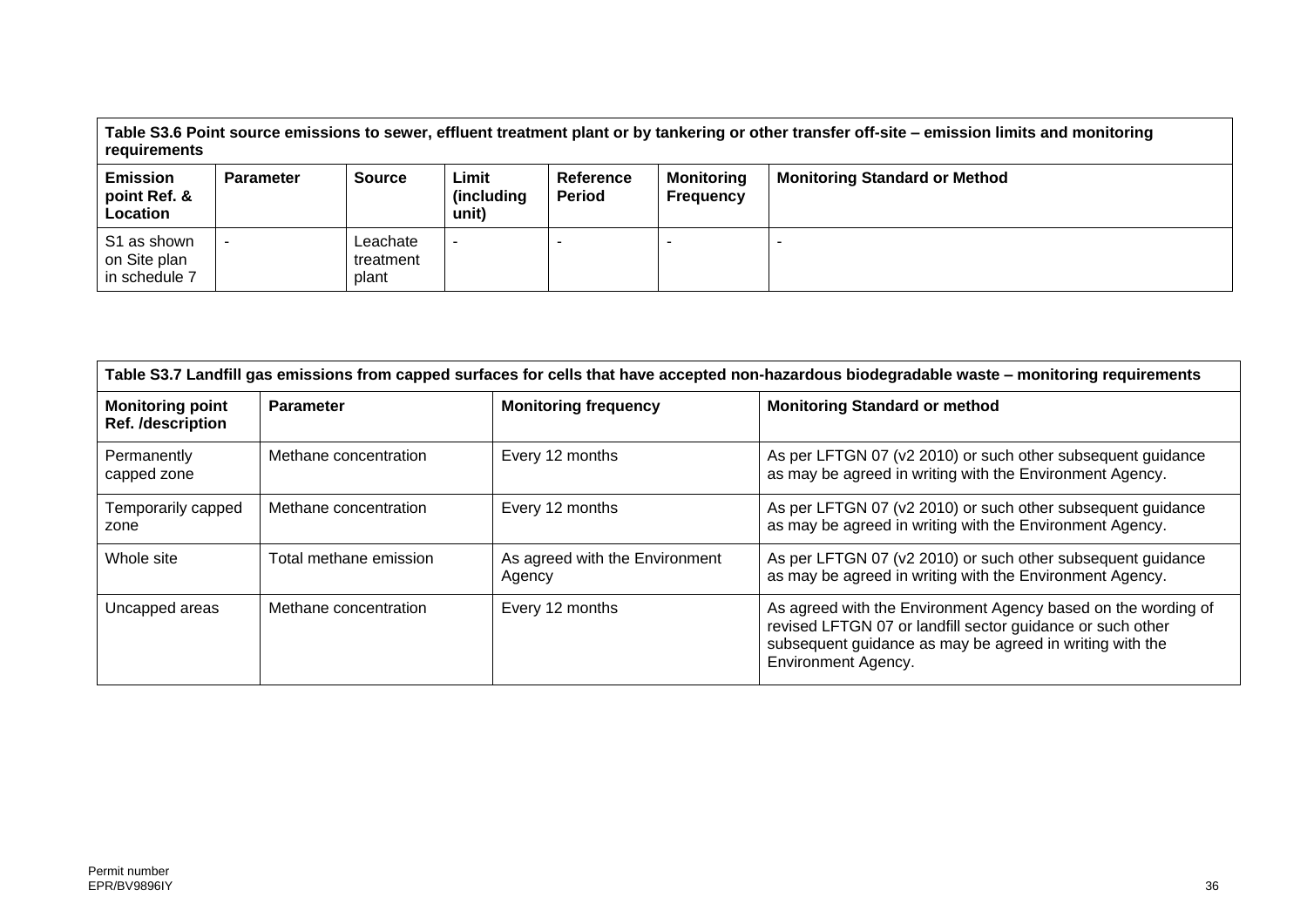**Table S3.6 Point source emissions to sewer, effluent treatment plant or by tankering or other transfer off-site – emission limits and monitoring requirements**

| <b>Emission</b><br>point Ref. &<br>Location  | <b>Parameter</b> | <b>Source</b>                  | Limit<br>(including)<br>unit) | Reference<br><b>Period</b> | <b>Monitoring</b><br><b>Frequency</b> | <b>Monitoring Standard or Method</b> |
|----------------------------------------------|------------------|--------------------------------|-------------------------------|----------------------------|---------------------------------------|--------------------------------------|
| S1 as shown<br>on Site plan<br>in schedule 7 |                  | Leachate<br>treatment<br>plant |                               |                            |                                       |                                      |

| Table S3.7 Landfill gas emissions from capped surfaces for cells that have accepted non-hazardous biodegradable waste - monitoring requirements |                        |                                          |                                                                                                                                                                                                                       |  |  |  |
|-------------------------------------------------------------------------------------------------------------------------------------------------|------------------------|------------------------------------------|-----------------------------------------------------------------------------------------------------------------------------------------------------------------------------------------------------------------------|--|--|--|
| <b>Monitoring point</b><br>Ref. /description                                                                                                    | <b>Parameter</b>       | <b>Monitoring frequency</b>              | <b>Monitoring Standard or method</b>                                                                                                                                                                                  |  |  |  |
| Permanently<br>capped zone                                                                                                                      | Methane concentration  | Every 12 months                          | As per LFTGN 07 (v2 2010) or such other subsequent guidance<br>as may be agreed in writing with the Environment Agency.                                                                                               |  |  |  |
| Temporarily capped<br>zone                                                                                                                      | Methane concentration  | Every 12 months                          | As per LFTGN 07 (v2 2010) or such other subsequent guidance<br>as may be agreed in writing with the Environment Agency.                                                                                               |  |  |  |
| Whole site                                                                                                                                      | Total methane emission | As agreed with the Environment<br>Agency | As per LFTGN 07 (v2 2010) or such other subsequent guidance<br>as may be agreed in writing with the Environment Agency.                                                                                               |  |  |  |
| Uncapped areas                                                                                                                                  | Methane concentration  | Every 12 months                          | As agreed with the Environment Agency based on the wording of<br>revised LFTGN 07 or landfill sector guidance or such other<br>subsequent guidance as may be agreed in writing with the<br><b>Environment Agency.</b> |  |  |  |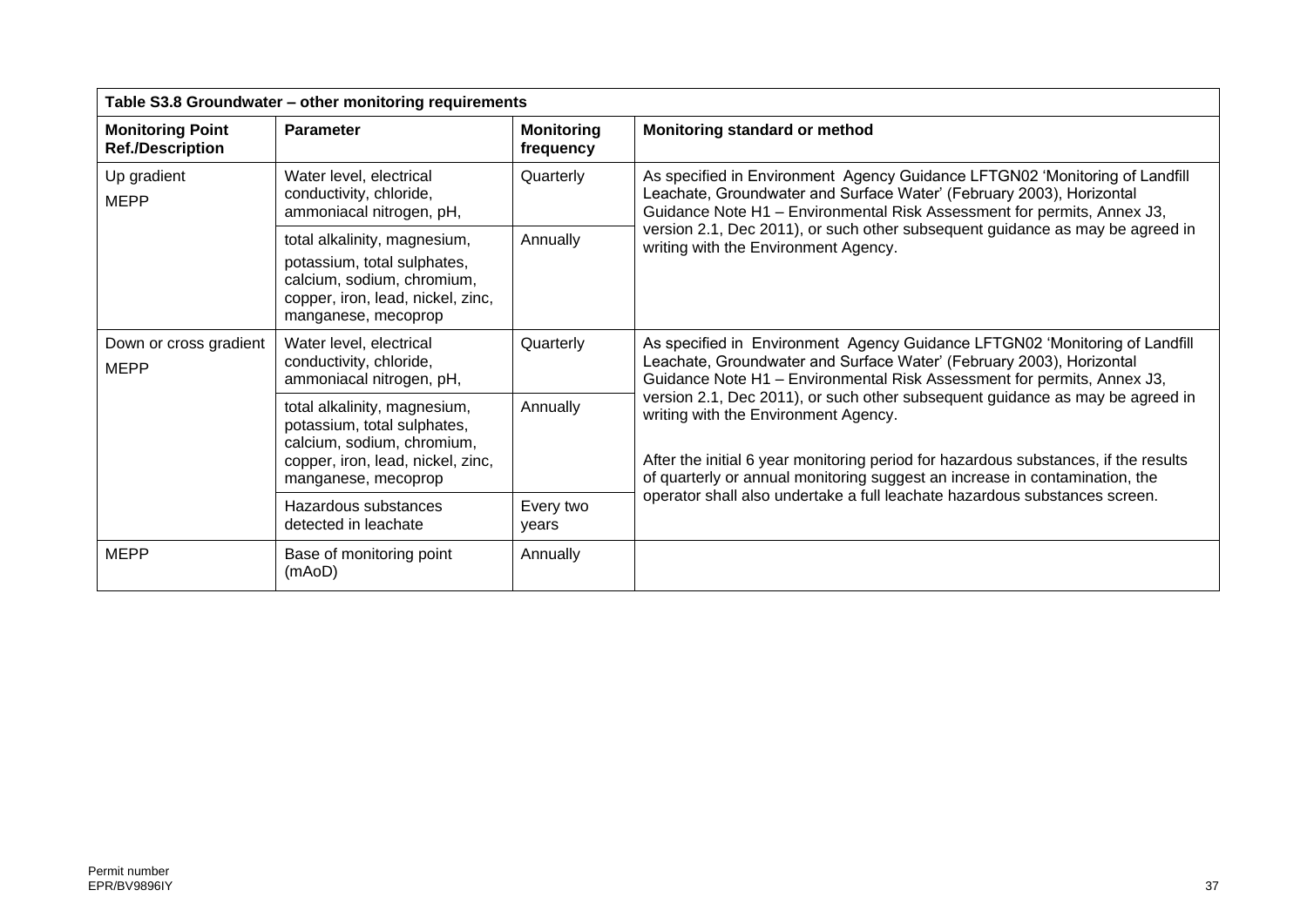| Table S3.8 Groundwater - other monitoring requirements |                                                                                                                                                       |                                |                                                                                                                                                                                                                                                                                             |  |  |  |  |
|--------------------------------------------------------|-------------------------------------------------------------------------------------------------------------------------------------------------------|--------------------------------|---------------------------------------------------------------------------------------------------------------------------------------------------------------------------------------------------------------------------------------------------------------------------------------------|--|--|--|--|
| <b>Monitoring Point</b><br><b>Ref./Description</b>     | <b>Parameter</b>                                                                                                                                      | <b>Monitoring</b><br>frequency | Monitoring standard or method                                                                                                                                                                                                                                                               |  |  |  |  |
| Up gradient<br><b>MEPP</b>                             | Water level, electrical<br>conductivity, chloride,<br>ammoniacal nitrogen, pH,                                                                        | Quarterly                      | As specified in Environment Agency Guidance LFTGN02 'Monitoring of Landfill<br>Leachate, Groundwater and Surface Water' (February 2003), Horizontal<br>Guidance Note H1 - Environmental Risk Assessment for permits, Annex J3,                                                              |  |  |  |  |
|                                                        | total alkalinity, magnesium,<br>potassium, total sulphates,<br>calcium, sodium, chromium,<br>copper, iron, lead, nickel, zinc,<br>manganese, mecoprop | Annually                       | version 2.1, Dec 2011), or such other subsequent guidance as may be agreed in<br>writing with the Environment Agency.                                                                                                                                                                       |  |  |  |  |
| Down or cross gradient<br><b>MEPP</b>                  | Water level, electrical<br>conductivity, chloride,<br>ammoniacal nitrogen, pH,                                                                        | Quarterly                      | As specified in Environment Agency Guidance LFTGN02 'Monitoring of Landfill<br>Leachate, Groundwater and Surface Water' (February 2003), Horizontal<br>Guidance Note H1 - Environmental Risk Assessment for permits, Annex J3,                                                              |  |  |  |  |
|                                                        | total alkalinity, magnesium,<br>potassium, total sulphates,<br>calcium, sodium, chromium,<br>copper, iron, lead, nickel, zinc,<br>manganese, mecoprop | Annually                       | version 2.1, Dec 2011), or such other subsequent guidance as may be agreed in<br>writing with the Environment Agency.<br>After the initial 6 year monitoring period for hazardous substances, if the results<br>of quarterly or annual monitoring suggest an increase in contamination, the |  |  |  |  |
|                                                        | Hazardous substances<br>detected in leachate                                                                                                          | Every two<br>years             | operator shall also undertake a full leachate hazardous substances screen.                                                                                                                                                                                                                  |  |  |  |  |
| <b>MEPP</b>                                            | Base of monitoring point<br>(mAoD)                                                                                                                    | Annually                       |                                                                                                                                                                                                                                                                                             |  |  |  |  |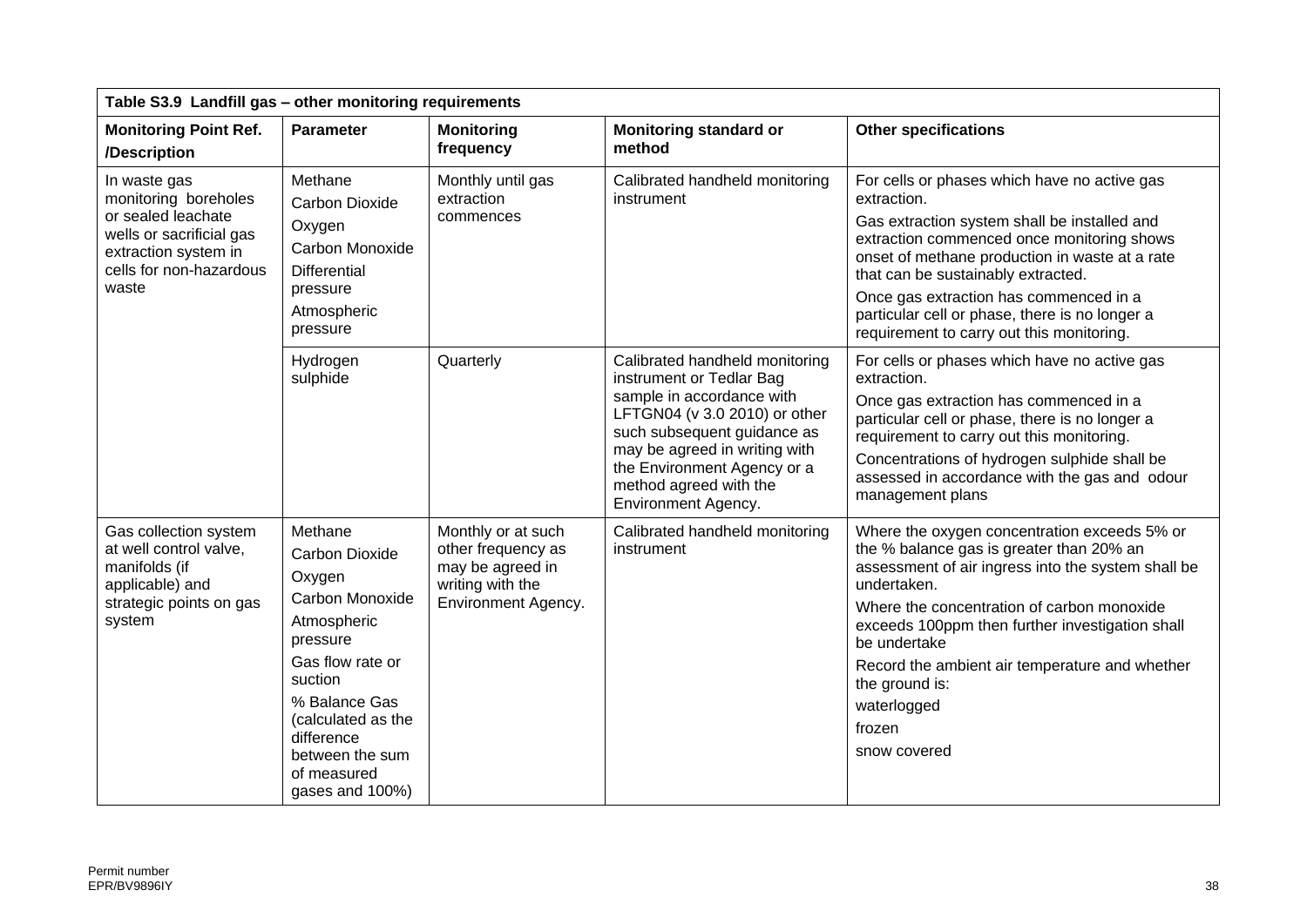| Table S3.9 Landfill gas - other monitoring requirements                                                                                            |                                                                                                                                                                                                                                   |                                                                                                         |                                                                                                                                                                                                                                                                          |                                                                                                                                                                                                                                                                                                                                                                                             |  |
|----------------------------------------------------------------------------------------------------------------------------------------------------|-----------------------------------------------------------------------------------------------------------------------------------------------------------------------------------------------------------------------------------|---------------------------------------------------------------------------------------------------------|--------------------------------------------------------------------------------------------------------------------------------------------------------------------------------------------------------------------------------------------------------------------------|---------------------------------------------------------------------------------------------------------------------------------------------------------------------------------------------------------------------------------------------------------------------------------------------------------------------------------------------------------------------------------------------|--|
| <b>Monitoring Point Ref.</b><br>/Description                                                                                                       | <b>Parameter</b>                                                                                                                                                                                                                  | <b>Monitoring</b><br>frequency                                                                          | <b>Monitoring standard or</b><br>method                                                                                                                                                                                                                                  | <b>Other specifications</b>                                                                                                                                                                                                                                                                                                                                                                 |  |
| In waste gas<br>monitoring boreholes<br>or sealed leachate<br>wells or sacrificial gas<br>extraction system in<br>cells for non-hazardous<br>waste | Methane<br><b>Carbon Dioxide</b><br>Oxygen<br>Carbon Monoxide<br>Differential<br>pressure<br>Atmospheric<br>pressure                                                                                                              | Monthly until gas<br>extraction<br>commences                                                            | Calibrated handheld monitoring<br>instrument                                                                                                                                                                                                                             | For cells or phases which have no active gas<br>extraction.<br>Gas extraction system shall be installed and<br>extraction commenced once monitoring shows<br>onset of methane production in waste at a rate<br>that can be sustainably extracted.<br>Once gas extraction has commenced in a<br>particular cell or phase, there is no longer a<br>requirement to carry out this monitoring.  |  |
|                                                                                                                                                    | Hydrogen<br>sulphide                                                                                                                                                                                                              | Quarterly                                                                                               | Calibrated handheld monitoring<br>instrument or Tedlar Bag<br>sample in accordance with<br>LFTGN04 (v 3.0 2010) or other<br>such subsequent guidance as<br>may be agreed in writing with<br>the Environment Agency or a<br>method agreed with the<br>Environment Agency. | For cells or phases which have no active gas<br>extraction.<br>Once gas extraction has commenced in a<br>particular cell or phase, there is no longer a<br>requirement to carry out this monitoring.<br>Concentrations of hydrogen sulphide shall be<br>assessed in accordance with the gas and odour<br>management plans                                                                   |  |
| Gas collection system<br>at well control valve,<br>manifolds (if<br>applicable) and<br>strategic points on gas<br>system                           | Methane<br><b>Carbon Dioxide</b><br>Oxygen<br>Carbon Monoxide<br>Atmospheric<br>pressure<br>Gas flow rate or<br>suction<br>% Balance Gas<br>(calculated as the<br>difference<br>between the sum<br>of measured<br>gases and 100%) | Monthly or at such<br>other frequency as<br>may be agreed in<br>writing with the<br>Environment Agency. | Calibrated handheld monitoring<br>instrument                                                                                                                                                                                                                             | Where the oxygen concentration exceeds 5% or<br>the % balance gas is greater than 20% an<br>assessment of air ingress into the system shall be<br>undertaken.<br>Where the concentration of carbon monoxide<br>exceeds 100ppm then further investigation shall<br>be undertake<br>Record the ambient air temperature and whether<br>the ground is:<br>waterlogged<br>frozen<br>snow covered |  |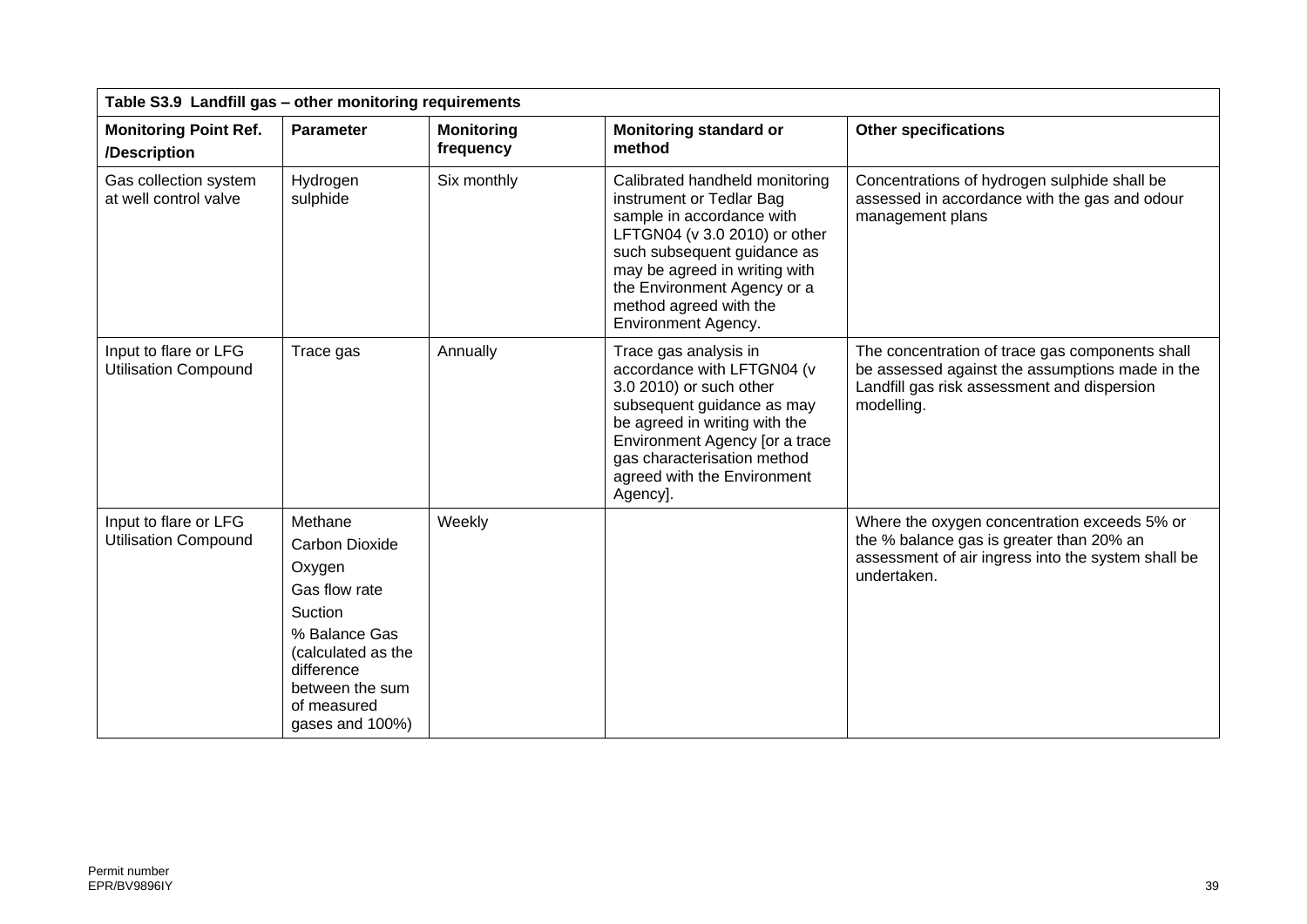| Table S3.9 Landfill gas - other monitoring requirements |                                                                                                                                                                                  |                                |                                                                                                                                                                                                                                                                          |                                                                                                                                                                 |
|---------------------------------------------------------|----------------------------------------------------------------------------------------------------------------------------------------------------------------------------------|--------------------------------|--------------------------------------------------------------------------------------------------------------------------------------------------------------------------------------------------------------------------------------------------------------------------|-----------------------------------------------------------------------------------------------------------------------------------------------------------------|
| <b>Monitoring Point Ref.</b><br>/Description            | <b>Parameter</b>                                                                                                                                                                 | <b>Monitoring</b><br>frequency | <b>Monitoring standard or</b><br>method                                                                                                                                                                                                                                  | <b>Other specifications</b>                                                                                                                                     |
| Gas collection system<br>at well control valve          | Hydrogen<br>sulphide                                                                                                                                                             | Six monthly                    | Calibrated handheld monitoring<br>instrument or Tedlar Bag<br>sample in accordance with<br>LFTGN04 (v 3.0 2010) or other<br>such subsequent guidance as<br>may be agreed in writing with<br>the Environment Agency or a<br>method agreed with the<br>Environment Agency. | Concentrations of hydrogen sulphide shall be<br>assessed in accordance with the gas and odour<br>management plans                                               |
| Input to flare or LFG<br><b>Utilisation Compound</b>    | Trace gas                                                                                                                                                                        | Annually                       | Trace gas analysis in<br>accordance with LFTGN04 (v<br>3.0 2010) or such other<br>subsequent guidance as may<br>be agreed in writing with the<br>Environment Agency [or a trace<br>gas characterisation method<br>agreed with the Environment<br>Agency].                | The concentration of trace gas components shall<br>be assessed against the assumptions made in the<br>Landfill gas risk assessment and dispersion<br>modelling. |
| Input to flare or LFG<br><b>Utilisation Compound</b>    | Methane<br><b>Carbon Dioxide</b><br>Oxygen<br>Gas flow rate<br>Suction<br>% Balance Gas<br>(calculated as the<br>difference<br>between the sum<br>of measured<br>gases and 100%) | Weekly                         |                                                                                                                                                                                                                                                                          | Where the oxygen concentration exceeds 5% or<br>the % balance gas is greater than 20% an<br>assessment of air ingress into the system shall be<br>undertaken.   |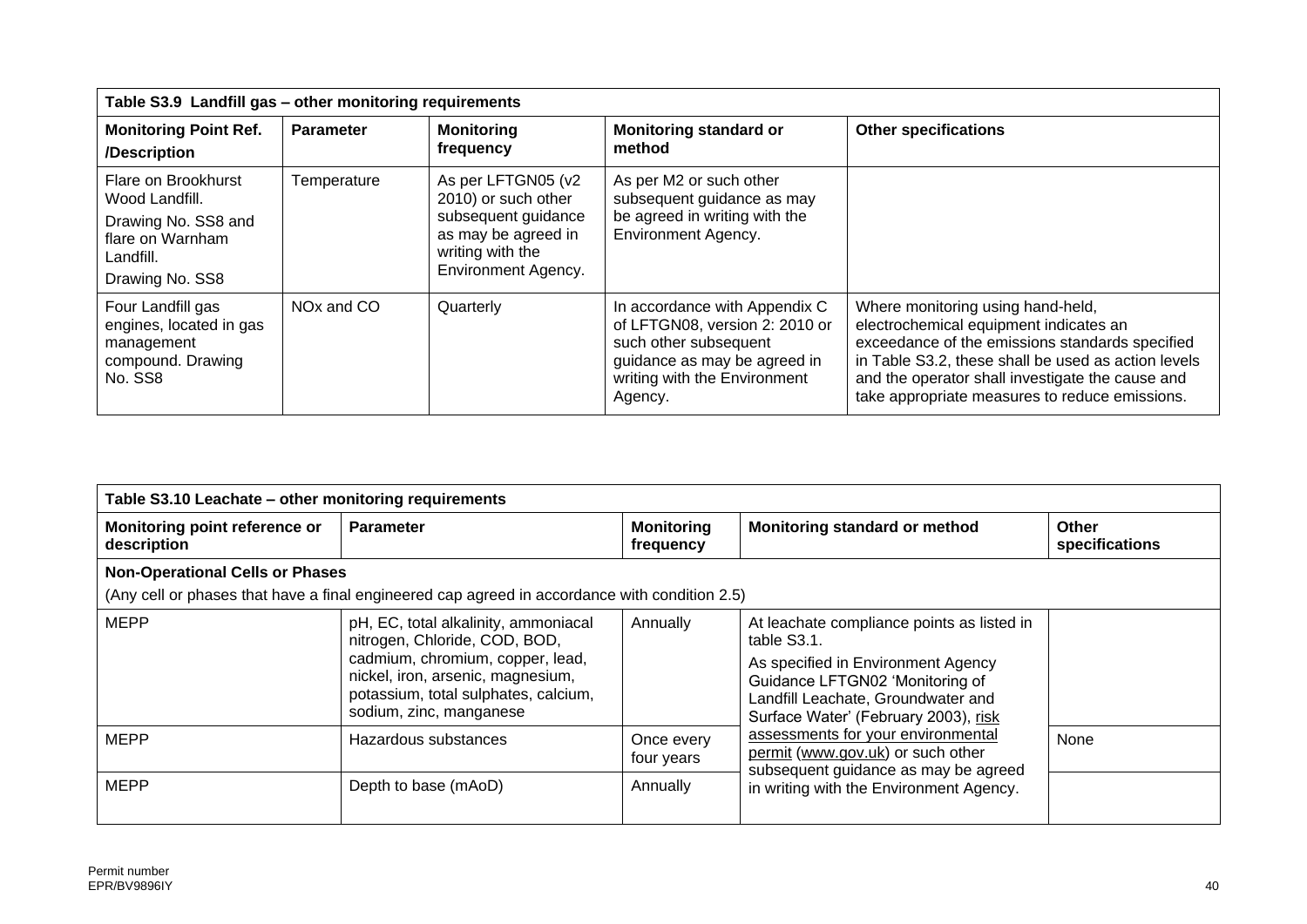| Table S3.9 Landfill gas - other monitoring requirements                                                          |                        |                                                                                                                                           |                                                                                                                                                                     |                                                                                                                                                                                                                                                                                             |
|------------------------------------------------------------------------------------------------------------------|------------------------|-------------------------------------------------------------------------------------------------------------------------------------------|---------------------------------------------------------------------------------------------------------------------------------------------------------------------|---------------------------------------------------------------------------------------------------------------------------------------------------------------------------------------------------------------------------------------------------------------------------------------------|
| <b>Monitoring Point Ref.</b><br>/Description                                                                     | <b>Parameter</b>       | <b>Monitoring</b><br>frequency                                                                                                            | <b>Monitoring standard or</b><br>method                                                                                                                             | <b>Other specifications</b>                                                                                                                                                                                                                                                                 |
| Flare on Brookhurst<br>Wood Landfill.<br>Drawing No. SS8 and<br>flare on Warnham<br>Landfill.<br>Drawing No. SS8 | Temperature            | As per LFTGN05 (v2<br>2010) or such other<br>subsequent guidance<br>as may be agreed in<br>writing with the<br><b>Environment Agency.</b> | As per M2 or such other<br>subsequent guidance as may<br>be agreed in writing with the<br><b>Environment Agency.</b>                                                |                                                                                                                                                                                                                                                                                             |
| Four Landfill gas<br>engines, located in gas<br>management<br>compound. Drawing<br>No. SS8                       | NO <sub>x</sub> and CO | Quarterly                                                                                                                                 | In accordance with Appendix C<br>of LFTGN08, version 2: 2010 or<br>such other subsequent<br>guidance as may be agreed in<br>writing with the Environment<br>Agency. | Where monitoring using hand-held,<br>electrochemical equipment indicates an<br>exceedance of the emissions standards specified<br>in Table S3.2, these shall be used as action levels<br>and the operator shall investigate the cause and<br>take appropriate measures to reduce emissions. |

| Table S3.10 Leachate - other monitoring requirements |                                                                                                                                                                                                                   |                                |                                                                                                                                                                                                                  |                         |
|------------------------------------------------------|-------------------------------------------------------------------------------------------------------------------------------------------------------------------------------------------------------------------|--------------------------------|------------------------------------------------------------------------------------------------------------------------------------------------------------------------------------------------------------------|-------------------------|
| Monitoring point reference or<br>description         | <b>Parameter</b>                                                                                                                                                                                                  | <b>Monitoring</b><br>frequency | Monitoring standard or method                                                                                                                                                                                    | Other<br>specifications |
| <b>Non-Operational Cells or Phases</b>               |                                                                                                                                                                                                                   |                                |                                                                                                                                                                                                                  |                         |
|                                                      | (Any cell or phases that have a final engineered cap agreed in accordance with condition 2.5)                                                                                                                     |                                |                                                                                                                                                                                                                  |                         |
| <b>MEPP</b>                                          | pH, EC, total alkalinity, ammoniacal<br>nitrogen, Chloride, COD, BOD,<br>cadmium, chromium, copper, lead,<br>nickel, iron, arsenic, magnesium,<br>potassium, total sulphates, calcium,<br>sodium, zinc, manganese | Annually                       | At leachate compliance points as listed in<br>table S3.1.<br>As specified in Environment Agency<br>Guidance LFTGN02 'Monitoring of<br>Landfill Leachate, Groundwater and<br>Surface Water' (February 2003), risk |                         |
| <b>MEPP</b>                                          | Hazardous substances                                                                                                                                                                                              | Once every<br>four years       | assessments for your environmental<br>permit (www.gov.uk) or such other<br>subsequent guidance as may be agreed                                                                                                  | None                    |
| <b>MEPP</b>                                          | Depth to base (mAoD)                                                                                                                                                                                              | Annually                       | in writing with the Environment Agency.                                                                                                                                                                          |                         |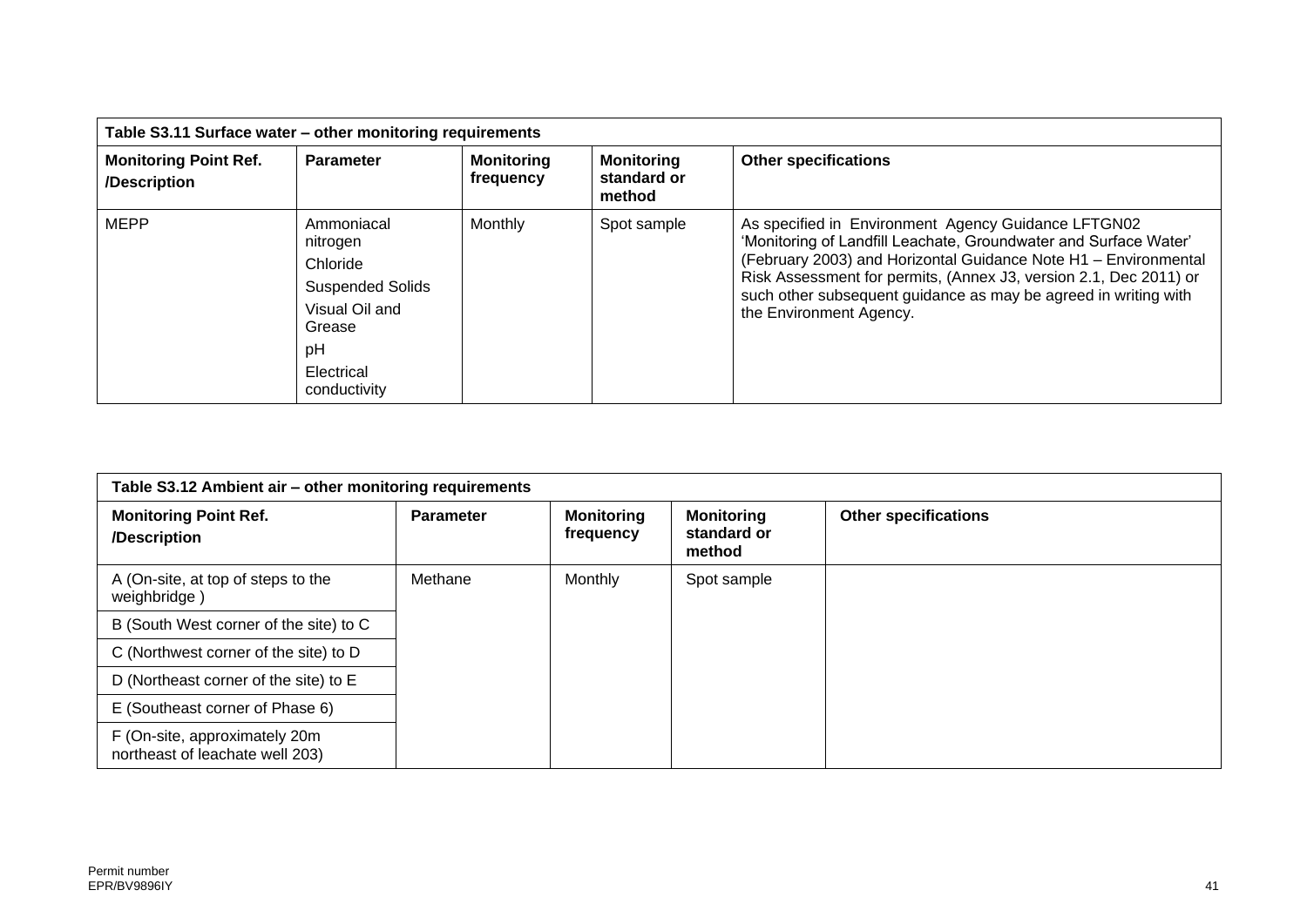| Table S3.11 Surface water - other monitoring requirements |                                                                                                                               |                                |                                            |                                                                                                                                                                                                                                                                                                                                                               |
|-----------------------------------------------------------|-------------------------------------------------------------------------------------------------------------------------------|--------------------------------|--------------------------------------------|---------------------------------------------------------------------------------------------------------------------------------------------------------------------------------------------------------------------------------------------------------------------------------------------------------------------------------------------------------------|
| <b>Monitoring Point Ref.</b><br>/Description              | <b>Parameter</b>                                                                                                              | <b>Monitoring</b><br>frequency | <b>Monitoring</b><br>standard or<br>method | <b>Other specifications</b>                                                                                                                                                                                                                                                                                                                                   |
| <b>MEPP</b>                                               | Ammoniacal<br>nitrogen<br>Chloride<br><b>Suspended Solids</b><br>Visual Oil and<br>Grease<br>pH<br>Electrical<br>conductivity | Monthly                        | Spot sample                                | As specified in Environment Agency Guidance LFTGN02<br>'Monitoring of Landfill Leachate, Groundwater and Surface Water'<br>(February 2003) and Horizontal Guidance Note H1 - Environmental<br>Risk Assessment for permits, (Annex J3, version 2.1, Dec 2011) or<br>such other subsequent guidance as may be agreed in writing with<br>the Environment Agency. |

| Table S3.12 Ambient air - other monitoring requirements          |                  |                                |                                            |                             |
|------------------------------------------------------------------|------------------|--------------------------------|--------------------------------------------|-----------------------------|
| <b>Monitoring Point Ref.</b><br>/Description                     | <b>Parameter</b> | <b>Monitoring</b><br>frequency | <b>Monitoring</b><br>standard or<br>method | <b>Other specifications</b> |
| A (On-site, at top of steps to the<br>weighbridge)               | Methane          | Monthly                        | Spot sample                                |                             |
| B (South West corner of the site) to C                           |                  |                                |                                            |                             |
| C (Northwest corner of the site) to D                            |                  |                                |                                            |                             |
| D (Northeast corner of the site) to E                            |                  |                                |                                            |                             |
| E (Southeast corner of Phase 6)                                  |                  |                                |                                            |                             |
| F (On-site, approximately 20m<br>northeast of leachate well 203) |                  |                                |                                            |                             |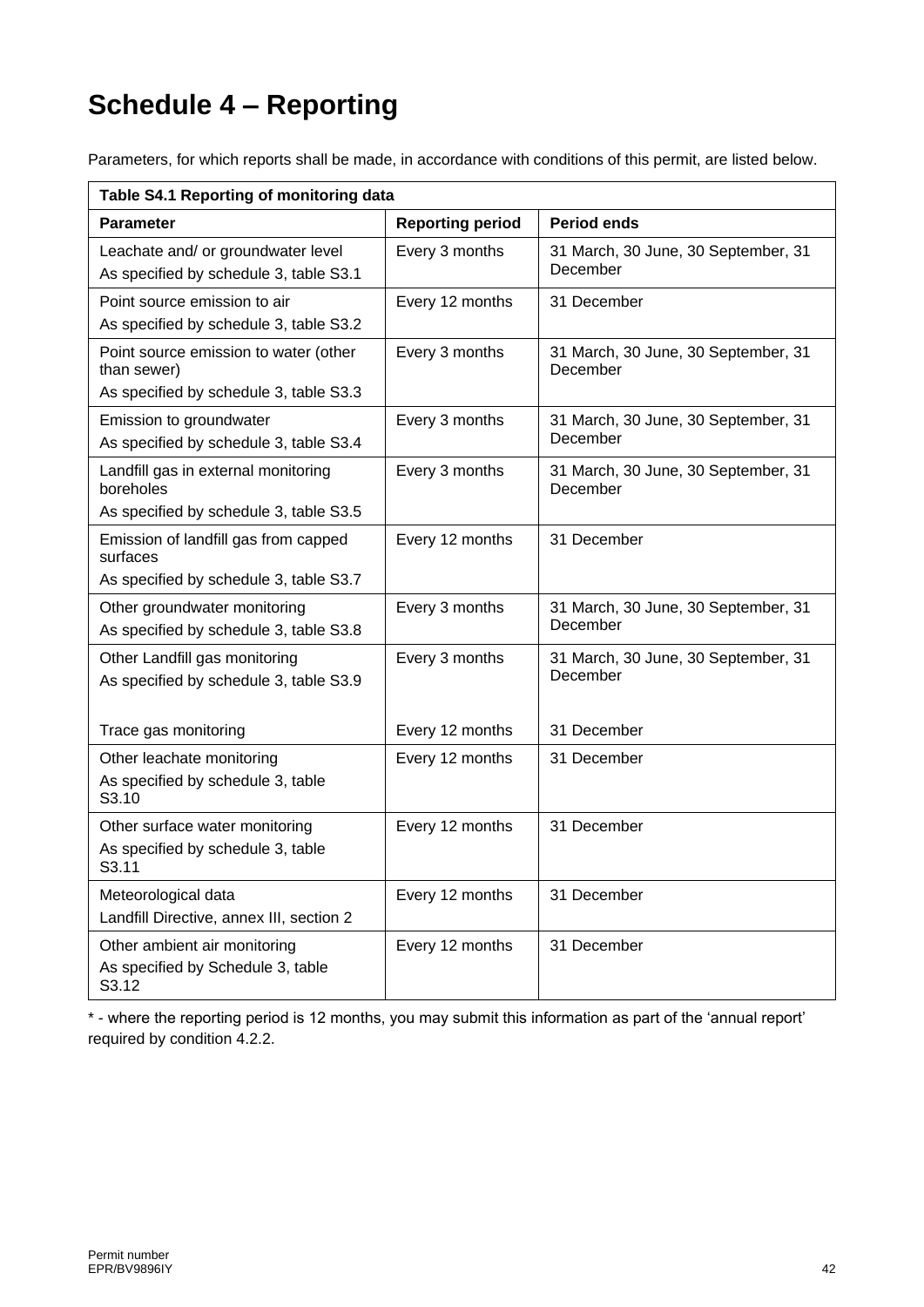# **Schedule 4 – Reporting**

Parameters, for which reports shall be made, in accordance with conditions of this permit, are listed below.

|                                                                                                | Table S4.1 Reporting of monitoring data |                                                 |  |  |  |
|------------------------------------------------------------------------------------------------|-----------------------------------------|-------------------------------------------------|--|--|--|
| <b>Parameter</b>                                                                               | <b>Reporting period</b>                 | <b>Period ends</b>                              |  |  |  |
| Leachate and/ or groundwater level<br>As specified by schedule 3, table S3.1                   | Every 3 months                          | 31 March, 30 June, 30 September, 31<br>December |  |  |  |
| Point source emission to air<br>As specified by schedule 3, table S3.2                         | Every 12 months                         | 31 December                                     |  |  |  |
| Point source emission to water (other<br>than sewer)<br>As specified by schedule 3, table S3.3 | Every 3 months                          | 31 March, 30 June, 30 September, 31<br>December |  |  |  |
| Emission to groundwater<br>As specified by schedule 3, table S3.4                              | Every 3 months                          | 31 March, 30 June, 30 September, 31<br>December |  |  |  |
| Landfill gas in external monitoring<br>boreholes<br>As specified by schedule 3, table S3.5     | Every 3 months                          | 31 March, 30 June, 30 September, 31<br>December |  |  |  |
| Emission of landfill gas from capped<br>surfaces<br>As specified by schedule 3, table S3.7     | Every 12 months                         | 31 December                                     |  |  |  |
| Other groundwater monitoring<br>As specified by schedule 3, table S3.8                         | Every 3 months                          | 31 March, 30 June, 30 September, 31<br>December |  |  |  |
| Other Landfill gas monitoring<br>As specified by schedule 3, table S3.9                        | Every 3 months                          | 31 March, 30 June, 30 September, 31<br>December |  |  |  |
| Trace gas monitoring                                                                           | Every 12 months                         | 31 December                                     |  |  |  |
| Other leachate monitoring<br>As specified by schedule 3, table<br>S3.10                        | Every 12 months                         | 31 December                                     |  |  |  |
| Other surface water monitoring<br>As specified by schedule 3, table<br>S3.11                   | Every 12 months                         | 31 December                                     |  |  |  |
| Meteorological data<br>Landfill Directive, annex III, section 2                                | Every 12 months                         | 31 December                                     |  |  |  |
| Other ambient air monitoring<br>As specified by Schedule 3, table<br>S3.12                     | Every 12 months                         | 31 December                                     |  |  |  |

\* - where the reporting period is 12 months, you may submit this information as part of the 'annual report' required by condition 4.2.2.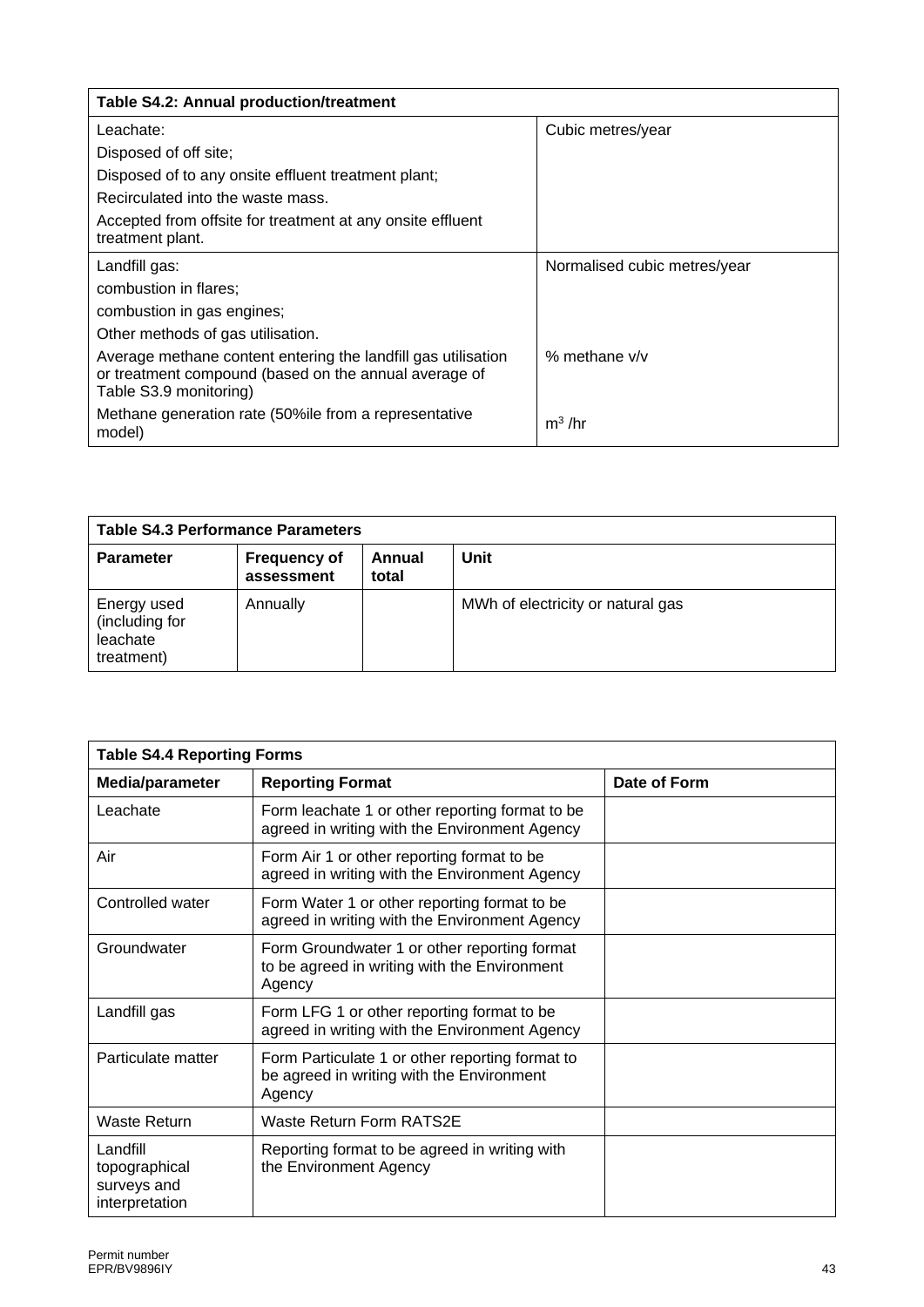| Table S4.2: Annual production/treatment                                                                                                          |                              |
|--------------------------------------------------------------------------------------------------------------------------------------------------|------------------------------|
| Leachate:                                                                                                                                        | Cubic metres/year            |
| Disposed of off site;                                                                                                                            |                              |
| Disposed of to any onsite effluent treatment plant;                                                                                              |                              |
| Recirculated into the waste mass.                                                                                                                |                              |
| Accepted from offsite for treatment at any onsite effluent<br>treatment plant.                                                                   |                              |
| Landfill gas:                                                                                                                                    | Normalised cubic metres/year |
| combustion in flares;                                                                                                                            |                              |
| combustion in gas engines;                                                                                                                       |                              |
| Other methods of gas utilisation.                                                                                                                |                              |
| Average methane content entering the landfill gas utilisation<br>or treatment compound (based on the annual average of<br>Table S3.9 monitoring) | % methane $v/v$              |
| Methane generation rate (50%ile from a representative<br>model)                                                                                  | $m^3$ /hr                    |

| <b>Table S4.3 Performance Parameters</b>                |                                   |                 |                                   |
|---------------------------------------------------------|-----------------------------------|-----------------|-----------------------------------|
| <b>Parameter</b>                                        | <b>Frequency of</b><br>assessment | Annual<br>total | Unit                              |
| Energy used<br>(including for<br>leachate<br>treatment) | Annually                          |                 | MWh of electricity or natural gas |

| <b>Table S4.4 Reporting Forms</b>                          |                                                                                                        |              |  |  |
|------------------------------------------------------------|--------------------------------------------------------------------------------------------------------|--------------|--|--|
| Media/parameter                                            | <b>Reporting Format</b>                                                                                | Date of Form |  |  |
| Leachate                                                   | Form leachate 1 or other reporting format to be<br>agreed in writing with the Environment Agency       |              |  |  |
| Air                                                        | Form Air 1 or other reporting format to be<br>agreed in writing with the Environment Agency            |              |  |  |
| Controlled water                                           | Form Water 1 or other reporting format to be<br>agreed in writing with the Environment Agency          |              |  |  |
| Groundwater                                                | Form Groundwater 1 or other reporting format<br>to be agreed in writing with the Environment<br>Agency |              |  |  |
| Landfill gas                                               | Form LFG 1 or other reporting format to be<br>agreed in writing with the Environment Agency            |              |  |  |
| Particulate matter                                         | Form Particulate 1 or other reporting format to<br>be agreed in writing with the Environment<br>Agency |              |  |  |
| Waste Return                                               | Waste Return Form RATS2E                                                                               |              |  |  |
| Landfill<br>topographical<br>surveys and<br>interpretation | Reporting format to be agreed in writing with<br>the Environment Agency                                |              |  |  |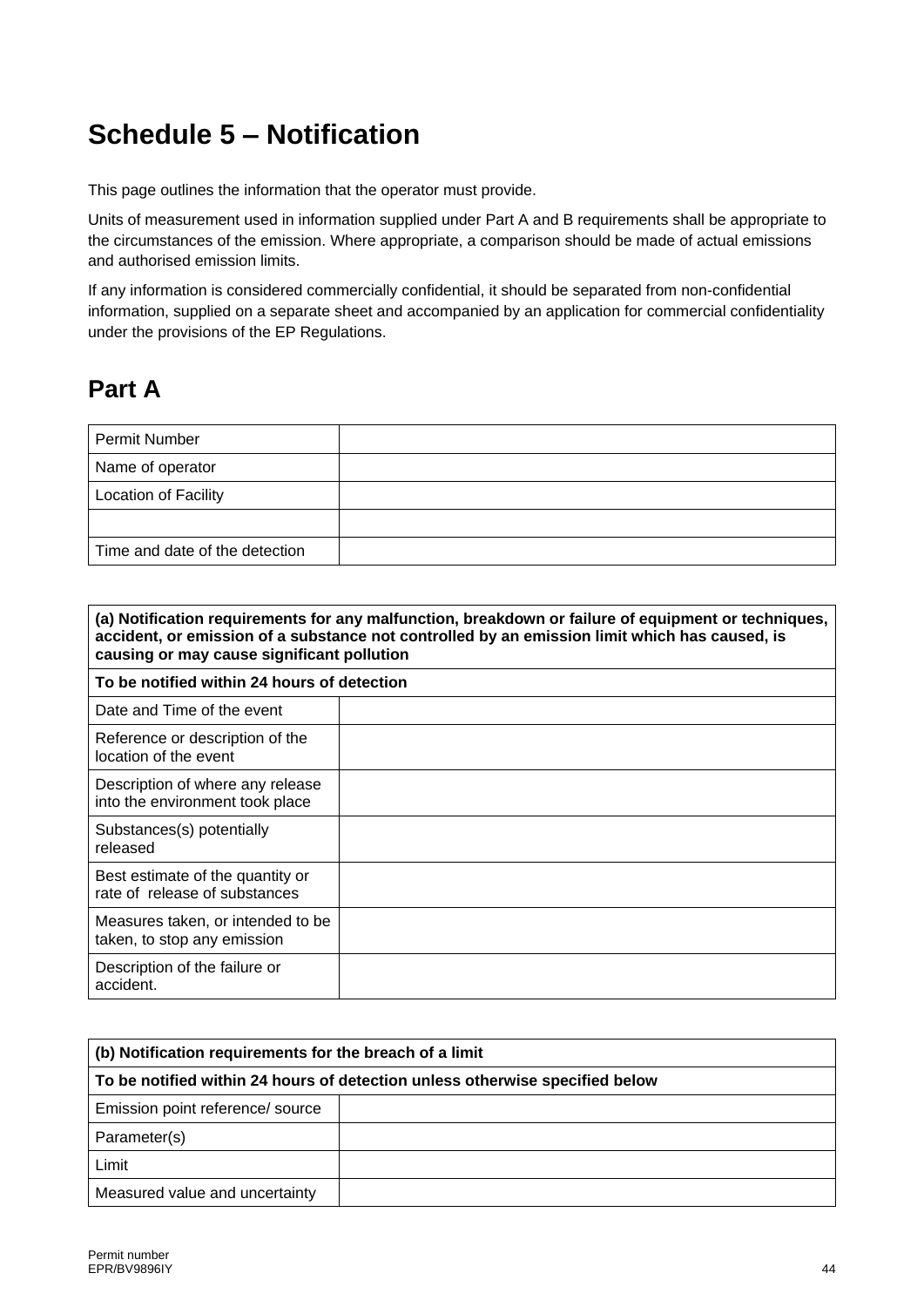# **Schedule 5 – Notification**

This page outlines the information that the operator must provide.

Units of measurement used in information supplied under Part A and B requirements shall be appropriate to the circumstances of the emission. Where appropriate, a comparison should be made of actual emissions and authorised emission limits.

If any information is considered commercially confidential, it should be separated from non-confidential information, supplied on a separate sheet and accompanied by an application for commercial confidentiality under the provisions of the EP Regulations.

## **Part A**

| Permit Number                  |  |
|--------------------------------|--|
| Name of operator               |  |
| <b>Location of Facility</b>    |  |
|                                |  |
| Time and date of the detection |  |

| (a) Notification requirements for any malfunction, breakdown or failure of equipment or techniques,<br>accident, or emission of a substance not controlled by an emission limit which has caused, is<br>causing or may cause significant pollution |  |  |  |
|----------------------------------------------------------------------------------------------------------------------------------------------------------------------------------------------------------------------------------------------------|--|--|--|
| To be notified within 24 hours of detection                                                                                                                                                                                                        |  |  |  |
| Date and Time of the event                                                                                                                                                                                                                         |  |  |  |
| Reference or description of the<br>location of the event                                                                                                                                                                                           |  |  |  |
| Description of where any release<br>into the environment took place                                                                                                                                                                                |  |  |  |
| Substances(s) potentially<br>released                                                                                                                                                                                                              |  |  |  |
| Best estimate of the quantity or<br>rate of release of substances                                                                                                                                                                                  |  |  |  |
| Measures taken, or intended to be<br>taken, to stop any emission                                                                                                                                                                                   |  |  |  |
| Description of the failure or<br>accident.                                                                                                                                                                                                         |  |  |  |

| (b) Notification requirements for the breach of a limit                      |  |  |
|------------------------------------------------------------------------------|--|--|
| To be notified within 24 hours of detection unless otherwise specified below |  |  |
| Emission point reference/ source                                             |  |  |
| Parameter(s)                                                                 |  |  |
| Limit                                                                        |  |  |
| Measured value and uncertainty                                               |  |  |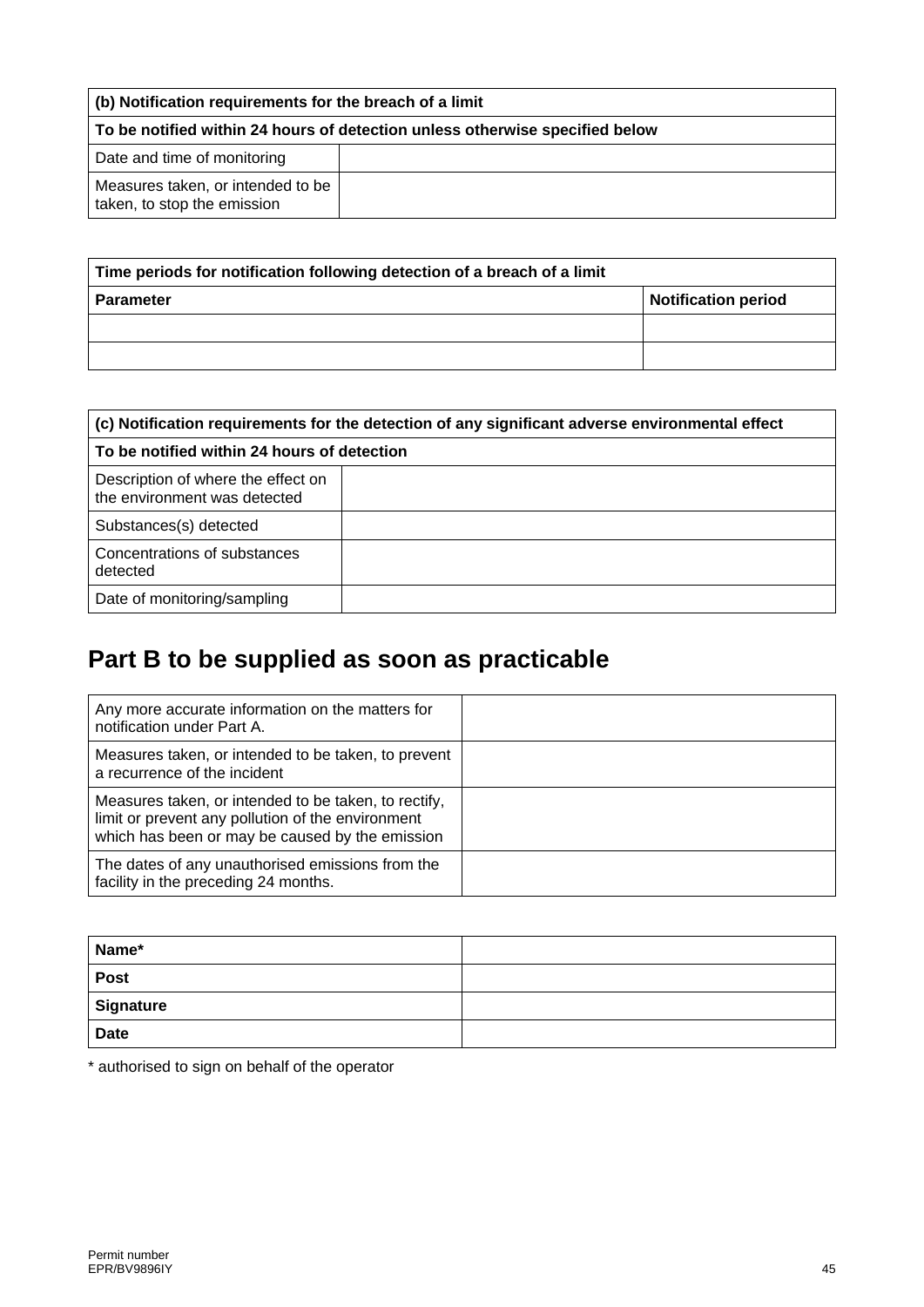| (b) Notification requirements for the breach of a limit                      |  |  |
|------------------------------------------------------------------------------|--|--|
| To be notified within 24 hours of detection unless otherwise specified below |  |  |
| Date and time of monitoring                                                  |  |  |
| Measures taken, or intended to be<br>taken, to stop the emission             |  |  |

| Time periods for notification following detection of a breach of a limit |                            |  |
|--------------------------------------------------------------------------|----------------------------|--|
| <b>Parameter</b>                                                         | <b>Notification period</b> |  |
|                                                                          |                            |  |
|                                                                          |                            |  |

| (c) Notification requirements for the detection of any significant adverse environmental effect |  |  |
|-------------------------------------------------------------------------------------------------|--|--|
| To be notified within 24 hours of detection                                                     |  |  |
| Description of where the effect on<br>the environment was detected                              |  |  |
| Substances(s) detected                                                                          |  |  |
| Concentrations of substances<br>detected                                                        |  |  |
| Date of monitoring/sampling                                                                     |  |  |

# **Part B to be supplied as soon as practicable**

| Any more accurate information on the matters for<br>notification under Part A.                                                                               |  |
|--------------------------------------------------------------------------------------------------------------------------------------------------------------|--|
| Measures taken, or intended to be taken, to prevent<br>a recurrence of the incident                                                                          |  |
| Measures taken, or intended to be taken, to rectify,<br>limit or prevent any pollution of the environment<br>which has been or may be caused by the emission |  |
| The dates of any unauthorised emissions from the<br>facility in the preceding 24 months.                                                                     |  |

| Name*       |  |
|-------------|--|
| <b>Post</b> |  |
| Signature   |  |
| <b>Date</b> |  |

\* authorised to sign on behalf of the operator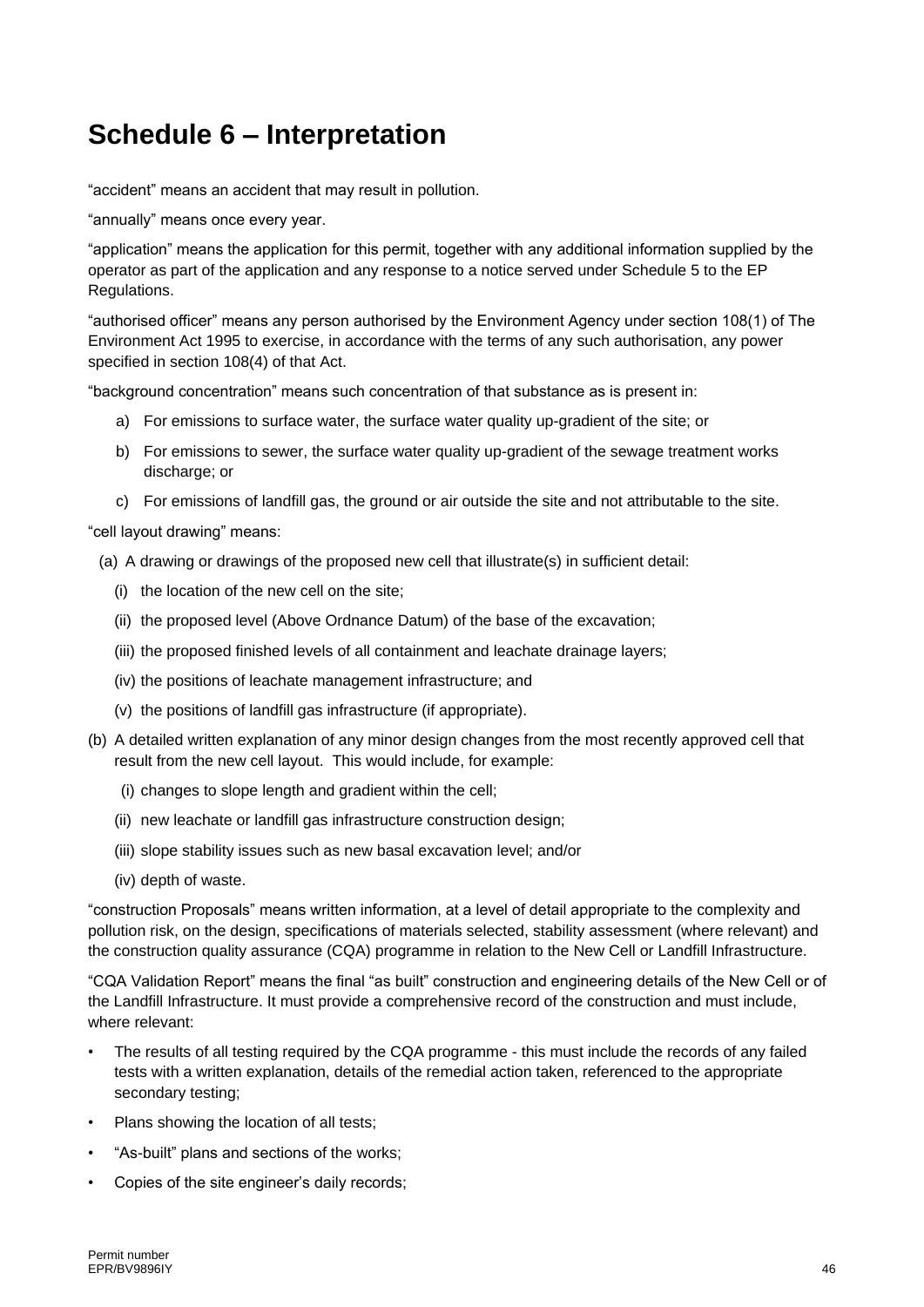# **Schedule 6 – Interpretation**

"accident" means an accident that may result in pollution.

"annually" means once every year.

"application" means the application for this permit, together with any additional information supplied by the operator as part of the application and any response to a notice served under Schedule 5 to the EP Regulations.

"authorised officer" means any person authorised by the Environment Agency under section 108(1) of The Environment Act 1995 to exercise, in accordance with the terms of any such authorisation, any power specified in section 108(4) of that Act.

"background concentration" means such concentration of that substance as is present in:

- a) For emissions to surface water, the surface water quality up-gradient of the site; or
- b) For emissions to sewer, the surface water quality up-gradient of the sewage treatment works discharge; or
- c) For emissions of landfill gas, the ground or air outside the site and not attributable to the site.

"cell layout drawing" means:

- (a) A drawing or drawings of the proposed new cell that illustrate(s) in sufficient detail:
	- (i) the location of the new cell on the site;
	- (ii) the proposed level (Above Ordnance Datum) of the base of the excavation;
	- (iii) the proposed finished levels of all containment and leachate drainage layers;
	- (iv) the positions of leachate management infrastructure; and
	- (v) the positions of landfill gas infrastructure (if appropriate).
- (b) A detailed written explanation of any minor design changes from the most recently approved cell that result from the new cell layout. This would include, for example:
	- (i) changes to slope length and gradient within the cell;
	- (ii) new leachate or landfill gas infrastructure construction design;
	- (iii) slope stability issues such as new basal excavation level; and/or
	- (iv) depth of waste.

"construction Proposals" means written information, at a level of detail appropriate to the complexity and pollution risk, on the design, specifications of materials selected, stability assessment (where relevant) and the construction quality assurance (CQA) programme in relation to the New Cell or Landfill Infrastructure.

"CQA Validation Report" means the final "as built" construction and engineering details of the New Cell or of the Landfill Infrastructure. It must provide a comprehensive record of the construction and must include, where relevant:

- The results of all testing required by the CQA programme this must include the records of any failed tests with a written explanation, details of the remedial action taken, referenced to the appropriate secondary testing;
- Plans showing the location of all tests;
- "As-built" plans and sections of the works;
- Copies of the site engineer's daily records;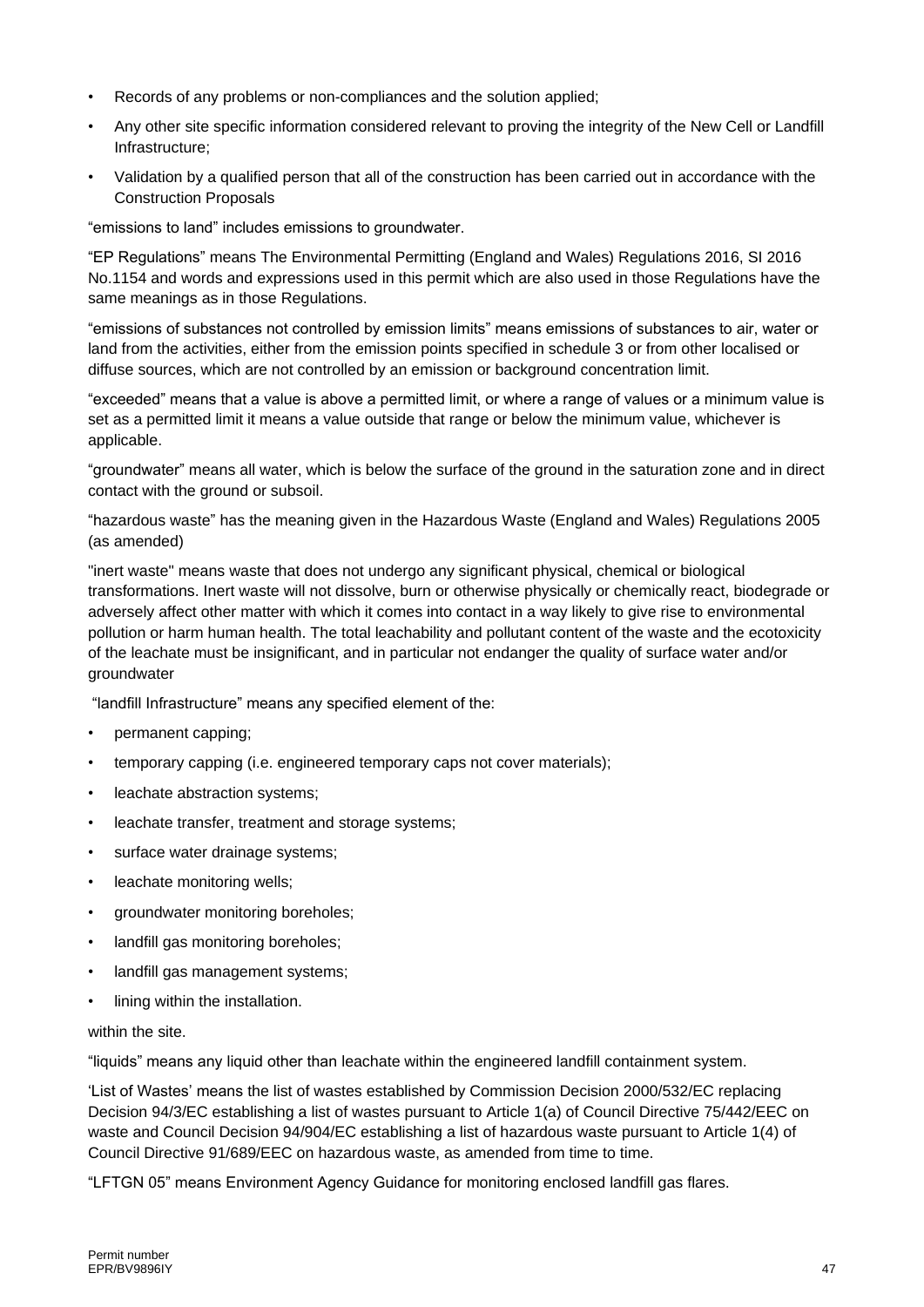- Records of any problems or non-compliances and the solution applied;
- Any other site specific information considered relevant to proving the integrity of the New Cell or Landfill Infrastructure;
- Validation by a qualified person that all of the construction has been carried out in accordance with the Construction Proposals

"emissions to land" includes emissions to groundwater.

"EP Regulations" means The Environmental Permitting (England and Wales) Regulations 2016, SI 2016 No.1154 and words and expressions used in this permit which are also used in those Regulations have the same meanings as in those Regulations.

"emissions of substances not controlled by emission limits" means emissions of substances to air, water or land from the activities, either from the emission points specified in schedule 3 or from other localised or diffuse sources, which are not controlled by an emission or background concentration limit.

"exceeded" means that a value is above a permitted limit, or where a range of values or a minimum value is set as a permitted limit it means a value outside that range or below the minimum value, whichever is applicable.

"groundwater" means all water, which is below the surface of the ground in the saturation zone and in direct contact with the ground or subsoil.

"hazardous waste" has the meaning given in the Hazardous Waste (England and Wales) Regulations 2005 (as amended)

"inert waste" means waste that does not undergo any significant physical, chemical or biological transformations. Inert waste will not dissolve, burn or otherwise physically or chemically react, biodegrade or adversely affect other matter with which it comes into contact in a way likely to give rise to environmental pollution or harm human health. The total leachability and pollutant content of the waste and the ecotoxicity of the leachate must be insignificant, and in particular not endanger the quality of surface water and/or groundwater

"landfill Infrastructure" means any specified element of the:

- permanent capping;
- temporary capping (i.e. engineered temporary caps not cover materials);
- leachate abstraction systems;
- leachate transfer, treatment and storage systems;
- surface water drainage systems;
- leachate monitoring wells;
- groundwater monitoring boreholes;
- landfill gas monitoring boreholes;
- landfill gas management systems;
- lining within the installation.

within the site.

"liquids" means any liquid other than leachate within the engineered landfill containment system.

'List of Wastes' means the list of wastes established by Commission Decision [2000/532/EC](http://www.legislation.gov.uk/european/decision/2000/0532) replacing Decision [94/3/EC](http://www.legislation.gov.uk/european/decision/1994/0003) establishing a list of wastes pursuant to Article 1(a) of Council Directive [75/442/EEC](http://www.legislation.gov.uk/european/directive/1975/0442) on waste and Council Decision [94/904/EC](http://www.legislation.gov.uk/european/decision/1994/0904) establishing a list of hazardous waste pursuant to Article 1(4) of Council Directive [91/689/EEC](http://www.legislation.gov.uk/european/decision/1991/0689) on hazardous waste, as amended from time to time.

"LFTGN 05" means Environment Agency Guidance for monitoring enclosed landfill gas flares.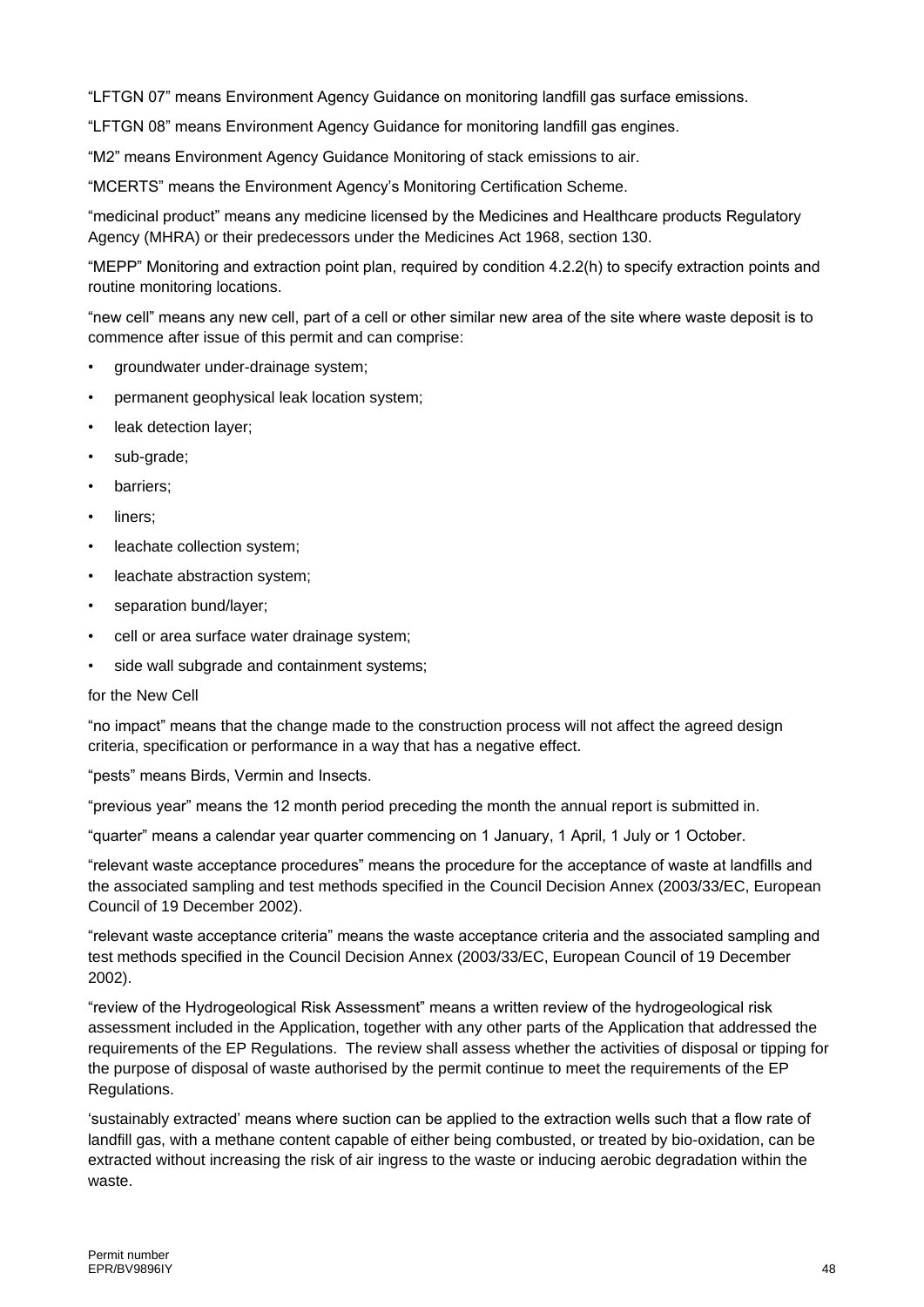"LFTGN 07" means Environment Agency Guidance on monitoring landfill gas surface emissions.

"LFTGN 08" means Environment Agency Guidance for monitoring landfill gas engines.

"M2" means Environment Agency Guidance Monitoring of stack emissions to air.

"MCERTS" means the Environment Agency's Monitoring Certification Scheme.

"medicinal product" means any medicine licensed by the Medicines and Healthcare products Regulatory Agency (MHRA) or their predecessors under the Medicines Act 1968, section 130.

"MEPP" Monitoring and extraction point plan, required by condition 4.2.2(h) to specify extraction points and routine monitoring locations.

"new cell" means any new cell, part of a cell or other similar new area of the site where waste deposit is to commence after issue of this permit and can comprise:

- groundwater under-drainage system;
- permanent geophysical leak location system;
- leak detection layer;
- sub-grade:
- barriers;
- liners;
- leachate collection system;
- leachate abstraction system;
- separation bund/layer;
- cell or area surface water drainage system;
- side wall subgrade and containment systems;

#### for the New Cell

"no impact" means that the change made to the construction process will not affect the agreed design criteria, specification or performance in a way that has a negative effect.

"pests" means Birds, Vermin and Insects.

"previous year" means the 12 month period preceding the month the annual report is submitted in.

"quarter" means a calendar year quarter commencing on 1 January, 1 April, 1 July or 1 October.

"relevant waste acceptance procedures" means the procedure for the acceptance of waste at landfills and the associated sampling and test methods specified in the Council Decision Annex (2003/33/EC, European Council of 19 December 2002).

"relevant waste acceptance criteria" means the waste acceptance criteria and the associated sampling and test methods specified in the Council Decision Annex (2003/33/EC, European Council of 19 December 2002).

"review of the Hydrogeological Risk Assessment" means a written review of the hydrogeological risk assessment included in the Application, together with any other parts of the Application that addressed the requirements of the EP Regulations. The review shall assess whether the activities of disposal or tipping for the purpose of disposal of waste authorised by the permit continue to meet the requirements of the EP Regulations.

'sustainably extracted' means where suction can be applied to the extraction wells such that a flow rate of landfill gas, with a methane content capable of either being combusted, or treated by bio-oxidation, can be extracted without increasing the risk of air ingress to the waste or inducing aerobic degradation within the waste.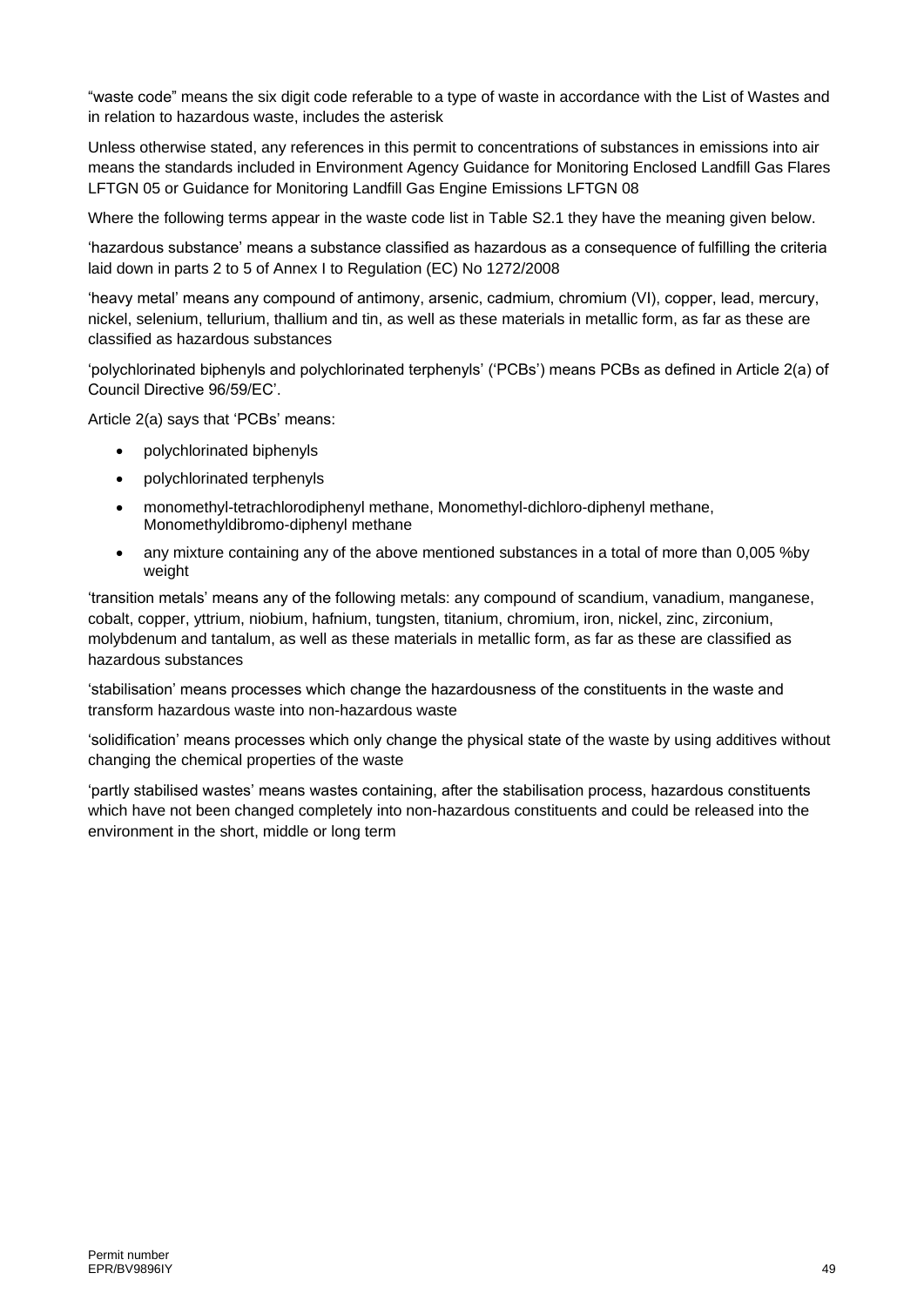"waste code" means the six digit code referable to a type of waste in accordance with the List of Wastes and in relation to hazardous waste, includes the asterisk

Unless otherwise stated, any references in this permit to concentrations of substances in emissions into air means the standards included in Environment Agency Guidance for Monitoring Enclosed Landfill Gas Flares LFTGN 05 or Guidance for Monitoring Landfill Gas Engine Emissions LFTGN 08

Where the following terms appear in the waste code list in Table S2.1 they have the meaning given below.

'hazardous substance' means a substance classified as hazardous as a consequence of fulfilling the criteria laid down in parts 2 to 5 of Annex I to Regulation (EC) No 1272/2008

'heavy metal' means any compound of antimony, arsenic, cadmium, chromium (VI), copper, lead, mercury, nickel, selenium, tellurium, thallium and tin, as well as these materials in metallic form, as far as these are classified as hazardous substances

'polychlorinated biphenyls and polychlorinated terphenyls' ('PCBs') means PCBs as defined in Article 2(a) of Council Directive 96/59/EC'.

Article 2(a) says that 'PCBs' means:

- polychlorinated biphenyls
- polychlorinated terphenyls
- monomethyl-tetrachlorodiphenyl methane, Monomethyl-dichloro-diphenyl methane, Monomethyldibromo-diphenyl methane
- any mixture containing any of the above mentioned substances in a total of more than 0,005 %by weight

'transition metals' means any of the following metals: any compound of scandium, vanadium, manganese, cobalt, copper, yttrium, niobium, hafnium, tungsten, titanium, chromium, iron, nickel, zinc, zirconium, molybdenum and tantalum, as well as these materials in metallic form, as far as these are classified as hazardous substances

'stabilisation' means processes which change the hazardousness of the constituents in the waste and transform hazardous waste into non-hazardous waste

'solidification' means processes which only change the physical state of the waste by using additives without changing the chemical properties of the waste

'partly stabilised wastes' means wastes containing, after the stabilisation process, hazardous constituents which have not been changed completely into non-hazardous constituents and could be released into the environment in the short, middle or long term